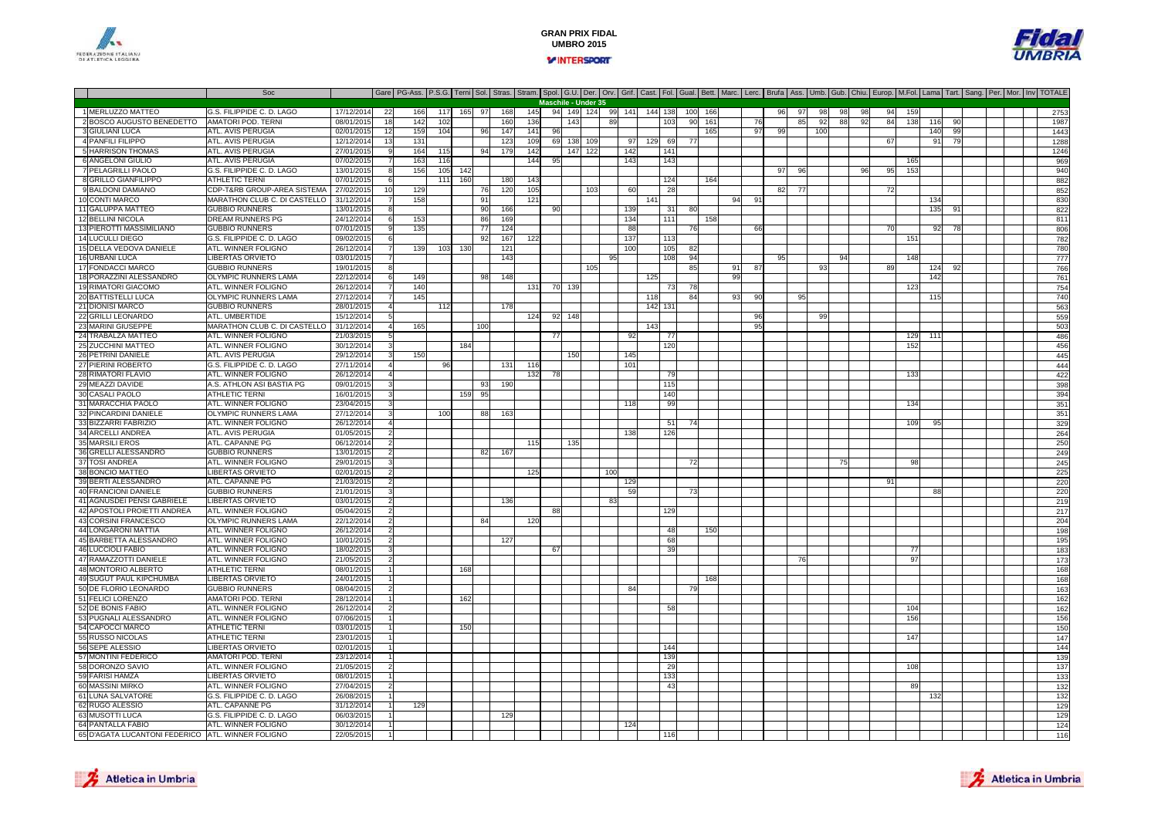



#### Soc Gare PG-Ass. P.S.G. Terni Sol. Stras. Stram. Spol. G.U. Der. Orv. Grif. Cast. Fol. Gual. Bett. Marc. Lerc. Brufa Ass. Umb. Gub. Chiu. Europ. M.Fol. Lama Tart. Sang. Per. Mor. Inv TOTALE 1 MERLUZZO MATTEO G.S. FILIPPIDE C. D. LAGO 17/12/2014 <sup>22</sup> <sup>166</sup> <sup>117</sup> <sup>165</sup> <sup>97</sup> <sup>168</sup> <sup>145</sup> <sup>94</sup> <sup>149</sup> <sup>124</sup> <sup>99</sup> <sup>141</sup> <sup>144</sup> <sup>138</sup> <sup>100</sup> <sup>166</sup> <sup>96</sup> <sup>97</sup> <sup>98</sup> <sup>98</sup> <sup>98</sup> <sup>94</sup> <sup>159</sup> <sup>2753</sup> 2 BOSCO AUGUSTO BENEDETTO AMATORI POD. TERNI 08/01/2015 <sup>18</sup> <sup>142</sup> <sup>102</sup> <sup>160</sup> <sup>136</sup> <sup>143</sup> <sup>89</sup> <sup>103</sup> <sup>90</sup> <sup>161</sup> <sup>76</sup> <sup>85</sup> <sup>92</sup> <sup>88</sup> <sup>92</sup> <sup>84</sup> <sup>138</sup> <sup>116</sup> <sup>90</sup> <sup>1987</sup> 3 GIULIANI LUCA ATL. AVIS PERUGIA 02/01/2015 <sup>12</sup> <sup>159</sup> <sup>104</sup> <sup>96</sup> <sup>147</sup> <sup>141</sup> <sup>96</sup> <sup>165</sup> <sup>97</sup> <sup>99</sup> <sup>100</sup> <sup>140</sup> <sup>99</sup> <sup>1443</sup> 4 PANFILI FILIPPO ATL. AVIS PERUGIA 12/12/2014 <sup>13</sup> <sup>131</sup> <sup>123</sup> <sup>109</sup> <sup>69</sup> <sup>138</sup> <sup>109</sup> <sup>97</sup> <sup>129</sup> <sup>69</sup> <sup>77</sup> <sup>67</sup> <sup>91</sup> <sup>79</sup> <sup>1288</sup> 5 HARRISON THOMAS ATL. AVIS PERUGIA 27/01/2015 <sup>9</sup> <sup>164</sup> <sup>115</sup> <sup>94</sup> <sup>179</sup> <sup>142</sup> <sup>147</sup> <sup>122</sup> <sup>142</sup> <sup>141</sup> <sup>1246</sup> 6 ANGELONI GIULIO ATL. AVIS PERUGIA 07/02/2015 <sup>7</sup> <sup>163</sup> <sup>116</sup> <sup>144</sup> <sup>95</sup> <sup>143</sup> <sup>143</sup> <sup>165</sup> <sup>969</sup> 7 PELAGRILLI PAOLOO G.S. FILIPPIDE C. D. LAGO 13/01/2015 8 156 105 142 9 99 96 97 96 97 96 97 96 97 96 97 96 97 96 97 96 97 96 9 8 GRILLO GIANFILIPPO0 ATHLETIC TERNI 07/01/2015 6 111 160 180 143 1 124 164 10 1 124 164 1 125 126 127 128 1282 9 BALDONI DAMIANOO COP-T&RB GROUP-AREA SISTEMA 27/02/2015 10 129 79 120 105 103 105 862 77 1 1 20 28 77 1 20 28 77 1 20 28 82 7 10 CONTI MARCO MARATHON CLUB C. DI CASTELLO 31/12/2014 <sup>7</sup> <sup>158</sup> <sup>91</sup> <sup>121</sup> <sup>141</sup> <sup>94</sup> <sup>91</sup> <sup>134</sup> <sup>830</sup> 11 GALUPPA MATTEO GUBBIO RUNNERS 13/01/2015 <sup>8</sup> <sup>90</sup> <sup>166</sup> <sup>90</sup> <sup>139</sup> <sup>31</sup> <sup>80</sup> <sup>135</sup> <sup>91</sup> <sup>822</sup> 12 BELLINI NICOLA DREAM RUNNERS PG 24/12/2014 <sup>6</sup> <sup>153</sup> <sup>86</sup> <sup>169</sup> <sup>134</sup> <sup>111</sup> <sup>158</sup> <sup>811</sup> 13 PIEROTTI MASSIMILIANO GUBBIO RUNNERS 07/01/2015 <sup>9</sup> <sup>135</sup> <sup>77</sup> <sup>124</sup> <sup>88</sup> <sup>76</sup> <sup>66</sup> <sup>70</sup> <sup>92</sup> <sup>78</sup> <sup>806</sup> 14 LUCULLI DIEGOO G.S. FILIPPIDE C. D. LAGO 09/02/2015 6 92 167 122 1 137 137 139 151 139 1 138 151 151 151 151 151 151 151 1 15 DELLA VEDOVA DANIELE ATL. WINNER FOLIGNO0 26/12/2014 7 139 103 130 121 100 105 82 780 16 URBANI LUCA LIBERTAS ORVIETO 03/01/2015 <sup>7</sup> <sup>143</sup> <sup>95</sup> <sup>108</sup> <sup>94</sup> <sup>95</sup> <sup>94</sup> <sup>148</sup> <sup>777</sup> 17 FONDACCI MARCO GUBBIO RUNNERS 19/01/2015 <sup>8</sup> <sup>105</sup> <sup>85</sup> <sup>91</sup> <sup>87</sup> <sup>93</sup> <sup>89</sup> <sup>124</sup> <sup>92</sup> <sup>766</sup> 18 PORAZZINI ALESSANDROO OLYMPIC RUNNERS LAMA 22/12/2014 6 149 | 98 148 | 99 | 125 | 139 | 139 | 149 | 142 | 142 | 142 | 15 19 RIMATORI GIACOMO ATL. WINNER FOLIGNO 26/12/2014 <sup>7</sup> <sup>140</sup> <sup>131</sup> <sup>70</sup> <sup>139</sup> <sup>73</sup> <sup>78</sup> <sup>123</sup> <sup>754</sup> 20 BATTISTELLI LUCA OLYMPIC RUNNERS LAMA 27/12/2014 <sup>7</sup> <sup>145</sup> <sup>118</sup> <sup>84</sup> <sup>93</sup> <sup>90</sup> <sup>95</sup> <sup>115</sup> <sup>740</sup> 21 DIONISI MARCO GUBBIO RUNNERS 28/01/2015 <sup>4</sup> <sup>112</sup> <sup>178</sup> <sup>142</sup> <sup>131</sup> <sup>563</sup> 22 GRILLI LEONARDO ATL. UMBERTIDE 15/12/2014 <sup>5</sup> <sup>124</sup> <sup>92</sup> <sup>148</sup> <sup>96</sup> <sup>99</sup> <sup>559</sup> 23 MARINI GIUSEPPE MARATHON CLUB C. DI CASTELLO 31/12/2014 <sup>4</sup> <sup>165</sup> <sup>100</sup> <sup>143</sup> <sup>95</sup> <sup>503</sup> 24 TRABALZA MATTEO ATL. WINNER FOLIGNO 21/03/2015 <sup>5</sup> <sup>77</sup> <sup>92</sup> <sup>77</sup> <sup>129</sup> <sup>111</sup> <sup>486</sup> 25 ZUCCHINI MATTEO0 ATL. WINNER FOLIGNO 30/12/2014 3 184 184 120 120 120 120 120 120 120 120 120 132 132 140 152 140 152 152 152 26 PETRINI DANIELE ATL. AVIS PERUGIA 29/12/2014 <sup>3</sup> <sup>150</sup> <sup>150</sup> <sup>145</sup> <sup>445</sup> 27 PIERINI ROBERTO G.S. FILIPPIDE C. D. LAGO 27/11/2014 <sup>4</sup> <sup>96</sup> <sup>131</sup> <sup>116</sup> <sup>101</sup> <sup>444</sup> **Maschile - Under 35**94 149 124 99 141 28 RIMATORI FLAVIO ATL. WINNER FOLIGNO 26/12/2014 <sup>4</sup> <sup>132</sup> <sup>78</sup> <sup>79</sup> <sup>133</sup> <sup>422</sup> 29 MEAZZI DAVIDE A.S. ATHLON ASI BASTIA PG 09/01/2015 <sup>3</sup> <sup>93</sup> <sup>190</sup> <sup>115</sup> <sup>398</sup> 30 CASALI PAOLO ATHLETIC TERNI 16/01/2015 <sup>3</sup> <sup>159</sup> <sup>95</sup> <sup>140</sup> <sup>394</sup> 31 MARACCHIA PAOLO ATL. WINNER FOLIGNO 23/04/2015 <sup>3</sup> <sup>118</sup> <sup>99</sup> <sup>134</sup> <sup>351</sup> 32 PINCARDINI DANIELEE OLYMPIC RUNNERS LAMA 27/12/2014 3 100 88 163 200 1 200 1 200 1 200 163 200 163 200 164 200 164 200 164 200 1 33 BIZZARRI FABRIZIO ATL. WINNER FOLIGNO 26/12/2014 <sup>4</sup> <sup>51</sup> <sup>74</sup> <sup>109</sup> <sup>95</sup> <sup>329</sup> 34 ARCELLI ANDREA ATL. AVIS PERUGIA 01/05/2015 <sup>2</sup> <sup>138</sup> <sup>126</sup> <sup>264</sup> 35 MARSILI EROS ATL. CAPANNE PG 06/12/2014 <sup>2</sup> <sup>115</sup> <sup>135</sup> <sup>250</sup> 36 GRELLI ALESSANDRO GUBBIO RUNNERS 13/01/2015 <sup>2</sup> <sup>82</sup> <sup>167</sup> <sup>249</sup> 37 TOSI ANDREAATL. WINNER FOLIGNO<br>LIBERTAS ORVIETO 29/01/2015 <sup>3</sup> <sup>72</sup> <sup>75</sup> <sup>98</sup> <sup>245</sup> 38 BONCIO MATTEO LIBERTAS ORVIETO 02/01/2015 <sup>2</sup> <sup>125</sup> <sup>100</sup> <sup>225</sup> 39 BERTI ALESSANDRO ATL. CAPANNE PG 21/03/2015 <sup>2</sup> <sup>129</sup> <sup>91</sup> <sup>220</sup> 40 FRANCIONI DANIELE GUBBIO RUNNERS 21/01/2015 <sup>3</sup> <sup>59</sup> <sup>73</sup> <sup>88</sup> <sup>220</sup> 41 AGNUSDEI PENSI GABRIELE LIBERTAS ORVIETO 03/01/2015 <sup>2</sup> <sup>136</sup> <sup>83</sup> <sup>219</sup> 42 APOSTOLI PROIETTI ANDREAATL. WINNER FOLIGNO<br>OLYMPIC RUNNERS LAMA 05/04/2015 <sup>2</sup> <sup>88</sup> <sup>129</sup> <sup>217</sup> 43 CORSINI FRANCESCO OLYMPIC RUNNERS LAMA 22/12/2014 <sup>2</sup> <sup>84</sup> <sup>120</sup> <sup>204</sup> 44 LONGARONI MATTIAATL. WINNER FOLIGNO<br>ATL. WINNER FOLIGNO 26/12/2014 <sup>2</sup> <sup>48</sup> <sup>150</sup> <sup>198</sup> 45 BARBETTA ALESSANDRO ATL. WINNER FOLIGNO 10/01/2015 <sup>2</sup> <sup>127</sup> <sup>68</sup> <sup>195</sup> 46 LUCCIOLI FABIO ATL. WINNER FOLIGNO 18/02/2015 <sup>3</sup> <sup>67</sup> <sup>39</sup> <sup>77</sup> <sup>183</sup> 47 RAMAZZOTTI DANIELEATL. WINNER FOLIGNO 21/05/2015 <sup>2</sup> <sup>76</sup> <sup>97</sup> <sup>173</sup> 48 MONTORIO ALBERTO ATHLETIC TERNI 08/01/2015 <sup>1</sup> <sup>168</sup> <sup>168</sup> 49 SUGUT PAUL KIPCHUMBA LIBERTAS ORVIETO 24/01/2015 <sup>1</sup> <sup>168</sup> <sup>168</sup> 50 DE FLORIO LEONARDO GUBBIO RUNNERS 08/04/2015 <sup>2</sup> <sup>84</sup> <sup>79</sup> <sup>163</sup> 51 FELICI LORENZO AMATORI POD. TERNI 28/12/2014 <sup>1</sup> <sup>162</sup> <sup>162</sup> 52 DE BONIS FABIO ATL. WINNER FOLIGNO 26/12/2014 <sup>2</sup> <sup>58</sup> <sup>104</sup> <sup>162</sup> 53 PUGNALI ALESSANDRO0 ATL.WINNER FOLIGNO 07/06/2015 1 1 1 156 1 1 156 1 156 1 156 1 156 1 156 1 156 1 156 1 156 1 156 1 156 1 156 54 CAPOCCI MARCO ATHLETIC TERNI 03/01/2015 <sup>1</sup> <sup>150</sup> <sup>150</sup> 55 RUSSO NICOLAS ATHLETIC TERNI 23/01/2015 <sup>1</sup> <sup>147</sup> <sup>147</sup> 56 SEPE ALESSIO LIBERTAS ORVIETO 02/01/2015 <sup>1</sup> <sup>144</sup> <sup>144</sup> 57 MONTINI FEDERICO AMATORI POD. TERNI 23/12/2014 <sup>1</sup> <sup>139</sup> <sup>139</sup> 58 DORONZO SAVIO ATL. WINNER FOLIGNO 21/05/2015 <sup>2</sup> <sup>29</sup> <sup>108</sup> <sup>137</sup> 59 FARISI HAMZALIBERTAS ORVIETO<br>ATL. WINNER FOLIGNO 08/01/2015 <sup>1</sup> <sup>133</sup> <sup>133</sup> 60 MASSINI MIRKO ATL. WINNER FOLIGNO 27/04/2015 <sup>2</sup> <sup>43</sup> <sup>89</sup> <sup>132</sup> 61 LUNA SALVATORE**G.S. FILIPPIDE C. D. LAGO**<br>ATL CAPANNE PG 26/08/2015 <sup>1</sup> <sup>132</sup> <sup>132</sup> 62 RUGO ALESSIO ATL. CAPANNE PG 31/12/2014 <sup>1</sup> <sup>129</sup> <sup>129</sup> 63 MUSOTTI LUCA G.S. FILIPPIDE C. D. LAGO 06/03/2015 <sup>1</sup> <sup>129</sup> <sup>129</sup> 64 PANTALLA FABIO ATL. WINNER FOLIGNO 30/12/2014 <sup>1</sup> <sup>124</sup> <sup>124</sup> 65D'AGATA LUCANTONI FEDERICO TATL, WINNER FOLIGNO ATL. WINNER FOLIGNO 22/05/2015 <sup>1</sup> <sup>116</sup> <sup>116</sup>



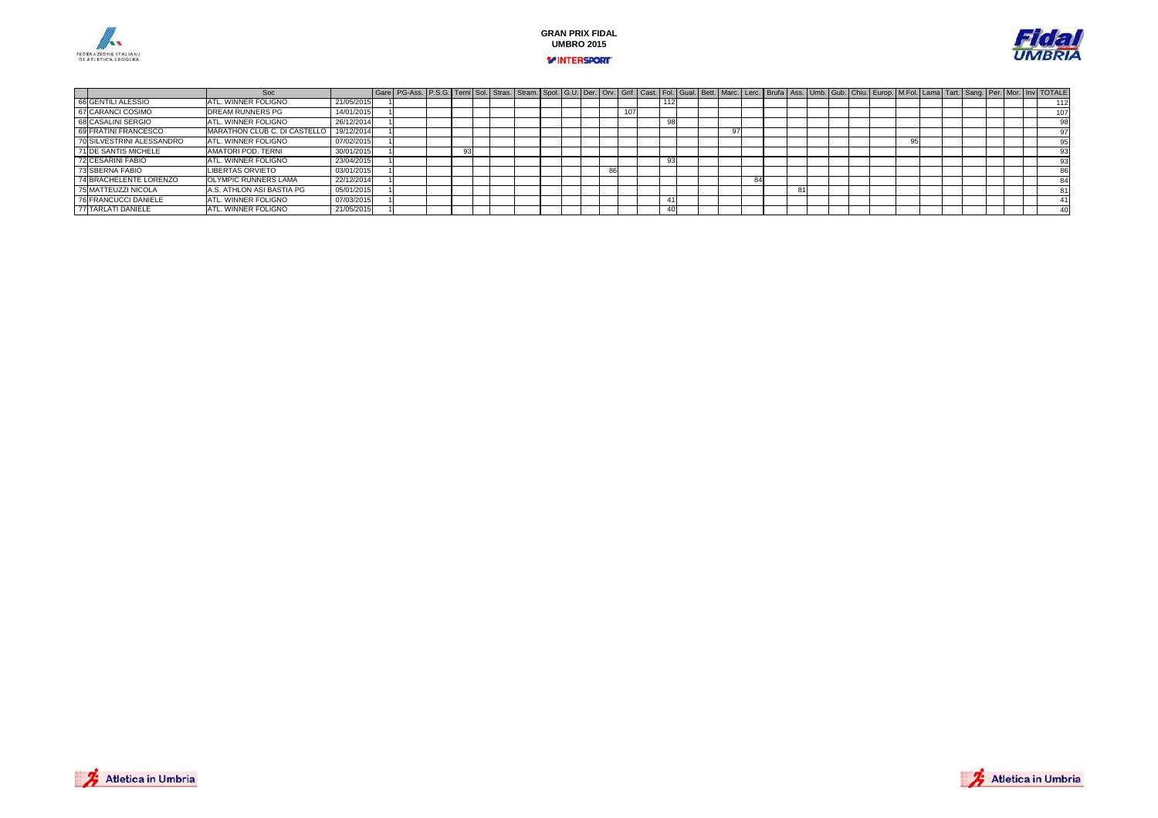





|                             | Soc                          |            | Gare   PG-Ass.   P.S.G.   Terni   Sol.   Stras.   Stram.   Spol.   G.U.   Der.   Orv.   Grif.   Cast.   Fol.   Gual.   Bett.   Marc.   Lerc.   Brufa   Ass.   Umb.   Gub.   Chiu.   Europ.   M.Fol.   Lama   Tart.   Sang.   P |  |  |  |  |    |      |  |  |  |   |  |  |    |  |  |  |      |
|-----------------------------|------------------------------|------------|--------------------------------------------------------------------------------------------------------------------------------------------------------------------------------------------------------------------------------|--|--|--|--|----|------|--|--|--|---|--|--|----|--|--|--|------|
| 66 GENTILI ALESSIO          | <b>ATL, WINNER FOLIGNO</b>   | 21/05/2015 |                                                                                                                                                                                                                                |  |  |  |  |    |      |  |  |  |   |  |  |    |  |  |  | 1121 |
| 67 CARANCI COSIMO           | <b>DREAM RUNNERS PG</b>      | 14/01/2015 |                                                                                                                                                                                                                                |  |  |  |  |    | 1071 |  |  |  |   |  |  |    |  |  |  | 107  |
| 68 CASALINI SERGIO          | ATL. WINNER FOLIGNO          | 26/12/2014 |                                                                                                                                                                                                                                |  |  |  |  |    |      |  |  |  |   |  |  |    |  |  |  |      |
| 69 FRATINI FRANCESCO        | MARATHON CLUB C. DI CASTELLO | 19/12/2014 |                                                                                                                                                                                                                                |  |  |  |  |    |      |  |  |  |   |  |  |    |  |  |  |      |
| 70 SILVESTRINI ALESSANDRO   | ATL. WINNER FOLIGNO          | 07/02/2015 |                                                                                                                                                                                                                                |  |  |  |  |    |      |  |  |  |   |  |  | 95 |  |  |  | 95   |
| 71 DE SANTIS MICHELE        | AMATORI POD, TERNI           | 30/01/2015 |                                                                                                                                                                                                                                |  |  |  |  |    |      |  |  |  |   |  |  |    |  |  |  | 93   |
| 72 CESARINI FABIO           | <b>ATL, WINNER FOLIGNO</b>   | 23/04/2015 |                                                                                                                                                                                                                                |  |  |  |  |    |      |  |  |  |   |  |  |    |  |  |  | 93   |
| 73 SBERNA FABIO             | <b>LIBERTAS ORVIETO</b>      | 03/01/2015 |                                                                                                                                                                                                                                |  |  |  |  | 86 |      |  |  |  |   |  |  |    |  |  |  | 86   |
| 74 BRACHELENTE LORENZO      | <b>OLYMPIC RUNNERS LAMA</b>  | 22/12/2014 |                                                                                                                                                                                                                                |  |  |  |  |    |      |  |  |  |   |  |  |    |  |  |  | 84   |
| 75 MATTEUZZI NICOLA         | A.S. ATHLON ASI BASTIA PG    | 05/01/2015 |                                                                                                                                                                                                                                |  |  |  |  |    |      |  |  |  | 8 |  |  |    |  |  |  |      |
| <b>76 FRANCUCCI DANIELE</b> | ATL, WINNER FOLIGNO          | 07/03/2015 |                                                                                                                                                                                                                                |  |  |  |  |    |      |  |  |  |   |  |  |    |  |  |  |      |
| 77 TARLATI DANIELE          | <b>ATL, WINNER FOLIGNO</b>   | 21/05/2015 |                                                                                                                                                                                                                                |  |  |  |  |    |      |  |  |  |   |  |  |    |  |  |  | 40   |

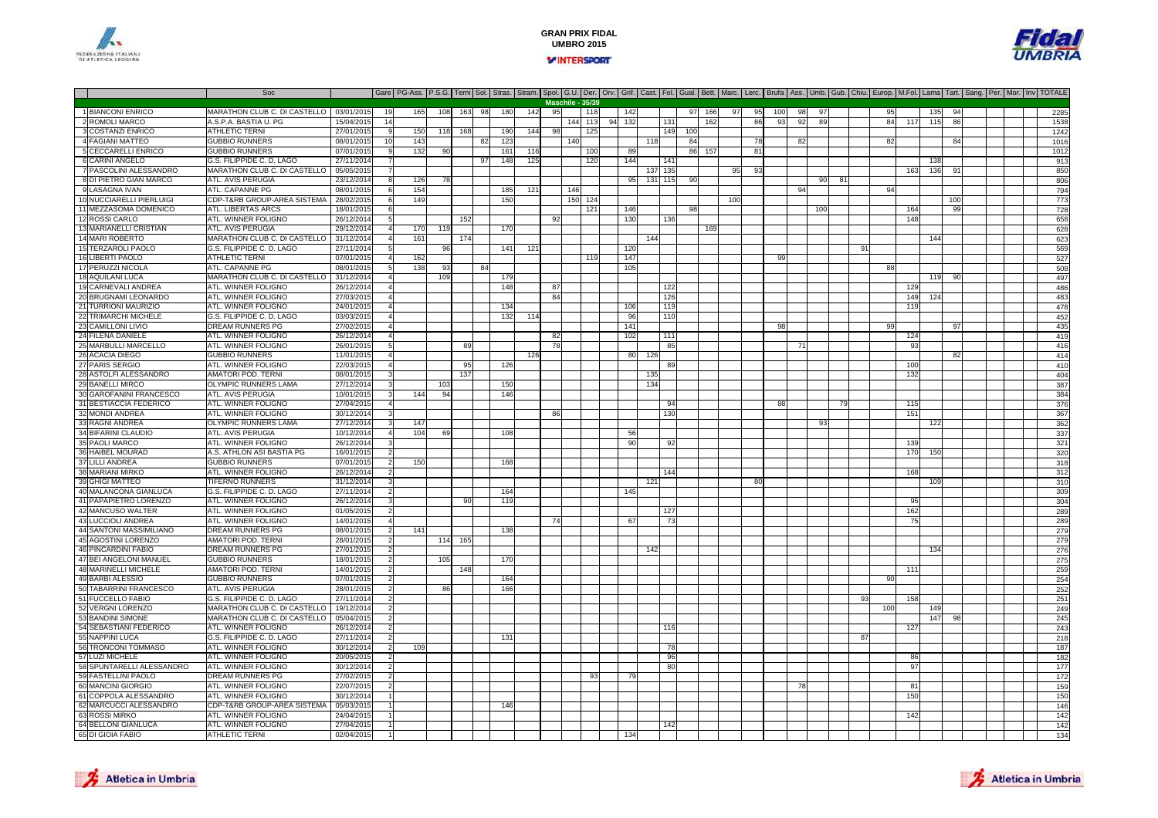



|                                                   | Soc                                         |                          |                | Gare   PG-Ass.   P.S.G. Terni Sol.   Stras.   Stram.   Spol.   G.U.   Der.   Orv.   Grif.   Cast.   Fol.   Gual.   Bett.   Marc.   Lerc.   Brufa   Ass.   Umb.   Gub.   Chiu.   Europ.   M.Fol.   Lama   Tart.   Sang.   Per. |     |        |     |     |     |    |                  |     |        |                 |         |     |           |     |              |     |     |                 |    |    |     |     |                 |                 |  |  |            |
|---------------------------------------------------|---------------------------------------------|--------------------------|----------------|-------------------------------------------------------------------------------------------------------------------------------------------------------------------------------------------------------------------------------|-----|--------|-----|-----|-----|----|------------------|-----|--------|-----------------|---------|-----|-----------|-----|--------------|-----|-----|-----------------|----|----|-----|-----|-----------------|-----------------|--|--|------------|
|                                                   |                                             |                          |                |                                                                                                                                                                                                                               |     |        |     |     |     |    | Maschile - 35/39 |     |        |                 |         |     |           |     |              |     |     |                 |    |    |     |     |                 |                 |  |  |            |
| 1 BIANCONI ENRICO                                 | MARATHON CLUB C. DI CASTELLO                | 03/01/2015               | 19             | 165                                                                                                                                                                                                                           | 108 | 163 98 |     | 180 | 142 | 95 |                  | 118 |        | 142             |         |     | 97<br>166 | 97  | 95           | 100 | 98  | 97              |    |    | 95  |     | 135             |                 |  |  | 2285       |
| 2 ROMOLI MARCO                                    | A.S.P.A. BASTIA U. PG                       | 15/04/2015               | 14             |                                                                                                                                                                                                                               |     |        |     |     |     |    |                  | 113 | 94 132 |                 |         | 131 | 162       |     | 86           | 93  | 92  | 89              |    |    | 84  | 117 | 115             | 86              |  |  | 1538       |
| 3 COSTANZI ENRICO                                 | <b>ATHLETIC TERNI</b>                       | 27/01/2015               |                | 150                                                                                                                                                                                                                           | 118 | 168    |     | 190 | 144 | ٩g |                  | 125 |        |                 |         | 149 | 100       |     |              |     |     |                 |    |    |     |     |                 |                 |  |  | 1242       |
| 4 FAGIANI MATTEO                                  | <b>GUBBIO RUNNERS</b>                       | 08/01/2015               | 10             | 143                                                                                                                                                                                                                           |     |        | -82 | 123 |     |    | 140              |     |        |                 | 118     |     | 84        |     | 78           |     | 82  |                 |    |    | 82  |     |                 | 84              |  |  | 1016       |
| <b>5 CECCARELLI ENRICO</b>                        | <b>GUBBIO RUNNERS</b>                       | 07/01/2015               |                | 132                                                                                                                                                                                                                           | 90  |        |     | 161 | 116 |    |                  | 100 |        | -89             |         |     | 86 157    |     | 81           |     |     |                 |    |    |     |     |                 |                 |  |  | 1012       |
| 6 CARINI ANGELO                                   | G.S. FILIPPIDE C. D. LAGO                   | 27/11/2014               |                |                                                                                                                                                                                                                               |     |        | 97  | 148 | 125 |    |                  | 120 |        | 144             |         | 141 |           |     |              |     |     |                 |    |    |     |     | 131             |                 |  |  | 913        |
| 7 PASCOLINI ALESSANDRO                            | MARATHON CLUB C. DI CASTELLO                | 05/05/201                |                |                                                                                                                                                                                                                               |     |        |     |     |     |    |                  |     |        |                 | 137 135 |     |           | 95  | 93           |     |     |                 |    |    |     | 163 | 136             | 91              |  |  | 850        |
| 8 DI PIETRO GIAN MARCO                            | ATL, AVIS PERUGIA                           | 23/12/2014               |                | 126                                                                                                                                                                                                                           |     |        |     |     |     |    |                  |     |        | 95              | 131     | 115 | 90        |     |              |     |     | 90              |    |    |     |     |                 |                 |  |  | 806        |
| 9 LASAGNA IVAN                                    | ATL. CAPANNE PG                             | 08/01/2015               | 6              | 154                                                                                                                                                                                                                           |     |        |     | 185 | 121 |    | 146              |     |        |                 |         |     |           |     |              |     | 94  |                 |    |    | 94  |     |                 |                 |  |  | 794        |
| 10 NUCCIARELLI PIERLUIGI                          | CDP-T&RB GROUP-AREA SISTEMA                 | 28/02/2015               |                | 149                                                                                                                                                                                                                           |     |        |     | 150 |     |    | 150              | 124 |        |                 |         |     |           | 100 |              |     |     |                 |    |    |     |     |                 | 10 <sup>c</sup> |  |  | 773        |
| 11 MEZZASOMA DOMENICO                             | ATL. LIBERTAS ARCS                          | 18/01/2015               |                |                                                                                                                                                                                                                               |     |        |     |     |     |    |                  | 121 |        | 146             |         |     | 98        |     |              |     |     | 10 <sub>0</sub> |    |    |     | 164 |                 | 99              |  |  | 728        |
| 12 ROSSI CARLO                                    | ATL. WINNER FOLIGNO                         | 26/12/2014               |                |                                                                                                                                                                                                                               |     | 152    |     |     |     | 92 |                  |     |        | 13 <sub>C</sub> |         | 136 |           |     |              |     |     |                 |    |    |     | 148 |                 |                 |  |  | 658        |
| 13 MARIANELLI CRISTIAN                            | ATL. AVIS PERUGIA                           | 29/12/2014               |                | 170                                                                                                                                                                                                                           | 119 |        |     | 170 |     |    |                  |     |        |                 |         |     | 169       |     |              |     |     |                 |    |    |     |     |                 |                 |  |  | 628        |
| 14 MARI ROBERTO                                   | MARATHON CLUB C. DI CASTELLO                | 31/12/201                |                | 161                                                                                                                                                                                                                           |     | 174    |     |     |     |    |                  |     |        |                 | 144     |     |           |     |              |     |     |                 |    |    |     |     | 144             |                 |  |  | 623        |
| 15 TERZAROLI PAOLO                                | G.S. FILIPPIDE C. D. LAGO                   | 27/11/201                |                |                                                                                                                                                                                                                               | 96  |        |     | 141 | 121 |    |                  |     |        | 120             |         |     |           |     |              |     |     |                 |    | 91 |     |     |                 |                 |  |  | 569        |
| 16 LIBERTI PAOLO                                  | ATHLETIC TERNI                              | 07/01/2015               |                | 162                                                                                                                                                                                                                           |     |        |     |     |     |    |                  | 119 |        | 147             |         |     |           |     |              | 99  |     |                 |    |    |     |     |                 |                 |  |  | 527        |
| 17 PERUZZI NICOLA                                 | ATL. CAPANNE PG                             | 08/01/2015               |                | 138                                                                                                                                                                                                                           | 93  |        | 84  |     |     |    |                  |     |        | 105             |         |     |           |     |              |     |     |                 |    |    | 88  |     |                 |                 |  |  | 508        |
| 18 AQUILANI LUCA                                  | MARATHON CLUB C. DI CASTELLO                | 31/12/2014               |                |                                                                                                                                                                                                                               | 109 |        |     | 179 |     |    |                  |     |        |                 |         |     |           |     |              |     |     |                 |    |    |     |     | 119             |                 |  |  | 497        |
| 19 CARNEVALI ANDREA                               | ATL. WINNER FOLIGNO                         | 26/12/201                |                |                                                                                                                                                                                                                               |     |        |     | 148 |     | 87 |                  |     |        |                 |         | 122 |           |     |              |     |     |                 |    |    |     | 129 |                 |                 |  |  | 486        |
| 20 BRUGNAMI LEONARDO                              | <b>ATL. WINNER FOLIGNO</b>                  | 27/03/2015               |                |                                                                                                                                                                                                                               |     |        |     |     |     | 84 |                  |     |        |                 |         | 126 |           |     |              |     |     |                 |    |    |     | 149 | 124             |                 |  |  | 483        |
| 21 TURRIONI MAURIZIO                              | ATL. WINNER FOLIGNO                         | 24/01/2015               |                |                                                                                                                                                                                                                               |     |        |     | 134 |     |    |                  |     |        | 106             |         | 119 |           |     |              |     |     |                 |    |    |     | 119 |                 |                 |  |  | 478        |
| 22 TRIMARCHI MICHELE                              | G.S. FILIPPIDE C. D. LAGO                   | 03/03/2015               |                |                                                                                                                                                                                                                               |     |        |     | 132 | 114 |    |                  |     |        | 96              |         | 110 |           |     |              |     |     |                 |    |    |     |     |                 |                 |  |  | 452        |
| 23 CAMILLONI LIVIO                                | DREAM RUNNERS PG                            | 27/02/201                |                |                                                                                                                                                                                                                               |     |        |     |     |     |    |                  |     |        | 141             |         |     |           |     |              | 98  |     |                 |    |    | 99  |     |                 | -97             |  |  | 435        |
| 24 FILENA DANIELE                                 | ATL. WINNER FOLIGNO                         | 26/12/2014               |                |                                                                                                                                                                                                                               |     |        |     |     |     | 82 |                  |     |        | 102             |         | 111 |           |     |              |     |     |                 |    |    |     | 124 |                 |                 |  |  | 419        |
| 25 MARBULLI MARCELLO                              | ATL. WINNER FOLIGNO                         | 26/01/2015               | 5              |                                                                                                                                                                                                                               |     | 89     |     |     |     | 78 |                  |     |        |                 |         | 85  |           |     |              |     | -71 |                 |    |    |     | 93  |                 |                 |  |  | 416        |
| 26 ACACIA DIEGO                                   | <b>GUBBIO RUNNERS</b>                       | 11/01/2015               |                |                                                                                                                                                                                                                               |     |        |     |     | 126 |    |                  |     |        | -80             | 126     |     |           |     |              |     |     |                 |    |    |     |     |                 | 82              |  |  | 414        |
| 27 PARIS SERGIO                                   | ATL. WINNER FOLIGNO                         | 22/03/2015               |                |                                                                                                                                                                                                                               |     | 95     |     | 126 |     |    |                  |     |        |                 |         |     |           |     |              |     |     |                 |    |    |     | 100 |                 |                 |  |  | 410        |
| 28 ASTOLFI ALESSANDRO                             | <b>AMATORI POD. TERNI</b>                   | 08/01/2015               |                |                                                                                                                                                                                                                               |     | 137    |     |     |     |    |                  |     |        |                 | 135     |     |           |     |              |     |     |                 |    |    |     | 132 |                 |                 |  |  | 404        |
| 29 BANELLI MIRCO                                  | OLYMPIC RUNNERS LAMA                        | 27/12/2014               |                |                                                                                                                                                                                                                               | 103 |        |     | 150 |     |    |                  |     |        |                 | 134     |     |           |     |              |     |     |                 |    |    |     |     |                 |                 |  |  | 387        |
| 30 GAROFANINI FRANCESCO                           | ATL. AVIS PERUGIA                           | 10/01/2015               |                | 144                                                                                                                                                                                                                           | Q   |        |     | 146 |     |    |                  |     |        |                 |         |     |           |     |              |     |     |                 |    |    |     |     |                 |                 |  |  | 384        |
| 31 BESTIACCIA FEDERICO                            | ATL. WINNER FOLIGNO                         | 27/04/201                |                |                                                                                                                                                                                                                               |     |        |     |     |     |    |                  |     |        |                 |         | 94  |           |     |              | 88  |     |                 | 79 |    |     | 115 |                 |                 |  |  | 376        |
| 32 MONDI ANDREA                                   | ATL. WINNER FOLIGNO                         | 30/12/2014               |                |                                                                                                                                                                                                                               |     |        |     |     |     | 86 |                  |     |        |                 |         | 130 |           |     |              |     |     |                 |    |    |     | 151 |                 |                 |  |  | 367        |
| 33 RAGNI ANDREA                                   | OLYMPIC RUNNERS LAMA                        | 27/12/201                |                | 147                                                                                                                                                                                                                           |     |        |     |     |     |    |                  |     |        |                 |         |     |           |     |              |     |     | 93              |    |    |     |     | 12              |                 |  |  | 362        |
| 34 BIFARINI CLAUDIO                               | ATL. AVIS PERUGIA                           | 10/12/201                |                | 104                                                                                                                                                                                                                           | 69  |        |     | 108 |     |    |                  |     |        | 56              |         |     |           |     |              |     |     |                 |    |    |     |     |                 |                 |  |  | 337        |
| 35 PAOLI MARCO                                    | ATL. WINNER FOLIGNO                         | 26/12/201                | 3              |                                                                                                                                                                                                                               |     |        |     |     |     |    |                  |     |        | 90              |         | -92 |           |     |              |     |     |                 |    |    |     | 139 |                 |                 |  |  | 321        |
| 36 HAIBEL MOURAD                                  | A.S. ATHLON ASI BASTIA PG                   | 16/01/2015               |                |                                                                                                                                                                                                                               |     |        |     |     |     |    |                  |     |        |                 |         |     |           |     |              |     |     |                 |    |    |     | 170 | 150             |                 |  |  | 320        |
| 37 LILLI ANDREA                                   | <b>GUBBIO RUNNERS</b>                       | 07/01/2015               |                | 150                                                                                                                                                                                                                           |     |        |     | 165 |     |    |                  |     |        |                 |         |     |           |     |              |     |     |                 |    |    |     |     |                 |                 |  |  | 318        |
| 38 MARIANI MIRKO                                  | ATL. WINNER FOLIGNO                         | 26/12/2014               |                |                                                                                                                                                                                                                               |     |        |     |     |     |    |                  |     |        |                 |         | 144 |           |     |              |     |     |                 |    |    |     | 168 |                 |                 |  |  | 312        |
| 39 GHIGI MATTEO                                   | <b>TIFERNO RUNNERS</b>                      | 31/12/2014               |                |                                                                                                                                                                                                                               |     |        |     |     |     |    |                  |     |        |                 | 121     |     |           |     | $_{\rm{AG}}$ |     |     |                 |    |    |     |     | 10 <sup>6</sup> |                 |  |  | 310        |
| 40 MALANCONA GIANLUCA                             | G.S. FILIPPIDE C. D. LAGO                   | 27/11/2014               |                |                                                                                                                                                                                                                               |     |        |     | 164 |     |    |                  |     |        | 145             |         |     |           |     |              |     |     |                 |    |    |     |     |                 |                 |  |  | 309        |
| 41 PAPAPIETRO LORENZO                             | ATL. WINNER FOLIGNO                         | 26/12/2014               |                |                                                                                                                                                                                                                               |     | 90     |     | 119 |     |    |                  |     |        |                 |         |     |           |     |              |     |     |                 |    |    |     |     |                 |                 |  |  | 304        |
| 42 MANCUSO WALTER                                 | ATL. WINNER FOLIGNO                         | 01/05/201                |                |                                                                                                                                                                                                                               |     |        |     |     |     |    |                  |     |        |                 |         | 127 |           |     |              |     |     |                 |    |    |     | 162 |                 |                 |  |  | 289        |
| 43 LUCCIOLI ANDREA                                | ATL. WINNER FOLIGNO                         | 14/01/2015               |                |                                                                                                                                                                                                                               |     |        |     |     |     |    |                  |     |        | -67             |         | -73 |           |     |              |     |     |                 |    |    |     | 75  |                 |                 |  |  | 289        |
| 44 SANTONI MASSIMILIANO                           | DREAM RUNNERS PG                            | 08/01/2015               |                | 141                                                                                                                                                                                                                           |     |        |     | 138 |     |    |                  |     |        |                 |         |     |           |     |              |     |     |                 |    |    |     |     |                 |                 |  |  | 279        |
| 45 AGOSTINI LORENZO<br><b>46 PINCARDINI FABIO</b> | AMATORI POD. TERNI<br>DREAM RUNNERS PG      | 28/01/2015<br>27/01/2015 |                |                                                                                                                                                                                                                               | 114 | 165    |     |     |     |    |                  |     |        |                 | 142     |     |           |     |              |     |     |                 |    |    |     |     | 134             |                 |  |  | 279<br>276 |
| 47 BEI ANGELONI MANUEL                            |                                             |                          |                |                                                                                                                                                                                                                               |     |        |     |     |     |    |                  |     |        |                 |         |     |           |     |              |     |     |                 |    |    |     |     |                 |                 |  |  |            |
| <b>48 MARINELLI MICHELE</b>                       | <b>GUBBIO RUNNERS</b><br>AMATORI POD. TERNI | 18/01/2015<br>14/01/2015 |                |                                                                                                                                                                                                                               | 105 | 148    |     | 170 |     |    |                  |     |        |                 |         |     |           |     |              |     |     |                 |    |    |     | 111 |                 |                 |  |  | 275<br>259 |
| 49 BARBI ALESSIO                                  | <b>GUBBIO RUNNERS</b>                       | 07/01/201                |                |                                                                                                                                                                                                                               |     |        |     | 164 |     |    |                  |     |        |                 |         |     |           |     |              |     |     |                 |    |    | 90  |     |                 |                 |  |  | 254        |
| 50 TABARRINI FRANCESCO                            | ATL. AVIS PERUGIA                           | 28/01/2015               |                |                                                                                                                                                                                                                               | 86  |        |     | 166 |     |    |                  |     |        |                 |         |     |           |     |              |     |     |                 |    |    |     |     |                 |                 |  |  | 252        |
| 51 FUCCELLO FABIO                                 | G.S. FILIPPIDE C. D. LAGO                   | 27/11/2014               |                |                                                                                                                                                                                                                               |     |        |     |     |     |    |                  |     |        |                 |         |     |           |     |              |     |     |                 |    | ٩3 |     | 158 |                 |                 |  |  | 251        |
| 52 VERGNI LORENZO                                 | MARATHON CLUB C. DI CASTELLO                | 19/12/2014               |                |                                                                                                                                                                                                                               |     |        |     |     |     |    |                  |     |        |                 |         |     |           |     |              |     |     |                 |    |    | 100 |     | 149             |                 |  |  | 249        |
| 53 BANDINI SIMONE                                 | MARATHON CLUB C. DI CASTELLO                | 05/04/201                |                |                                                                                                                                                                                                                               |     |        |     |     |     |    |                  |     |        |                 |         |     |           |     |              |     |     |                 |    |    |     |     | 147             | 98              |  |  | 245        |
| 54 SEBASTIANI FEDERICO                            | ATL. WINNER FOLIGNO                         | 26/12/2014               | $\overline{2}$ |                                                                                                                                                                                                                               |     |        |     |     |     |    |                  |     |        |                 |         | 116 |           |     |              |     |     |                 |    |    |     | 127 |                 |                 |  |  | 243        |
| 55 NAPPINI LUCA                                   | G.S. FILIPPIDE C. D. LAGO                   | 27/11/2014               |                |                                                                                                                                                                                                                               |     |        |     | 131 |     |    |                  |     |        |                 |         |     |           |     |              |     |     |                 |    | 87 |     |     |                 |                 |  |  | 218        |
| 56 TRONCONI TOMMASO                               | ATL. WINNER FOLIGNO                         | 30/12/201                |                | 109                                                                                                                                                                                                                           |     |        |     |     |     |    |                  |     |        |                 |         | -78 |           |     |              |     |     |                 |    |    |     |     |                 |                 |  |  | 187        |
| 57 LUZI MICHELE                                   | ATL. WINNER FOLIGNO                         | 20/05/2015               |                |                                                                                                                                                                                                                               |     |        |     |     |     |    |                  |     |        |                 |         | 96  |           |     |              |     |     |                 |    |    |     | 86  |                 |                 |  |  | 182        |
| 58 SPUNTARELLI ALESSANDRO                         | ATL. WINNER FOLIGNO                         | 30/12/201                | $\mathcal{P}$  |                                                                                                                                                                                                                               |     |        |     |     |     |    |                  |     |        |                 |         | 80  |           |     |              |     |     |                 |    |    |     | 97  |                 |                 |  |  | 177        |
| 59 FASTELLINI PAOLO                               | DREAM RUNNERS PG                            | 27/02/2015               | $\overline{2}$ |                                                                                                                                                                                                                               |     |        |     |     |     |    |                  | 93  |        |                 |         |     |           |     |              |     |     |                 |    |    |     |     |                 |                 |  |  | 172        |
| 60 MANCINI GIORGIO                                | ATL. WINNER FOLIGNO                         | 22/07/2019               |                |                                                                                                                                                                                                                               |     |        |     |     |     |    |                  |     |        |                 |         |     |           |     |              |     | 78  |                 |    |    |     | 81  |                 |                 |  |  | 159        |
| 61 COPPOLA ALESSANDRO                             | ATL. WINNER FOLIGNO                         | 30/12/201                |                |                                                                                                                                                                                                                               |     |        |     |     |     |    |                  |     |        |                 |         |     |           |     |              |     |     |                 |    |    |     | 150 |                 |                 |  |  | 150        |
| 62 MARCUCCI ALESSANDRO                            | CDP-T&RB GROUP-AREA SISTEMA                 | 05/03/201                |                |                                                                                                                                                                                                                               |     |        |     | 146 |     |    |                  |     |        |                 |         |     |           |     |              |     |     |                 |    |    |     |     |                 |                 |  |  | 146        |
| 63 ROSSI MIRKO                                    | ATL. WINNER FOLIGNO                         | 24/04/2015               |                |                                                                                                                                                                                                                               |     |        |     |     |     |    |                  |     |        |                 |         |     |           |     |              |     |     |                 |    |    |     | 142 |                 |                 |  |  | 142        |
| 64 BELLONI GIANLUCA                               | ATL. WINNER FOLIGNO                         | 27/04/2015               |                |                                                                                                                                                                                                                               |     |        |     |     |     |    |                  |     |        |                 |         |     |           |     |              |     |     |                 |    |    |     |     |                 |                 |  |  | 142        |
| 65 DI GIOIA FABIO                                 | <b>ATHLETIC TERNI</b>                       | 02/04/2015               |                |                                                                                                                                                                                                                               |     |        |     |     |     |    |                  |     |        | 134             |         |     |           |     |              |     |     |                 |    |    |     |     |                 |                 |  |  | 134        |
|                                                   |                                             |                          |                |                                                                                                                                                                                                                               |     |        |     |     |     |    |                  |     |        |                 |         |     |           |     |              |     |     |                 |    |    |     |     |                 |                 |  |  |            |



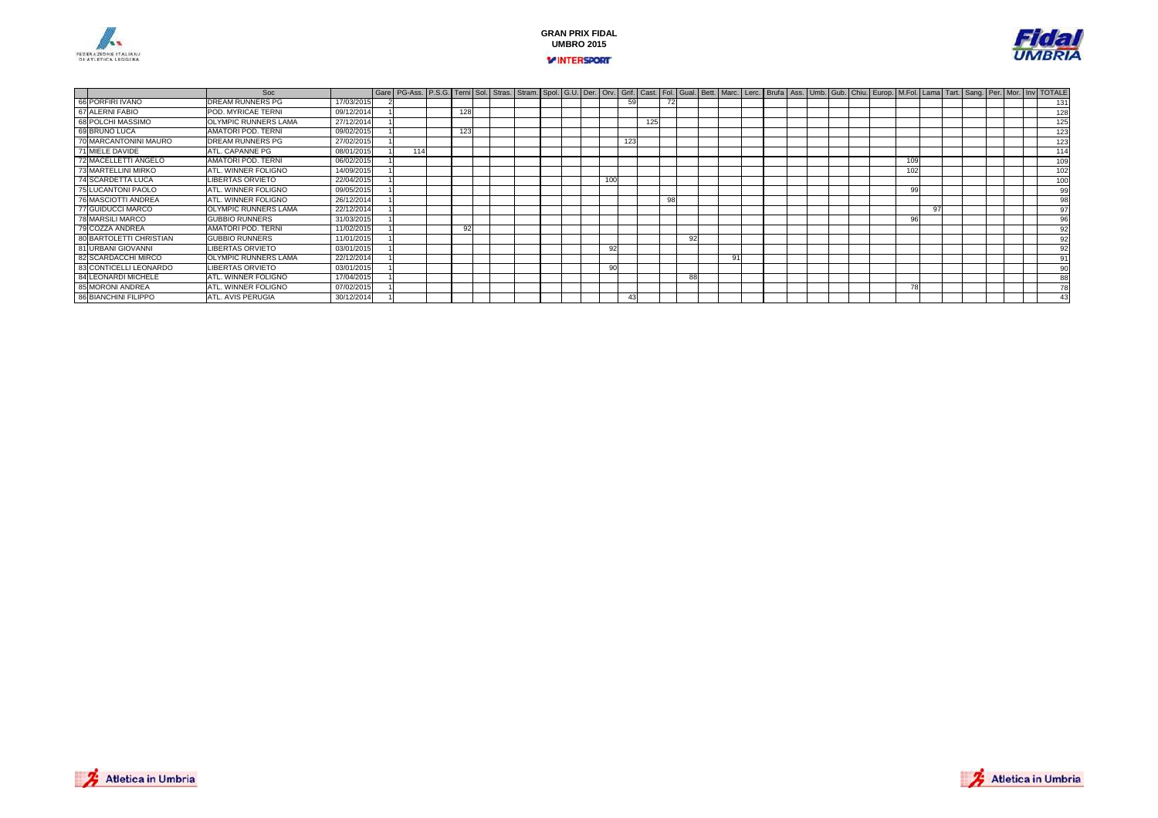





|                         | Soc                         |            | Gare   PG-Ass.   P.S.G.   Terni   Sol.   Stras.   Stram.   Spol.   G.U.   Der.   Orv.   Grit.   Cast.   Fol.   Gual.   Bett.   Marc.   Lerc.   Brufa   Ass.   Umb.   Gub.   Chiu.   Europ.   M.Fol.   Lama   Tart.   Sang. |     |  |  |  |          |     |     |    |    |          |  |  |  |                |  |  |  |     |
|-------------------------|-----------------------------|------------|----------------------------------------------------------------------------------------------------------------------------------------------------------------------------------------------------------------------------|-----|--|--|--|----------|-----|-----|----|----|----------|--|--|--|----------------|--|--|--|-----|
| 66 PORFIRI IVANO        | DREAM RUNNERS PG            | 17/03/2015 |                                                                                                                                                                                                                            |     |  |  |  |          | 59  |     |    |    |          |  |  |  |                |  |  |  | 131 |
| 67 ALERNI FABIO         | POD. MYRICAE TERNI          | 09/12/2014 |                                                                                                                                                                                                                            | 128 |  |  |  |          |     |     |    |    |          |  |  |  |                |  |  |  | 128 |
| 68 POLCHI MASSIMO       | OLYMPIC RUNNERS LAMA        | 27/12/2014 |                                                                                                                                                                                                                            |     |  |  |  |          |     | 125 |    |    |          |  |  |  |                |  |  |  | 125 |
| 69 BRUNO LUCA           | AMATORI POD. TERNI          | 09/02/2015 |                                                                                                                                                                                                                            | 123 |  |  |  |          |     |     |    |    |          |  |  |  |                |  |  |  | 123 |
| 70 MARCANTONINI MAURO   | DREAM RUNNERS PG            | 27/02/2015 |                                                                                                                                                                                                                            |     |  |  |  |          | 123 |     |    |    |          |  |  |  |                |  |  |  | 123 |
| 71 MIELE DAVIDE         | ATL. CAPANNE PG             | 08/01/2015 | 114                                                                                                                                                                                                                        |     |  |  |  |          |     |     |    |    |          |  |  |  |                |  |  |  | 114 |
| 72 MACELLETTI ANGELO    | AMATORI POD. TERNI          | 06/02/2015 |                                                                                                                                                                                                                            |     |  |  |  |          |     |     |    |    |          |  |  |  | 100            |  |  |  | 109 |
| 73 MARTELLINI MIRKO     | ATL. WINNER FOLIGNO         | 14/09/2015 |                                                                                                                                                                                                                            |     |  |  |  |          |     |     |    |    |          |  |  |  |                |  |  |  | 102 |
| 74 SCARDETTA LUCA       | <b>LIBERTAS ORVIETO</b>     | 22/04/2015 |                                                                                                                                                                                                                            |     |  |  |  | 100      |     |     |    |    |          |  |  |  |                |  |  |  | 100 |
| 75 LUCANTONI PAOLO      | ATL. WINNER FOLIGNO         | 09/05/2015 |                                                                                                                                                                                                                            |     |  |  |  |          |     |     |    |    |          |  |  |  | 99             |  |  |  | 99  |
| 76 MASCIOTTI ANDREA     | ATL. WINNER FOLIGNO         | 26/12/2014 |                                                                                                                                                                                                                            |     |  |  |  |          |     |     | 98 |    |          |  |  |  |                |  |  |  | 98  |
| 77 GUIDUCCI MARCO       | OLYMPIC RUNNERS LAMA        | 22/12/2014 |                                                                                                                                                                                                                            |     |  |  |  |          |     |     |    |    |          |  |  |  |                |  |  |  | 97  |
| 78 MARSILI MARCO        | <b>GUBBIO RUNNERS</b>       | 31/03/2015 |                                                                                                                                                                                                                            |     |  |  |  |          |     |     |    |    |          |  |  |  | 96             |  |  |  | 96  |
| 79 COZZA ANDREA         | AMATORI POD. TERNI          | 11/02/2015 |                                                                                                                                                                                                                            | 92  |  |  |  |          |     |     |    |    |          |  |  |  |                |  |  |  | 92  |
| 80 BARTOLETTI CHRISTIAN | <b>GUBBIO RUNNERS</b>       | 11/01/2015 |                                                                                                                                                                                                                            |     |  |  |  |          |     |     |    | 92 |          |  |  |  |                |  |  |  | 92  |
| 81 URBANI GIOVANNI      | <b>LIBERTAS ORVIETO</b>     | 03/01/2015 |                                                                                                                                                                                                                            |     |  |  |  |          |     |     |    |    |          |  |  |  |                |  |  |  | 92  |
| 82 SCARDACCHI MIRCO     | <b>OLYMPIC RUNNERS LAMA</b> | 22/12/2014 |                                                                                                                                                                                                                            |     |  |  |  |          |     |     |    |    | $\Omega$ |  |  |  |                |  |  |  | 91  |
| 83 CONTICELLI LEONARDO  | <b>LIBERTAS ORVIETO</b>     | 03/01/2015 |                                                                                                                                                                                                                            |     |  |  |  | $\alpha$ |     |     |    |    |          |  |  |  |                |  |  |  | 90  |
| 84 LEONARDI MICHELE     | ATL. WINNER FOLIGNO         | 17/04/2015 |                                                                                                                                                                                                                            |     |  |  |  |          |     |     |    | 88 |          |  |  |  |                |  |  |  | 88  |
| 85 MORONI ANDREA        | ATL. WINNER FOLIGNO         | 07/02/2015 |                                                                                                                                                                                                                            |     |  |  |  |          |     |     |    |    |          |  |  |  | 7 <sub>c</sub> |  |  |  | 78  |
| 86 BIANCHINI FILIPPO    | ATL. AVIS PERUGIA           | 30/12/2014 |                                                                                                                                                                                                                            |     |  |  |  |          | 4:  |     |    |    |          |  |  |  |                |  |  |  | 43  |

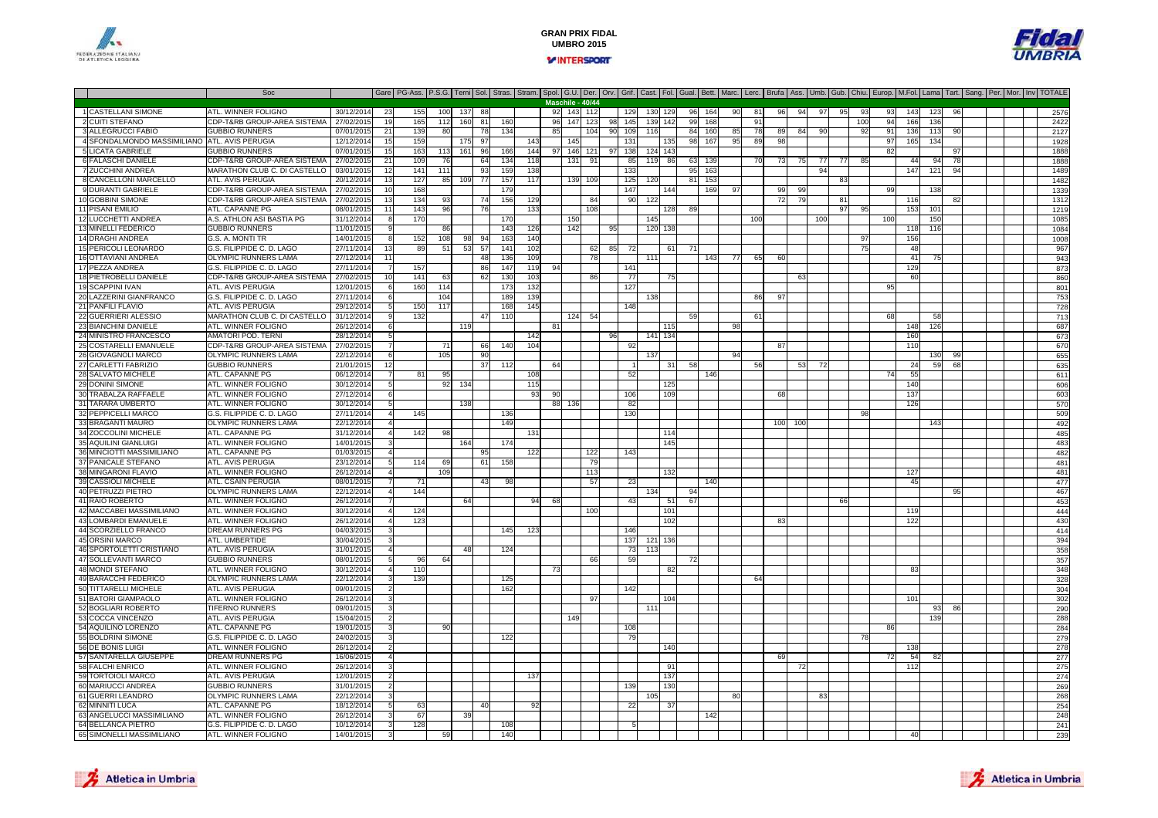



#### Soc Gare PG-Ass. P.S.G. Terni Sol. Stras. Stram. Spol. G.U. Der. Orv. Grif. Cast. Fol. Gual. Bett. Marc. Lerc. Brufa Ass. Umb. Gub. Chiu. Europ. M.Fol. Lama Tart. Sang. Per. Mor. Inv TOTALE 1 CASTELLANI SIMONE ATL. WINNER FOLIGNO 30/12/2014 <sup>23</sup> <sup>155</sup> <sup>100</sup> <sup>137</sup> <sup>88</sup> <sup>92</sup> <sup>143</sup> <sup>112</sup> <sup>129</sup> <sup>130</sup> <sup>129</sup> <sup>96</sup> <sup>164</sup> <sup>90</sup> <sup>81</sup> <sup>96</sup> <sup>94</sup> <sup>97</sup> <sup>95</sup> <sup>93</sup> <sup>93</sup> <sup>143</sup> <sup>123</sup> <sup>96</sup> <sup>2576</sup> 2 CUITI STEFANOCDP-T&RB GROUP-AREA SISTEMA 27/02/2015 19 165 112 160 81 160 96 147 123 98 145 139 142 99 168 91 100 14 100 94<br>GUBBIO RUNNERS 07/01/2015 21 139 80 78 134 85 104 90 109 116 84 160 85 78 89 84 90 92 91 136 113 90 1 2127 3 ALLEGRUCCI FABIO GUBBIO RUNNERS 07/01/2015 <sup>21</sup> <sup>139</sup> <sup>80</sup> <sup>78</sup> <sup>134</sup> <sup>85</sup> <sup>104</sup> <sup>90</sup> <sup>109</sup> <sup>116</sup> <sup>84</sup> <sup>160</sup> <sup>85</sup> <sup>78</sup> <sup>89</sup> <sup>84</sup> <sup>90</sup> <sup>92</sup> <sup>91</sup> <sup>136</sup> <sup>113</sup> <sup>90</sup> <sup>2127</sup> 4 SFONDALMONDO MASSIMILIANO0 ATL. AVIS PERUGIA | 12/12/2014 15 159 | 175 97 | 143 | 145 | 131 | 135 98 167 95 89 98 | | | 97 165 134 | | | | 1928 5 LICATA GABRIELE GUBBIO RUNNERS 07/01/2015 <sup>15</sup> <sup>163</sup> <sup>113</sup> <sup>161</sup> <sup>96</sup> <sup>166</sup> <sup>144</sup> <sup>97</sup> <sup>146</sup> <sup>121</sup> <sup>97</sup> <sup>138</sup> <sup>124</sup> <sup>143</sup> <sup>82</sup> <sup>97</sup> <sup>1888</sup> 6 FALASCHI DANIELEE CDP-T&RB GROUP-AREA SISTEMA | 27/02/2015 21 109 76 64 134 118 135 139 1 85 119 86 63 139 70 73 75 77 77 85 44 94 78 1 7 ZUCCHINI ANDREAMARATHON CLUB C. DI CASTELLO 03/01/2015<br>ATL AVIS PERLIGIA 20/12/2014 0 03/01/2015 12 141 111 93 159 138 159 138 139 139 139 139 139 140 140 141 142 143 143 144 1489 1489 1480 1480 8 CANCELLONI MARCELLO0 ATLAVIS PERUGIA 20/12/2014 13 127 85 109 77 157 117 139 109 125 120 81 153 1 1 83 3 3 4 4 4 4 4 4 482 9 DURANTI GABRIELE CDP-T&RB GROUP-AREA SISTEMA 27/02/2015 <sup>10</sup> <sup>168</sup> <sup>179</sup> <sup>147</sup> <sup>144</sup> <sup>169</sup> <sup>97</sup> <sup>99</sup> <sup>99</sup> <sup>99</sup> <sup>138</sup> <sup>1339</sup> 10 GOBBINI SIMONE CDP-T&RB GROUP-AREA SISTEMA 27/02/2015 <sup>13</sup> <sup>134</sup> <sup>93</sup> <sup>74</sup> <sup>156</sup> <sup>129</sup> <sup>84</sup> <sup>90</sup> <sup>122</sup> <sup>72</sup> <sup>79</sup> <sup>81</sup> <sup>116</sup> <sup>82</sup> <sup>1312</sup> 11 PISANI EMILIO ATL. CAPANNE PG 08/01/2015 <sup>11</sup> <sup>143</sup> <sup>96</sup> <sup>76</sup> <sup>133</sup> <sup>108</sup> <sup>128</sup> <sup>89</sup> <sup>97</sup> <sup>95</sup> <sup>153</sup> <sup>101</sup> <sup>1219</sup> 12 LUCCHETTI ANDREAA.S. ATHLON ASI BASTIA PG<br>GUBBIO RUNNERS <u>G 31/12/2014 8 170 | 170 | 150 | 150 | 145 | 146 | 100 | 100 | 100 | 100 | 150 | | | 1</u> 13 MINELLI FEDERICOO GUBBIO RUNNERS 101/01/2015 9 86 1 143 126 142 95 120 138 1 1 1 1 1 1 1 1 118 116 1 118 119 1 14 DRAGHI ANDREAG.S. A. MONTI TR<br>G.S. FILIPPIDE C. D. LAGO R 14/01/2015 8 152 108 98 94 163 140 | | | | | | | | | | | | | | | | | 97 | 156 | | | | | | 1008 15 PERICOLI LEONARDO0 G.S. FILIPPIDE C. D. LAGO 27/11/2014 13 89 51 53 57 141 102 62 85 72 61 71 9 46 9 72 867 16 OTTAVIANI ANDREA OLYMPIC RUNNERS LAMA 27/12/2014 <sup>11</sup> <sup>48</sup> <sup>136</sup> <sup>109</sup> <sup>78</sup> <sup>111</sup> <sup>143</sup> <sup>77</sup> <sup>65</sup> <sup>60</sup> <sup>41</sup> <sup>75</sup> <sup>943</sup> 17 PEZZA ANDREAG.S. FILIPPIDE C. D. LAGO<br>CDP-T&RB GROUP-AREA SISTEMA 27/11/2014 <sup>7</sup> <sup>157</sup> <sup>86</sup> <sup>147</sup> <sup>119</sup> <sup>94</sup> <sup>141</sup> <sup>129</sup> <sup>873</sup> 18 PIETROBELLI DANIELEE CDP-T&RB GROUP-AREA SISTEMA | 27/02/2015 10 141 63 63 62 130 103 1 86 77 75 75 9 9 860 87 880 880 880 880 880 19 SCAPPINI IVAN ATL. AVIS PERUGIA 12/01/2015 <sup>6</sup> <sup>160</sup> <sup>114</sup> <sup>173</sup> <sup>132</sup> <sup>127</sup> <sup>95</sup> <sup>801</sup> 20 LAZZERINI GIANFRANCOO G.S. FILIPPIDE C. D. LAGO 27/11/2014| 6 104 109 139 139 1 138 139 139 139 139 139 139 140 159 159 159 159 15 21 PANFILI FLAVIO ATL. AVIS PERUGIA 29/12/2014 <sup>5</sup> <sup>150</sup> <sup>117</sup> <sup>168</sup> <sup>145</sup> <sup>148</sup> <sup>728</sup> 22 GUERRIERI ALESSIO MARATHON CLUB C. DI CASTELLO 31/12/2014 <sup>9</sup> <sup>132</sup> <sup>47</sup> <sup>110</sup> <sup>124</sup> <sup>54</sup> <sup>59</sup> <sup>61</sup> <sup>68</sup> <sup>58</sup> <sup>713</sup> 23 BIANCHINI DANIELEATL. WINNER FOLIGNO 26/12/2014 <sup>6</sup> <sup>119</sup> <sup>81</sup> <sup>115</sup> <sup>98</sup> <sup>148</sup> <sup>126</sup> <sup>687</sup> 24 MINISTRO FRANCESCO AMATORI POD. TERNI 28/12/2014 <sup>5</sup> <sup>142</sup> <sup>96</sup> <sup>141</sup> <sup>134</sup> <sup>160</sup> <sup>673</sup> 25 COSTARELLI EMANUELE CDP-T&RB GROUP-AREA SISTEMA 27/02/2015 <sup>7</sup> <sup>71</sup> <sup>66</sup> <sup>140</sup> <sup>104</sup> <sup>92</sup> <sup>87</sup> <sup>110</sup> <sup>670</sup> 26 GIOVAGNOLI MARCOO OLYMPIC RUNNERS LAMA 22/12/2014 6 105 106 106 107 137 1 137 1 137 1 14 14 14 14 14 14 14 14 150 99 1 1 1 655 27 CARLETTI FABRIZIOO GUBBIO RUNNERS 21/01/2015 12 37 12 4 59 112 54 1 31 58 35 36 37 37 38 38 39 39 40 31 58 39 40 31 58 40 31 58<br>- The Contract of the Contract of the San Section 1, 2014 1, 31 58 38 39 39 30 31 32 33 34 59 50 31 32 34 59 68 **Maschile - 40/44**92 143 112 28 SALVATO MICHELE ATL. CAPANNE PG06/12/2014 7 81 95 | 108 | 1 52 | 146 | | | | | 146 | | | 74 55 | | | | | | | | | 29 DONINI SIMONE**ATL. WINNER FOLIGNC**  30/12/2014 <sup>5</sup> <sup>92</sup> <sup>134</sup> <sup>115</sup> <sup>125</sup> <sup>140</sup> <sup>606</sup> 30 TRABALZA RAFFAELEATL. WINNER FOLIGNO<br>ATL. WINNER FOLIGNO 27/12/2014 <sup>6</sup> <sup>93</sup> <sup>90</sup> <sup>106</sup> <sup>109</sup> <sup>68</sup> <sup>137</sup> <sup>603</sup> 31 TARARA UMBERTOO ATL. WINNER FOLIGNO 30/12/2014 5 138 138 89 136 38 38 42 126 126 126 127 128 128 129 129 129 120 120 120 120 32 PEPPICELLI MARCO G.S. FILIPPIDE C. D. LAGO 27/11/2014 <sup>4</sup> <sup>145</sup> <sup>136</sup> <sup>130</sup> <sup>98</sup> <sup>509</sup> 33 BRAGANTI MAURO OLYMPIC RUNNERS LAMA 22/12/2014 <sup>4</sup> <sup>149</sup> <sup>100</sup> <sup>100</sup> <sup>143</sup> <sup>492</sup> 34 ZOCCOLINI MICHELE ATL. CAPANNE PG 31/12/2014 <sup>4</sup> <sup>142</sup> <sup>98</sup> <sup>131</sup> <sup>114</sup> <sup>485</sup> 35 AQUILINI GIANLUIGI ATL. WINNER FOLIGNO<br>ATL. CAPANNE PG 14/01/2015 <sup>3</sup> <sup>164</sup> <sup>174</sup> <sup>145</sup> <sup>483</sup> 36 MINCIOTTI MASSIMILIANO ATL. CAPANNE PG 01/03/2015 <sup>4</sup> <sup>95</sup> <sup>122</sup> <sup>122</sup> <sup>143</sup> <sup>482</sup> 37 PANICALE STEFANO ATL. AVIS PERUGIA 23/12/2014 <sup>5</sup> <sup>114</sup> <sup>69</sup> <sup>61</sup> <sup>158</sup> <sup>79</sup> <sup>481</sup> 38 MINGARONI FLAVIO0 ATL. WINNER FOLIGNO 26/12/2014 4 109 113 113 113 120 120 120 120 121 127 113 127 11 39 CASSIOLI MICHELEE ATL. CSAIN PERUGIA | 08/01/2015 7| 71 | 43| 98| | | 57| 23 | | 140| | | | | | | | | | 45| | | | | | | 477 40 PETRUZZI PIETRO OLYMPIC RUNNERS LAMA 22/12/2014 <sup>4</sup> <sup>144</sup> <sup>134</sup> <sup>94</sup> <sup>95</sup> <sup>467</sup> 41 RAIO ROBERTO ATL. WINNER FOLIGNO 26/12/2014 <sup>7</sup> <sup>64</sup> <sup>94</sup> <sup>68</sup> <sup>43</sup> <sup>51</sup> <sup>67</sup> <sup>66</sup> <sup>453</sup> 42 MACCABEI MASSIMILIANO ATL. WINNER FOLIGNO 30/12/2014 <sup>4</sup> <sup>124</sup> <sup>100</sup> <sup>101</sup> <sup>119</sup> <sup>444</sup> 43 LOMBARDI EMANUELEATL. WINNER FOLIGNO 0 126/12/2014 4 123 | | | | | | | | | | | | 102 | | | | 83 | | | | | | 122 | | | | | | | | 430 | | | | | | | 430 44 SCORZIELLO FRANCO DREAM RUNNERS PG 04/03/2015 <sup>3</sup> <sup>145</sup> <sup>123</sup> <sup>146</sup> <sup>414</sup> 45 ORSINI MARCO ATL. UMBERTIDE 30/04/2015 <sup>3</sup> <sup>137</sup> <sup>121</sup> <sup>136</sup> <sup>394</sup> 46 SPORTOLETTI CRISTIANO0 ATLAVIS PERUGIA | 31/01/2015 4 48 124 124 124 13 13 13 148 124 124 1258 1259 1269 127 128 128 128 128 128 12 47 SOLLEVANTI MARCO GUBBIO RUNNERS 08/01/2015 <sup>5</sup> <sup>96</sup> <sup>64</sup> <sup>66</sup> <sup>59</sup> <sup>72</sup> <sup>357</sup> 48 MONDI STEFANO ATL. WINNER FOLIGNO 30/12/2014 <sup>4</sup> <sup>110</sup> <sup>73</sup> <sup>82</sup> <sup>83</sup> <sup>348</sup> 49 BARACCHI FEDERICO OLYMPIC RUNNERS LAMA 22/12/2014 <sup>3</sup> <sup>139</sup> <sup>125</sup> <sup>64</sup> <sup>328</sup> TITTARELLI MICHELE ATL. AVIS PERUGIA 09/01/2015 <sup>2</sup> <sup>162</sup> <sup>142</sup> <sup>304</sup> 51 BATORI GIAMPAOLO ATL. WINNER FOLIGNO 26/12/2014 <sup>3</sup> <sup>97</sup> <sup>104</sup> <sup>101</sup> <sup>302</sup> 52 BOGLIARI ROBERTO TIFERNO RUNNERS 09/01/2015 <sup>3</sup> <sup>111</sup> <sup>93</sup> <sup>86</sup> <sup>290</sup> 53 COCCA VINCENZOO ATLAVIS PERUGIA 15/04/2015 2 | | | | | 149 | | | | | | | | | | | | | | | 139 | | | | 288 54 AQUILINO LORENZOO ATL.CAPANNE PG 19/01/2015 3 90 1 1 1 108 1 108 1 1 108 1 1 1 1 284 55 BOLDRINI SIMONE G.S. FILIPPIDE C. D. LAGO0 24/02/2015 3 1 122 1 122 1 79 1 1 1 1 1 1 1  $79$ 56 DE BONIS LUIGL ATL. WINNER FOLIGNO 26/12/2014 <sup>2</sup> <sup>140</sup> <sup>138</sup> <sup>278</sup> 57 SANTARELLA GIUSEPPEDREAM RUNNERS PG<br>ATL. WINNER FOLIGNO 16/06/2015 <sup>4</sup> <sup>69</sup> <sup>72</sup> <sup>54</sup> <sup>82</sup> <sup>277</sup> 58 FALCHI ENRICO ATL. WINNER FOLIGNO 26/12/2014 <sup>3</sup> <sup>91</sup> <sup>72</sup> <sup>112</sup> <sup>275</sup> 59 TORTOIOLI MARCO ATL. AVIS PERUGIA 12/01/2015 <sup>2</sup> <sup>137</sup> <sup>137</sup> <sup>274</sup> 60 MARIUCCI ANDREA GUBBIO RUNNERS 31/01/2015 <sup>2</sup> <sup>139</sup> <sup>130</sup> <sup>269</sup> 61 GUERRI LEANDROO OLYMPIC RUNNERS LAMA 22/12/2014 3 | | | | | | | | | | | 105 | | | 80 | | 83 | | | | | | | | | | | | | 268 62 MINNITI LUCA**ATL. CAPANNE PG**<br>ATL. WINNER FOLIGNO 18/12/2014 <sup>5</sup> <sup>63</sup> <sup>40</sup> <sup>92</sup> <sup>22</sup> <sup>37</sup> <sup>254</sup> 63 ANGELUCCI MASSIMILIANO ATL. WINNER FOLIGNO 26/12/2014 <sup>3</sup> <sup>67</sup> <sup>39</sup> <sup>142</sup> <sup>248</sup> 64 BELLANCA PIETRO G.S. FILIPPIDE C. D. LAGO 10/12/2014 <sup>3</sup> <sup>128</sup> <sup>108</sup> <sup>5</sup> <sup>241</sup> 65 SIMONELLI MASSIMILIANOATL. WINNER FOLIGNO 14/01/2015 <sup>3</sup> <sup>59</sup> <sup>140</sup> <sup>40</sup> <sup>239</sup>



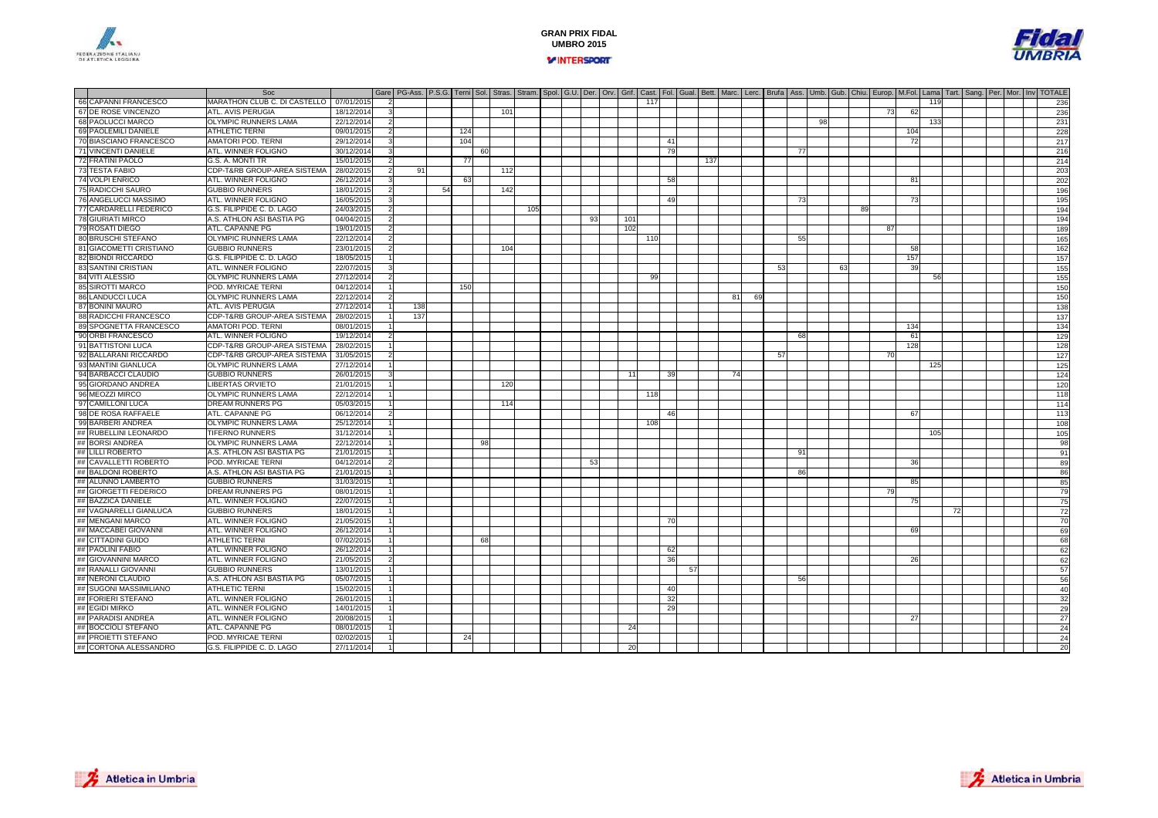



|                              | Soc                          |            |                | Gare   PG-Ass.   P.S.G.   Terni   Sol.   Stras.   Stram.   Spol.   G.U.   Der.   Orv.   Grif.   Cast.   Fol.   Gual.   Bett.   Marc.   Lerrc.   Brufa   Ass.   Umb.   Gub.   Chiu.   Europ.   M.Fol.   Lama   Tart.   Sang. |    |     |    |     |     |  |    |     |     |    |     |    |    |    |     |    |    |    |    |     |     |    |  |  |          |
|------------------------------|------------------------------|------------|----------------|-----------------------------------------------------------------------------------------------------------------------------------------------------------------------------------------------------------------------------|----|-----|----|-----|-----|--|----|-----|-----|----|-----|----|----|----|-----|----|----|----|----|-----|-----|----|--|--|----------|
| 66 CAPANNI FRANCESCO         | MARATHON CLUB C. DI CASTELLO | 07/01/2015 | $\overline{2}$ |                                                                                                                                                                                                                             |    |     |    |     |     |  |    |     | 117 |    |     |    |    |    |     |    |    |    |    |     | 119 |    |  |  | 236      |
| 67 DE ROSE VINCENZO          | ATL. AVIS PERUGIA            | 18/12/2014 |                |                                                                                                                                                                                                                             |    |     |    | 101 |     |  |    |     |     |    |     |    |    |    |     |    |    |    | 73 | 62  |     |    |  |  | 236      |
| 68 PAOLUCCI MARCO            | OLYMPIC RUNNERS LAMA         | 22/12/2014 |                |                                                                                                                                                                                                                             |    |     |    |     |     |  |    |     |     |    |     |    |    |    |     | 98 |    |    |    |     | 133 |    |  |  | 231      |
| 69 PAOLEMILI DANIELE         | <b>ATHLETIC TERNI</b>        | 09/01/2015 |                |                                                                                                                                                                                                                             |    | 124 |    |     |     |  |    |     |     |    |     |    |    |    |     |    |    |    |    | 104 |     |    |  |  | 228      |
| 70 BIASCIANO FRANCESCO       | AMATORI POD. TERNI           | 29/12/201  |                |                                                                                                                                                                                                                             |    | 104 |    |     |     |  |    |     |     | 41 |     |    |    |    |     |    |    |    |    | 72  |     |    |  |  | 217      |
| 71 VINCENTI DANIELE          | ATL. WINNER FOLIGNO          | 30/12/2014 |                |                                                                                                                                                                                                                             |    |     | 60 |     |     |  |    |     |     | 79 |     |    |    |    | -77 |    |    |    |    |     |     |    |  |  | 216      |
| 72 FRATINI PAOLO             | G.S. A. MONTI TR             | 15/01/2015 |                |                                                                                                                                                                                                                             |    | 77  |    |     |     |  |    |     |     |    | 137 |    |    |    |     |    |    |    |    |     |     |    |  |  | 214      |
| 73 TESTA FABIO               | CDP-T&RB GROUP-AREA SISTEMA  | 28/02/201  | 2              | 91                                                                                                                                                                                                                          |    |     |    | 112 |     |  |    |     |     |    |     |    |    |    |     |    |    |    |    |     |     |    |  |  | 203      |
| 74 VOLPI ENRICO              | ATL. WINNER FOLIGNO          | 26/12/2014 |                |                                                                                                                                                                                                                             |    | 63  |    |     |     |  |    |     |     | 58 |     |    |    |    |     |    |    |    |    | 81  |     |    |  |  | 202      |
| 75 RADICCHI SAURO            | <b>GUBBIO RUNNERS</b>        | 18/01/2015 | $\mathcal{P}$  |                                                                                                                                                                                                                             | 54 |     |    | 142 |     |  |    |     |     |    |     |    |    |    |     |    |    |    |    |     |     |    |  |  | 196      |
| 76 ANGELUCCI MASSIMO         | ATL. WINNER FOLIGNO          | 16/05/201  |                |                                                                                                                                                                                                                             |    |     |    |     |     |  |    |     |     | 49 |     |    |    |    | 73  |    |    |    |    | 73  |     |    |  |  | 195      |
| 77 CARDARELLI FEDERICO       | G.S. FILIPPIDE C. D. LAGO    | 24/03/201  |                |                                                                                                                                                                                                                             |    |     |    |     | 105 |  |    |     |     |    |     |    |    |    |     |    |    | 89 |    |     |     |    |  |  | 194      |
| <b>78 GIURIATI MIRCO</b>     | A.S. ATHLON ASI BASTIA PG    | 04/04/201  |                |                                                                                                                                                                                                                             |    |     |    |     |     |  | 93 | 101 |     |    |     |    |    |    |     |    |    |    |    |     |     |    |  |  | 194      |
| 79 ROSATI DIEGO              | ATL. CAPANNE PG              | 19/01/201  |                |                                                                                                                                                                                                                             |    |     |    |     |     |  |    | 102 |     |    |     |    |    |    |     |    |    |    | 87 |     |     |    |  |  | 189      |
| 80 BRUSCHI STEFANO           | <b>OLYMPIC RUNNERS LAMA</b>  | 22/12/2014 | $\overline{2}$ |                                                                                                                                                                                                                             |    |     |    |     |     |  |    |     | 110 |    |     |    |    |    | -55 |    |    |    |    |     |     |    |  |  | 165      |
| 81 GIACOMETTI CRISTIANO      | <b>GUBBIO RUNNERS</b>        | 23/01/2015 |                |                                                                                                                                                                                                                             |    |     |    | 104 |     |  |    |     |     |    |     |    |    |    |     |    |    |    |    | 58  |     |    |  |  | 162      |
| 82 BIONDI RICCARDO           | G.S. FILIPPIDE C. D. LAGO    | 18/05/2015 |                |                                                                                                                                                                                                                             |    |     |    |     |     |  |    |     |     |    |     |    |    |    |     |    |    |    |    | 157 |     |    |  |  | 157      |
| <b>83 SANTINI CRISTIAN</b>   | ATL. WINNER FOLIGNO          | 22/07/2015 |                |                                                                                                                                                                                                                             |    |     |    |     |     |  |    |     |     |    |     |    |    | 53 |     |    | 6. |    |    | 39  |     |    |  |  | 155      |
| 84 VITI ALESSIO              | <b>OLYMPIC RUNNERS LAMA</b>  | 27/12/201  |                |                                                                                                                                                                                                                             |    |     |    |     |     |  |    |     | 99  |    |     |    |    |    |     |    |    |    |    |     | 56  |    |  |  | 155      |
| 85 SIROTTI MARCO             | POD. MYRICAE TERNI           | 04/12/201  |                |                                                                                                                                                                                                                             |    | 150 |    |     |     |  |    |     |     |    |     |    |    |    |     |    |    |    |    |     |     |    |  |  | 150      |
| 86 LANDUCCI LUCA             | OLYMPIC RUNNERS LAMA         | 22/12/201  |                |                                                                                                                                                                                                                             |    |     |    |     |     |  |    |     |     |    |     | 81 | 69 |    |     |    |    |    |    |     |     |    |  |  | 150      |
| 87 BONINI MAURO              | ATL. AVIS PERUGIA            | 27/12/2014 |                | 138                                                                                                                                                                                                                         |    |     |    |     |     |  |    |     |     |    |     |    |    |    |     |    |    |    |    |     |     |    |  |  | 138      |
| <b>88 RADICCHI FRANCESCO</b> | CDP-T&RB GROUP-AREA SISTEMA  | 28/02/201  |                | 137                                                                                                                                                                                                                         |    |     |    |     |     |  |    |     |     |    |     |    |    |    |     |    |    |    |    |     |     |    |  |  | 137      |
| 89 SPOGNETTA FRANCESCO       | AMATORI POD. TERNI           | 08/01/2015 |                |                                                                                                                                                                                                                             |    |     |    |     |     |  |    |     |     |    |     |    |    |    |     |    |    |    |    | 134 |     |    |  |  | 134      |
| 90 ORBI FRANCESCO            | ATL. WINNER FOLIGNO          | 19/12/2014 |                |                                                                                                                                                                                                                             |    |     |    |     |     |  |    |     |     |    |     |    |    |    | 68  |    |    |    |    | 61  |     |    |  |  | 129      |
| 91 BATTISTONI LUCA           | CDP-T&RB GROUP-AREA SISTEMA  | 28/02/201  |                |                                                                                                                                                                                                                             |    |     |    |     |     |  |    |     |     |    |     |    |    |    |     |    |    |    |    | 128 |     |    |  |  | 128      |
| 92 BALLARANI RICCARDO        | CDP-T&RB GROUP-AREA SISTEMA  | 31/05/201  |                |                                                                                                                                                                                                                             |    |     |    |     |     |  |    |     |     |    |     |    |    | 57 |     |    |    |    | 70 |     |     |    |  |  | 127      |
| 93 MANTINI GIANLUCA          | <b>OLYMPIC RUNNERS LAMA</b>  | 27/12/2014 |                |                                                                                                                                                                                                                             |    |     |    |     |     |  |    |     |     |    |     |    |    |    |     |    |    |    |    |     | 125 |    |  |  | 125      |
| 94 BARBACCI CLAUDIO          | <b>GUBBIO RUNNERS</b>        | 26/01/201  |                |                                                                                                                                                                                                                             |    |     |    |     |     |  |    |     |     | 39 |     |    |    |    |     |    |    |    |    |     |     |    |  |  | 124      |
| 95 GIORDANO ANDREA           | <b>LIBERTAS ORVIETO</b>      | 21/01/201  |                |                                                                                                                                                                                                                             |    |     |    | 120 |     |  |    |     |     |    |     |    |    |    |     |    |    |    |    |     |     |    |  |  | 120      |
| 96 MEOZZI MIRCO              | <b>OLYMPIC RUNNERS LAMA</b>  | 22/12/2014 |                |                                                                                                                                                                                                                             |    |     |    |     |     |  |    |     | 118 |    |     |    |    |    |     |    |    |    |    |     |     |    |  |  | 118      |
| 97 CAMILLONI LUCA            | DREAM RUNNERS PG             | 05/03/2015 |                |                                                                                                                                                                                                                             |    |     |    | 114 |     |  |    |     |     |    |     |    |    |    |     |    |    |    |    |     |     |    |  |  | 114      |
| 98 DE ROSA RAFFAELE          | ATL. CAPANNE PG              | 06/12/2014 | $\mathcal{P}$  |                                                                                                                                                                                                                             |    |     |    |     |     |  |    |     |     | 46 |     |    |    |    |     |    |    |    |    | 67  |     |    |  |  | 113      |
| 99 BARBERI ANDREA            | OLYMPIC RUNNERS LAMA         | 25/12/201  |                |                                                                                                                                                                                                                             |    |     |    |     |     |  |    |     | 108 |    |     |    |    |    |     |    |    |    |    |     |     |    |  |  | 108      |
| ## RUBELLINI LEONARDO        | <b>TIFERNO RUNNERS</b>       | 31/12/2014 |                |                                                                                                                                                                                                                             |    |     |    |     |     |  |    |     |     |    |     |    |    |    |     |    |    |    |    |     | 105 |    |  |  | 105      |
| ## BORSI ANDREA              | <b>OLYMPIC RUNNERS LAMA</b>  | 22/12/2014 |                |                                                                                                                                                                                                                             |    |     | 9  |     |     |  |    |     |     |    |     |    |    |    |     |    |    |    |    |     |     |    |  |  | 98       |
| ## LILLI ROBERTO             | A.S. ATHLON ASI BASTIA PG    | 21/01/201  |                |                                                                                                                                                                                                                             |    |     |    |     |     |  |    |     |     |    |     |    |    |    | 91  |    |    |    |    |     |     |    |  |  | 91       |
| ## CAVALLETTI ROBERTO        | POD. MYRICAE TERNI           | 04/12/2014 |                |                                                                                                                                                                                                                             |    |     |    |     |     |  | 53 |     |     |    |     |    |    |    |     |    |    |    |    | 36  |     |    |  |  | 89       |
| ## BALDONI ROBERTO           | A.S. ATHLON ASI BASTIA PG    | 21/01/2015 |                |                                                                                                                                                                                                                             |    |     |    |     |     |  |    |     |     |    |     |    |    |    | 86  |    |    |    |    |     |     |    |  |  | 86       |
| ## ALUNNO LAMBERTO           | <b>GUBBIO RUNNERS</b>        | 31/03/2015 |                |                                                                                                                                                                                                                             |    |     |    |     |     |  |    |     |     |    |     |    |    |    |     |    |    |    |    | 85  |     |    |  |  |          |
| ## GIORGETTI FEDERICO        | DREAM RUNNERS PG             | 08/01/2015 |                |                                                                                                                                                                                                                             |    |     |    |     |     |  |    |     |     |    |     |    |    |    |     |    |    |    | 79 |     |     |    |  |  | 85<br>79 |
| ## BAZZICA DANIELE           | ATL. WINNER FOLIGNO          | 22/07/201  |                |                                                                                                                                                                                                                             |    |     |    |     |     |  |    |     |     |    |     |    |    |    |     |    |    |    |    | 75  |     |    |  |  | 75       |
| ## VAGNARELLI GIANLUCA       | <b>GUBBIO RUNNERS</b>        | 18/01/2015 |                |                                                                                                                                                                                                                             |    |     |    |     |     |  |    |     |     |    |     |    |    |    |     |    |    |    |    |     |     | 72 |  |  | 72       |
| ## MENGANI MARCO             | ATL. WINNER FOLIGNO          | 21/05/201  |                |                                                                                                                                                                                                                             |    |     |    |     |     |  |    |     |     | 70 |     |    |    |    |     |    |    |    |    |     |     |    |  |  | 70       |
| ## MACCABEI GIOVANNI         | ATL. WINNER FOLIGNO          | 26/12/201  |                |                                                                                                                                                                                                                             |    |     |    |     |     |  |    |     |     |    |     |    |    |    |     |    |    |    |    | 69  |     |    |  |  | 69       |
| ## CITTADINI GUIDO           | <b>ATHLETIC TERNI</b>        | 07/02/201  |                |                                                                                                                                                                                                                             |    |     | 68 |     |     |  |    |     |     |    |     |    |    |    |     |    |    |    |    |     |     |    |  |  |          |
|                              |                              |            |                |                                                                                                                                                                                                                             |    |     |    |     |     |  |    |     |     |    |     |    |    |    |     |    |    |    |    |     |     |    |  |  | 68       |
| ## PAOLINI FABIO             | ATL. WINNER FOLIGNO          | 26/12/2014 |                |                                                                                                                                                                                                                             |    |     |    |     |     |  |    |     |     | 62 |     |    |    |    |     |    |    |    |    |     |     |    |  |  | 62       |
| ## GIOVANNINI MARCO          | ATL. WINNER FOLIGNO          | 21/05/2015 |                |                                                                                                                                                                                                                             |    |     |    |     |     |  |    |     |     | 36 |     |    |    |    |     |    |    |    |    | 26  |     |    |  |  | 62       |
| ## RANALLI GIOVANNI          | <b>GUBBIO RUNNERS</b>        | 13/01/2015 |                |                                                                                                                                                                                                                             |    |     |    |     |     |  |    |     |     | 57 |     |    |    |    |     |    |    |    |    |     |     |    |  |  | 57       |
| ## NERONI CLAUDIO            | A.S. ATHLON ASI BASTIA PG    | 05/07/2015 |                |                                                                                                                                                                                                                             |    |     |    |     |     |  |    |     |     |    |     |    |    |    | 56  |    |    |    |    |     |     |    |  |  | 56       |
| ## SUGONI MASSIMILIANO       | <b>ATHLETIC TERNI</b>        | 15/02/2015 |                |                                                                                                                                                                                                                             |    |     |    |     |     |  |    |     |     | 40 |     |    |    |    |     |    |    |    |    |     |     |    |  |  | 40       |
| ## FORIERI STEFANO           | ATL. WINNER FOLIGNO          | 26/01/2015 |                |                                                                                                                                                                                                                             |    |     |    |     |     |  |    |     |     | 32 |     |    |    |    |     |    |    |    |    |     |     |    |  |  | 32       |
| <b>EGIDI MIRKO</b>           | ATL. WINNER FOLIGNO          | 14/01/201  |                |                                                                                                                                                                                                                             |    |     |    |     |     |  |    |     |     | 29 |     |    |    |    |     |    |    |    |    |     |     |    |  |  | 29       |
| ## PARADISI ANDREA           | ATL. WINNER FOLIGNO          | 20/08/2015 |                |                                                                                                                                                                                                                             |    |     |    |     |     |  |    |     |     |    |     |    |    |    |     |    |    |    |    | 27  |     |    |  |  | 27       |
| ## BOCCIOLI STEFANO          | ATL. CAPANNE PG              | 08/01/201  |                |                                                                                                                                                                                                                             |    |     |    |     |     |  |    |     | 24  |    |     |    |    |    |     |    |    |    |    |     |     |    |  |  | 24       |
| ## PROIETTI STEFANO          | POD. MYRICAE TERNI           | 02/02/201  |                |                                                                                                                                                                                                                             |    | 24  |    |     |     |  |    |     |     |    |     |    |    |    |     |    |    |    |    |     |     |    |  |  | 24       |
| ## CORTONA ALESSANDRO        | G.S. FILIPPIDE C. D. LAGO    | 27/11/2014 |                |                                                                                                                                                                                                                             |    |     |    |     |     |  |    |     | 20  |    |     |    |    |    |     |    |    |    |    |     |     |    |  |  | 20       |

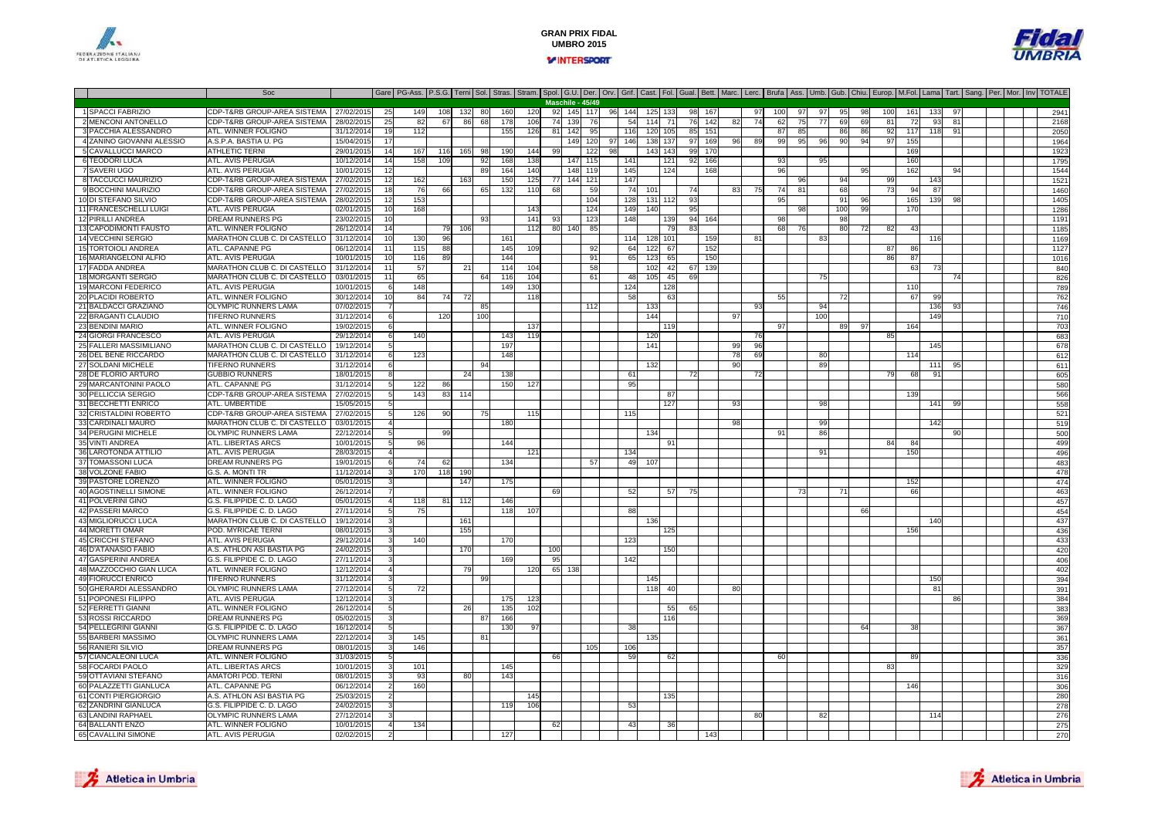

8

13

17

26

36

42

59

65

### **GRAN PRIX FIDALUMBRO 2015VINTERSPORT**

**Maschile - 45/49**

Soc Gare PG-Ass. P.S.G. Terni Sol. Stras. Stram. Spol. G.U. Der. Orv. Grif. Cast. Fol. Gual. Bett. Marc. Lerc. Brufa Ass. Umb. Gub. Chiu. Europ. M.Fol. Lama Tart. Sang. Per. Mor. Inv TOTALE



#### 1 SPACCI FABRIZIOCDP-T&RB GROUP-AREA SISTEMA | 27/02/2015 25 149 108 132 80 160 120 92 145 117 96 144 125 133 98 167 97 100 97 97 95 98 100 161 133 97 1 2941<br>CDP-T&RB GROUP-AREA SISTEMA | 28/02/2015 25 82 67 86 68 178 106 74 139 76 54 114 2 MENCONI ANTONELLOCD CDP-T&RB GROUP-AREA SISTEMA | 28/02/2015 25 82 67 86 68 178 106 74 139 76 142 161 178 106 142 82 74 62 75 77 69 69 81 72 93 81 1 1 2168<br>CO CONTINUIST COUNCIL AND 20/02/2015 25 82 67 86 68 178 106 74 139 76 149 161 178 1 3 PACCHIA ALESSANDRO0 ATL.WINNER FOLIGNO 31/12/2014 19 112 155 126 81 142 95 116 120 105 85 151 37 85 86 86 92 117 118 91 | 2050 4 ZANINO GIOVANNI ALESSIO0 A.S.P.A. BASTIA U. PG 15/04/2015 17 149 120 97 146 138 139 97 169 97 169 98 99 99 95 96 90 94 97 155 1964 1964 5 CAVALLUCCI MARCO0 ATHLETIC TERNI 29/01/2015 14 167 116 165 98 190 144 99 122 98 143 143 99 170 1 1 1 1 169 1 169 1 169 1 1923 6 TEODORI LUCA ATL. AVIS PERUGIA 10/12/2014 <sup>14</sup> <sup>158</sup> <sup>109</sup> <sup>92</sup> <sup>168</sup> <sup>138</sup> <sup>147</sup> <sup>115</sup> <sup>141</sup> <sup>121</sup> <sup>92</sup> <sup>166</sup> <sup>93</sup> <sup>95</sup> <sup>160</sup> <sup>1795</sup> 7 SAVERI UGO ATL. AVIS PERUGIA 10/01/2015 <sup>12</sup> <sup>89</sup> <sup>164</sup> <sup>140</sup> <sup>148</sup> <sup>119</sup> <sup>145</sup> <sup>124</sup> <sup>168</sup> <sup>96</sup> <sup>95</sup> <sup>162</sup> <sup>94</sup> <sup>1544</sup> TACCUCCI MAURIZIO0 CDP-T&RB GROUP-AREA SISTEMA 27/02/2015 12 162 163 163 160 125 77 144 121 147 121 147 121 96 96 94 99 143 143 9 BOCCHINI MAURIZIOO CDP-T&RB GROUP-AREA SISTEMA | 27/02/2015 18 76 66 65 132 110 68 59 74 101 74 101 74 83 75 74 81 68 75 74 81 73 94 87 1460 10 DI STEFANO SILVIO CDP-T&RB GROUP-AREA SISTEMA 28/02/2015 <sup>12</sup> <sup>153</sup> <sup>104</sup> <sup>128</sup> <sup>131</sup> <sup>112</sup> <sup>93</sup> <sup>95</sup> <sup>91</sup> <sup>96</sup> <sup>165</sup> <sup>139</sup> <sup>98</sup> <sup>1405</sup> 11 FRANCESCHELLI LUIGI ATL. AVIS PERUGIA 02/01/2015 <sup>10</sup> <sup>168</sup> <sup>143</sup> <sup>124</sup> <sup>149</sup> <sup>140</sup> <sup>95</sup> <sup>98</sup> <sup>100</sup> <sup>99</sup> <sup>170</sup> <sup>1286</sup> 12 PIRILLI ANDREADREAM RUNNERS PG<br>ATL. WINNER FOLIGNC 23/02/2015 <sup>10</sup> <sup>93</sup> <sup>141</sup> <sup>93</sup> <sup>123</sup> <sup>148</sup> <sup>139</sup> <sup>94</sup> <sup>164</sup> <sup>98</sup> <sup>98</sup> <sup>1191</sup> CAPODIMONTI FAUSTO0 ATL. WINNER FOLIGNO 26/12/2014 14 79 106 112 80 140 85 79 83 8 68 76 80 72 82 43 1 11 14 VECCHINI SERGIO0 MARATHON CLUB C. DI CASTELLO | 31/12/2014 10 130 96 1 161 161 1 161 179 179 179 179 189 1 169 81 101 169 116 15 TORTOIOLI ANDREAATL. CAPANNE PG 06/12/2014 11 115 88 1 145 109 92 64 122 67 152 9 9 9 9 9 9 9 9 9 9 9 9 9 9 9 12 16 MARIANGELONI ALFIO0 ATL. AVIS PERUGIA \_\_\_\_\_\_\_\_ | 10/01/2015 10 116 89 | | | 144 | | | 91 | 65 123 65 | 150 | | | | | | | | | 86 87 | | | | | | | | | | 1016 FADDA ANDREA MARATHON CLUB C. DI CASTELLO 31/12/2014 <sup>11</sup> <sup>57</sup> <sup>21</sup> <sup>114</sup> <sup>104</sup> <sup>58</sup> <sup>102</sup> <sup>42</sup> <sup>67</sup> <sup>139</sup> <sup>63</sup> <sup>73</sup> <sup>840</sup> 18 MORGANTI SERGIOO MARATHON CLUB C. DI CASTELLO 03/01/2015 11 65 464 116 104 116 104 61 48 105 45 69 75 76 76 76 76 75 75 76 75<br>C 19 MARCONI FEDERICO ATL. AVIS PERUGIA 10/01/2015 <sup>6</sup> <sup>148</sup> <sup>149</sup> <sup>130</sup> <sup>124</sup> <sup>128</sup> <sup>110</sup> <sup>789</sup> 20 PLACIDI ROBERTO0 ATL. WINNER FOLIGNO 30/12/2014 10 84 74 72 118 118 15 8 8 8 8 9 762 72 72 72 67 99 7 21 BALDACCI GRAZIANOOLYMPIC RUNNERS LAMA | 07/02/2015 7 | 85 | 12 | 112 | 133 | 1 | 133 | 134 | 134 | 136 93 | 1 | 746 22 BRAGANTI CLAUDIO0 TIFERNO RUNNERS 31/12/2014 6 120 100 1 100 1 1 144 1 144 97 1 100 1 100 1 149 1 149 1 1 23 BENDINI MARIO ATL. WINNER FOLIGNO 19/02/2015 <sup>6</sup> <sup>137</sup> <sup>119</sup> <sup>97</sup> <sup>89</sup> <sup>97</sup> <sup>164</sup> <sup>703</sup> 24 GIORGI FRANCESCO ATL. AVIS PERUGIA 29/12/2014 <sup>6</sup> <sup>140</sup> <sup>143</sup> <sup>119</sup> <sup>120</sup> <sup>76</sup> <sup>85</sup> <sup>683</sup> 25 FALLERI MASSIMILIANO MARATHON CLUB C. DI CASTELLO 19/12/2014 <sup>5</sup> <sup>197</sup> <sup>141</sup> <sup>99</sup> <sup>96</sup> <sup>145</sup> <sup>678</sup> DEL BENE RICCARDO MARATHON CLUB C. DI CASTELLO 31/12/2014 <sup>6</sup> <sup>123</sup> <sup>148</sup> <sup>78</sup> <sup>69</sup> <sup>80</sup> <sup>114</sup> <sup>612</sup> 27 SOLDANI MICHELEE TIFERNO RUNNERS 31/12/2014 6 | 94 | 94 | 132 | 132 | 94 | 96 | 89 | 139 | 111 95 | 1 92 145 117 28 DE FLORIO ARTUROO GUBBIO RUNNERS 18/01/2015 8 24 138 1 61 72 72 72 9 86 91 91 96 91 29 MARCANTONINI PAOLO ATL. CAPANNE PG 31/12/2014 <sup>5</sup> <sup>122</sup> <sup>86</sup> <sup>150</sup> <sup>127</sup> <sup>95</sup> <sup>580</sup> 30 PELLICCIA SERGIO CDP-T&RB GROUP-AREA SISTEMA 27/02/2015 <sup>5</sup> <sup>143</sup> <sup>83</sup> <sup>114</sup> <sup>87</sup> <sup>139</sup> <sup>566</sup> 31 BECCHETTI ENRICO ATL. UMBERTIDE 15/05/2015 <sup>5</sup> <sup>127</sup> <sup>93</sup> <sup>98</sup> <sup>141</sup> <sup>99</sup> <sup>558</sup> 32 CRISTALDINI ROBERTO CDP-T&RB GROUP-AREA SISTEMA 27/02/2015 <sup>5</sup> <sup>126</sup> <sup>90</sup> <sup>75</sup> <sup>115</sup> <sup>115</sup> <sup>521</sup> 33 CARDINALI MAURO MARATHON CLUB C. DI CASTELLO 03/01/2015 <sup>4</sup> <sup>180</sup> <sup>98</sup> <sup>99</sup> <sup>142</sup> <sup>519</sup> 34 PERUGINI MICHELEE OLYMPIC RUNNERS LAMA 22/12/2014 5| 99 1 34 91 80 500 35 VINTI ANDREA ATL. LIBERTAS ARCS 10/01/2015 <sup>5</sup> <sup>96</sup> <sup>144</sup> <sup>91</sup> <sup>84</sup> <sup>84</sup> <sup>499</sup> LAROTONDA ATTILIO0 ATLAVIS PERUGIA 28/03/2015 4 | | | 121 | 134 | 134 | | | | | | | | | | 150 | | | | | | | | | | | | | | | | | 37 TOMASSONI LUCADREAM RUNNERS PG 19/01/2015 <sup>6</sup> <sup>74</sup> <sup>62</sup> <sup>134</sup> <sup>57</sup> <sup>49</sup> <sup>107</sup> <sup>483</sup> 38 VOLZONE FABIO G.S. A. MONTI TR 11/12/2014 <sup>3</sup> <sup>170</sup> <sup>118</sup> <sup>190</sup> <sup>478</sup> 39 PASTORE LORENZO0 ATL. WINNER FOLIGNO 05/01/2015 3 147 175 152 474 474 175 152 152 474 474 474 474 40 AGOSTINELLI SIMONEATL. WINNER FOLIGNO<br>G.S. FILIPPIDE C. D. LAGO 26/12/2014 <sup>7</sup> <sup>69</sup> <sup>52</sup> <sup>57</sup> <sup>75</sup> <sup>73</sup> <sup>71</sup> <sup>66</sup> <sup>463</sup> 41 POLVERINI GINOO.S. FILIPPIDE C. D. LAGO (1950/12015) 4 118 81] 112 146 457 112 1 146 457 112 1 146 457 1201 1202 1203 1204 1<br>C.S. FILIPPIDE C. D. LAGO (1950/12015) 4 119 81] 112 146 457 120 1 146 457 120 120 120 120 120 120 120 120 120 PASSERI MARCO G.S. FILIPPIDE C. D. LAGO 27/11/2014 <sup>5</sup> <sup>75</sup> <sup>118</sup> <sup>107</sup> <sup>88</sup> <sup>66</sup> <sup>454</sup> 43 MIGLIORUCCI LUCA MARATHON CLUB C. DI CASTELLO0 19/12/2014 3 161 161 161 162 163 164 164 165 166 167 168 169 160 161 162 164 164 164 164 164 164 164 164 164 44 MORETTI OMAR POD. MYRICAE TERNI 08/01/2015 <sup>3</sup> <sup>155</sup> <sup>125</sup> <sup>156</sup> <sup>436</sup> 45 CRICCHI STEFANO ATL. AVIS PERUGIA 29/12/2014 <sup>3</sup> <sup>140</sup> <sup>170</sup> <sup>123</sup> <sup>433</sup> 46 D'ATANASIO FABIO A.S. ATHLON ASI BASTIA PG 24/02/2015 <sup>3</sup> <sup>170</sup> <sup>100</sup> <sup>150</sup> <sup>420</sup> 47 GASPERINI ANDREA G.S. FILIPPIDE C. D. LAGO 27/11/2014 <sup>3</sup> <sup>169</sup> <sup>95</sup> <sup>142</sup> <sup>406</sup> 48 MAZZOCCHIO GIAN LUCAATL. WINNER FOLIGNO 12/12/2014 <sup>4</sup> <sup>79</sup> <sup>120</sup> <sup>65</sup> <sup>138</sup> <sup>402</sup> 49 FIORUCCI ENRICO TIFERNO RUNNERS 31/12/2014 <sup>3</sup> <sup>99</sup> <sup>145</sup> <sup>150</sup> <sup>394</sup> GHERARDI ALESSANDRO OLYMPIC RUNNERS LAMA 27/12/2014 <sup>5</sup> <sup>72</sup> <sup>118</sup> <sup>40</sup> <sup>80</sup> <sup>81</sup> <sup>391</sup> 51 POPONESI FILIPPO ATL. AVIS PERUGIA 12/12/2014 <sup>3</sup> <sup>175</sup> <sup>123</sup> <sup>86</sup> <sup>384</sup> 52 FERRETTI GIANNI ATL. WINNER FOLIGNO<br>DREAM RUNNERS PG 26/12/2014 <sup>5</sup> <sup>26</sup> <sup>135</sup> <sup>102</sup> <sup>55</sup> <sup>65</sup> <sup>383</sup> 53 ROSSI RICCARDO DREAM RUNNERS PG 05/02/2015 <sup>3</sup> <sup>87</sup> <sup>166</sup> <sup>116</sup> <sup>369</sup> 54 PELLEGRINI GIANNI **G.S. FILIPPIDE C. D. LAGO**<br>OLYMPIC RUNNERS LAMA 0 16/12/2014 5 | 130 97 | | 38 | | | | | | | | | 64 38 | | | | | | | 55 BARBERI MASSIMO OLYMPIC RUNNERS LAMA 22/12/2014 <sup>3</sup> <sup>145</sup> <sup>81</sup> <sup>135</sup> <sup>361</sup> 56 RANIERI SILVIOO DREAM RUNNERS PG 08/01/2015 3 146 | | | | 105 106 106 | | | | | | | | | | | | | | | | | | 357 57 CIANCALEONI LUCAATL. WINNER FOLIGNO 31/03/2015 <sup>5</sup> <sup>66</sup> <sup>59</sup> <sup>62</sup> <sup>60</sup> <sup>89</sup> <sup>336</sup> 58 FOCARDI PAOLO ATL. LIBERTAS ARCS 10/01/2015 <sup>3</sup> <sup>101</sup> <sup>145</sup> <sup>83</sup> <sup>329</sup> OTTAVIANI STEFANO AMATORI POD. TERNI 08/01/2015 <sup>3</sup> <sup>93</sup> <sup>80</sup> <sup>143</sup> <sup>316</sup> 60 PALAZZETTI GIANLUCA**ATL. CAPANNE PG<br>A.S. ATHLON ASI BASTIA PG**  06/12/2014 <sup>2</sup> <sup>160</sup> <sup>146</sup> <sup>306</sup> 61 CONTI PIERGIORGIO A.S. ATHLON ASI BASTIA PG 25/03/2015 <sup>2</sup> <sup>145</sup> <sup>135</sup> <sup>280</sup> 62 ZANDRINI GIANLUCA G.S. FILIPPIDE C. D. LAGO0 24/02/2015 3 1 119 106 1 53 1 1 1 3 278 63 | ANDINI RAPHAEL OLYMPIC RUNNERS LAMA<br>ATL. WINNER FOLIGNO A 27/12/2014 3 | | | | | | | | | | | | | | | | 80 | | 82 | | | 114 | | | | | 276 64 BALLANTI ENZO ATL. WINNER FOLIGNO 10/01/2015 <sup>4</sup> <sup>134</sup> <sup>62</sup> <sup>43</sup> <sup>36</sup> <sup>275</sup> CAVALLINI SIMONI ATL. AVIS PERUGIA 02/02/2015 <sup>2</sup> <sup>127</sup> <sup>143</sup> <sup>270</sup>



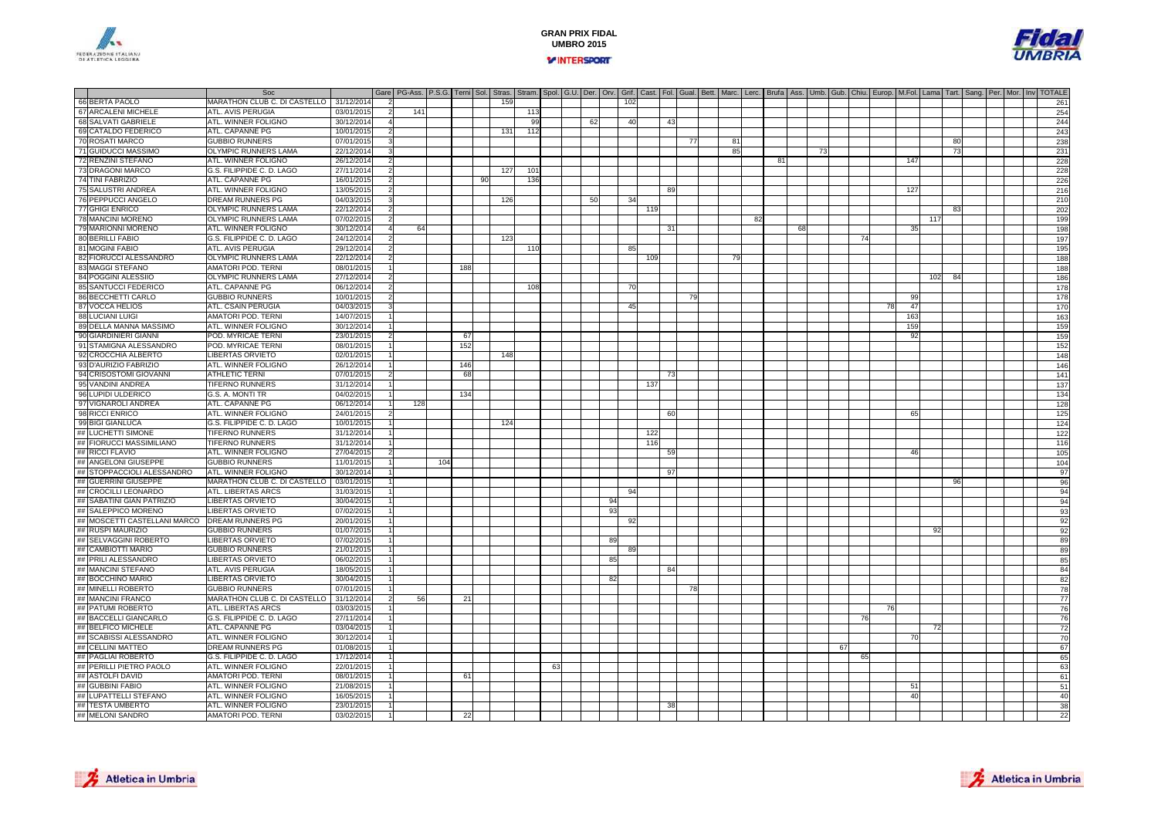



|    |                              | Soc                          |            | Gare   PG-Ass.   P.S.G.   Terni   Sol.   Stras.   Stram.   Spol.   G.U.   Der.   Orv.   Grit.   Cast.   Fol.   Gual.   Bett.   Marc.   Lerc.   Brufa   Ass.   Umb.   Gub.   Chiu.   Europ.   M.Fol.   Lama   Tart.   Sang.   P |     |     |     |    |     |     |    |     |    |     |     |     |    |    |    |     |    |    |     |    |    |           |     |     |  |  |     |
|----|------------------------------|------------------------------|------------|--------------------------------------------------------------------------------------------------------------------------------------------------------------------------------------------------------------------------------|-----|-----|-----|----|-----|-----|----|-----|----|-----|-----|-----|----|----|----|-----|----|----|-----|----|----|-----------|-----|-----|--|--|-----|
|    | 66 BERTA PAOLO               | MARATHON CLUB C. DI CASTELLO | 31/12/2014 |                                                                                                                                                                                                                                |     |     |     |    | 159 |     |    |     |    | 102 |     |     |    |    |    |     |    |    |     |    |    |           |     |     |  |  | 261 |
|    | 67 ARCALENI MICHELE          | ATL. AVIS PERUGIA            | 03/01/201  |                                                                                                                                                                                                                                | 141 |     |     |    |     | 113 |    |     |    |     |     |     |    |    |    |     |    |    |     |    |    |           |     |     |  |  | 254 |
|    | 68 SALVATI GABRIELE          | ATL. WINNER FOLIGNO          | 30/12/201  |                                                                                                                                                                                                                                |     |     |     |    |     | 99  |    | 62  |    | 40  |     | 43  |    |    |    |     |    |    |     |    |    |           |     |     |  |  | 244 |
|    | 69 CATALDO FEDERICO          | ATL. CAPANNE PG              | 10/01/201  |                                                                                                                                                                                                                                |     |     |     |    | 131 | 112 |    |     |    |     |     |     |    |    |    |     |    |    |     |    |    |           |     |     |  |  | 243 |
|    | 70 ROSATI MARCO              | <b>GUBBIO RUNNERS</b>        | 07/01/201  |                                                                                                                                                                                                                                |     |     |     |    |     |     |    |     |    |     |     |     | 77 | 81 |    |     |    |    |     |    |    |           |     | 80  |  |  | 238 |
|    | 71 GUIDUCCI MASSIMO          | OLYMPIC RUNNERS LAMA         | 22/12/2014 |                                                                                                                                                                                                                                |     |     |     |    |     |     |    |     |    |     |     |     |    | 85 |    |     |    | 73 |     |    |    |           |     | -73 |  |  | 231 |
|    | 72 RENZINI STEFANO           | ATL. WINNER FOLIGNO          | 26/12/2014 |                                                                                                                                                                                                                                |     |     |     |    |     |     |    |     |    |     |     |     |    |    |    | -81 |    |    |     |    |    | 147       |     |     |  |  | 228 |
|    | 73 DRAGONI MARCO             | G.S. FILIPPIDE C. D. LAGO    | 27/11/201  |                                                                                                                                                                                                                                |     |     |     |    | 127 | 101 |    |     |    |     |     |     |    |    |    |     |    |    |     |    |    |           |     |     |  |  | 228 |
|    | 74 TINI FABRIZIO             | ATL. CAPANNE PG              | 16/01/201  |                                                                                                                                                                                                                                |     |     |     | 90 |     | 136 |    |     |    |     |     |     |    |    |    |     |    |    |     |    |    |           |     |     |  |  | 226 |
|    | 75 SALUSTRI ANDREA           | ATL. WINNER FOLIGNO          | 13/05/201  |                                                                                                                                                                                                                                |     |     |     |    |     |     |    |     |    |     |     | -89 |    |    |    |     |    |    |     |    |    | 127       |     |     |  |  | 216 |
|    | 76 PEPPUCCI ANGELO           | DREAM RUNNERS PG             | 04/03/201  |                                                                                                                                                                                                                                |     |     |     |    | 126 |     |    | .50 |    | 34  |     |     |    |    |    |     |    |    |     |    |    |           |     |     |  |  | 210 |
|    | 77 GHIGI ENRICO              | <b>OLYMPIC RUNNERS LAMA</b>  | 22/12/2014 |                                                                                                                                                                                                                                |     |     |     |    |     |     |    |     |    |     | 119 |     |    |    |    |     |    |    |     |    |    |           |     | 83  |  |  | 202 |
|    | 78 MANCINI MORENO            | <b>OLYMPIC RUNNERS LAMA</b>  | 07/02/2015 |                                                                                                                                                                                                                                |     |     |     |    |     |     |    |     |    |     |     |     |    |    | 82 |     |    |    |     |    |    |           | 117 |     |  |  | 199 |
|    | 79 MARIONNI MORENO           | ATL. WINNER FOLIGNO          | 30/12/2014 |                                                                                                                                                                                                                                | 64  |     |     |    |     |     |    |     |    |     |     | -31 |    |    |    |     | 68 |    |     |    |    | 35        |     |     |  |  | 198 |
|    | 80 BERILLI FABIO             | G.S. FILIPPIDE C. D. LAGO    | 24/12/2014 |                                                                                                                                                                                                                                |     |     |     |    | 123 |     |    |     |    |     |     |     |    |    |    |     |    |    |     | 74 |    |           |     |     |  |  | 197 |
|    | 81 MOGINI FABIO              | ATL. AVIS PERUGIA            | 29/12/201  |                                                                                                                                                                                                                                |     |     |     |    |     | 110 |    |     |    | 85  |     |     |    |    |    |     |    |    |     |    |    |           |     |     |  |  | 195 |
|    | 82 FIORUCCI ALESSANDRO       | <b>OLYMPIC RUNNERS LAMA</b>  | 22/12/201  |                                                                                                                                                                                                                                |     |     |     |    |     |     |    |     |    |     | 109 |     |    | 79 |    |     |    |    |     |    |    |           |     |     |  |  | 188 |
|    | 83 MAGGI STEFANO             | <b>AMATORI POD. TERNI</b>    | 08/01/201  |                                                                                                                                                                                                                                |     |     | 188 |    |     |     |    |     |    |     |     |     |    |    |    |     |    |    |     |    |    |           |     |     |  |  | 188 |
|    | 84 POGGINI ALESSIIO          | <b>OLYMPIC RUNNERS LAMA</b>  | 27/12/201  |                                                                                                                                                                                                                                |     |     |     |    |     |     |    |     |    |     |     |     |    |    |    |     |    |    |     |    |    |           | 102 | 84  |  |  | 186 |
|    | 85 SANTUCCI FEDERICO         | ATL. CAPANNE PG              | 06/12/2014 |                                                                                                                                                                                                                                |     |     |     |    |     | 108 |    |     |    | 70  |     |     |    |    |    |     |    |    |     |    |    |           |     |     |  |  | 178 |
|    | 86 BECCHETTI CARLO           | <b>GUBBIO RUNNERS</b>        | 10/01/2015 |                                                                                                                                                                                                                                |     |     |     |    |     |     |    |     |    |     |     |     | 79 |    |    |     |    |    |     |    |    | 99        |     |     |  |  | 178 |
|    | 87 VOCCA HELIOS              | <b>ATL. CSAIN PERUGIA</b>    | 04/03/2015 |                                                                                                                                                                                                                                |     |     |     |    |     |     |    |     |    |     |     |     |    |    |    |     |    |    |     |    | 78 |           |     |     |  |  | 170 |
|    | <b>88 LUCIANI LUIGI</b>      |                              |            |                                                                                                                                                                                                                                |     |     |     |    |     |     |    |     |    | 45  |     |     |    |    |    |     |    |    |     |    |    | 47<br>163 |     |     |  |  |     |
|    |                              | <b>AMATORI POD. TERNI</b>    | 14/07/201  |                                                                                                                                                                                                                                |     |     |     |    |     |     |    |     |    |     |     |     |    |    |    |     |    |    |     |    |    |           |     |     |  |  | 163 |
|    | 89 DELLA MANNA MASSIMO       | ATL. WINNER FOLIGNO          | 30/12/201  |                                                                                                                                                                                                                                |     |     |     |    |     |     |    |     |    |     |     |     |    |    |    |     |    |    |     |    |    | 159       |     |     |  |  | 159 |
|    | 90 GIARDINIERI GIANNI        | POD. MYRICAE TERNI           | 23/01/201  |                                                                                                                                                                                                                                |     |     | 67  |    |     |     |    |     |    |     |     |     |    |    |    |     |    |    |     |    |    | 92        |     |     |  |  | 159 |
|    | 91 STAMIGNA ALESSANDRO       | POD, MYRICAE TERNI           | 08/01/201  |                                                                                                                                                                                                                                |     |     | 152 |    |     |     |    |     |    |     |     |     |    |    |    |     |    |    |     |    |    |           |     |     |  |  | 152 |
|    | 92 CROCCHIA ALBERTO          | <b>LIBERTAS ORVIETO</b>      | 02/01/2015 |                                                                                                                                                                                                                                |     |     |     |    | 148 |     |    |     |    |     |     |     |    |    |    |     |    |    |     |    |    |           |     |     |  |  | 148 |
|    | 93 D'AURIZIO FABRIZIO        | ATL. WINNER FOLIGNO          | 26/12/2014 |                                                                                                                                                                                                                                |     |     | 146 |    |     |     |    |     |    |     |     |     |    |    |    |     |    |    |     |    |    |           |     |     |  |  | 146 |
|    | 94 CRISOSTOMI GIOVANNI       | <b>ATHLETIC TERNI</b>        | 07/01/2015 |                                                                                                                                                                                                                                |     |     | 68  |    |     |     |    |     |    |     |     | -73 |    |    |    |     |    |    |     |    |    |           |     |     |  |  | 141 |
|    | 95 VANDINI ANDREA            | <b>TIFERNO RUNNERS</b>       | 31/12/201  |                                                                                                                                                                                                                                |     |     |     |    |     |     |    |     |    |     | 137 |     |    |    |    |     |    |    |     |    |    |           |     |     |  |  | 137 |
|    | 96 LUPIDI ULDERICO           | G.S. A. MONTI TR             | 04/02/201  |                                                                                                                                                                                                                                |     |     | 134 |    |     |     |    |     |    |     |     |     |    |    |    |     |    |    |     |    |    |           |     |     |  |  | 134 |
|    | 97 VIGNAROLI ANDREA          | <b>ATL. CAPANNE PG</b>       | 06/12/2014 |                                                                                                                                                                                                                                | 128 |     |     |    |     |     |    |     |    |     |     |     |    |    |    |     |    |    |     |    |    |           |     |     |  |  | 128 |
|    | 98 RICCI ENRICO              | ATL. WINNER FOLIGNO          | 24/01/201  |                                                                                                                                                                                                                                |     |     |     |    |     |     |    |     |    |     |     | -60 |    |    |    |     |    |    |     |    |    | 65        |     |     |  |  | 125 |
|    | 99 BIGI GIANLUCA             | G.S. FILIPPIDE C. D. LAGO    | 10/01/2015 |                                                                                                                                                                                                                                |     |     |     |    | 124 |     |    |     |    |     |     |     |    |    |    |     |    |    |     |    |    |           |     |     |  |  | 124 |
|    | ## LUCHETTI SIMONE           | <b>TIFERNO RUNNERS</b>       | 31/12/2014 |                                                                                                                                                                                                                                |     |     |     |    |     |     |    |     |    |     | 122 |     |    |    |    |     |    |    |     |    |    |           |     |     |  |  | 122 |
|    | ## FIORUCCI MASSIMILIANO     | <b>TIFERNO RUNNERS</b>       | 31/12/2014 |                                                                                                                                                                                                                                |     |     |     |    |     |     |    |     |    |     | 116 |     |    |    |    |     |    |    |     |    |    |           |     |     |  |  | 116 |
|    | ## RICCI FLAVIO              | ATL. WINNER FOLIGNO          | 27/04/201  |                                                                                                                                                                                                                                |     |     |     |    |     |     |    |     |    |     |     | 59  |    |    |    |     |    |    |     |    |    | 46        |     |     |  |  | 105 |
|    | ## ANGELONI GIUSEPPE         | <b>GUBBIO RUNNERS</b>        | 11/01/201  |                                                                                                                                                                                                                                |     | 104 |     |    |     |     |    |     |    |     |     |     |    |    |    |     |    |    |     |    |    |           |     |     |  |  | 104 |
|    | ## STOPPACCIOLI ALESSANDRO   | ATL. WINNER FOLIGNO          | 30/12/2014 |                                                                                                                                                                                                                                |     |     |     |    |     |     |    |     |    |     |     | 97  |    |    |    |     |    |    |     |    |    |           |     |     |  |  | 97  |
|    | ## GUERRINI GIUSEPPE         | MARATHON CLUB C. DI CASTELLO | 03/01/2015 |                                                                                                                                                                                                                                |     |     |     |    |     |     |    |     |    |     |     |     |    |    |    |     |    |    |     |    |    |           |     | 96  |  |  | 96  |
|    | ## CROCILLI LEONARDO         | ATL. LIBERTAS ARCS           | 31/03/201  |                                                                                                                                                                                                                                |     |     |     |    |     |     |    |     |    | 94  |     |     |    |    |    |     |    |    |     |    |    |           |     |     |  |  | 94  |
|    | ## SABATINI GIAN PATRIZIO    | <b>LIBERTAS ORVIETO</b>      | 30/04/201  |                                                                                                                                                                                                                                |     |     |     |    |     |     |    |     | 94 |     |     |     |    |    |    |     |    |    |     |    |    |           |     |     |  |  | 94  |
|    | ## SALEPPICO MORENO          | <b>LIBERTAS ORVIETO</b>      | 07/02/201  |                                                                                                                                                                                                                                |     |     |     |    |     |     |    |     | 93 |     |     |     |    |    |    |     |    |    |     |    |    |           |     |     |  |  | 93  |
|    | ## MOSCETTI CASTELLANI MARCO | <b>DREAM RUNNERS PG</b>      | 20/01/201  |                                                                                                                                                                                                                                |     |     |     |    |     |     |    |     |    | 92  |     |     |    |    |    |     |    |    |     |    |    |           |     |     |  |  | 92  |
|    | ## RUSPI MAURIZIO            | <b>GUBBIO RUNNERS</b>        | 01/07/201  |                                                                                                                                                                                                                                |     |     |     |    |     |     |    |     |    |     |     |     |    |    |    |     |    |    |     |    |    |           | -92 |     |  |  | 92  |
|    | ## SELVAGGINI ROBERTO        | <b>IBERTAS ORVIETO</b>       | 07/02/201  |                                                                                                                                                                                                                                |     |     |     |    |     |     |    |     | 89 |     |     |     |    |    |    |     |    |    |     |    |    |           |     |     |  |  | 89  |
|    | ## CAMBIOTTI MARIO           | <b>GUBBIO RUNNERS</b>        | 21/01/201  |                                                                                                                                                                                                                                |     |     |     |    |     |     |    |     |    | 89  |     |     |    |    |    |     |    |    |     |    |    |           |     |     |  |  | 89  |
|    | ## PRILI ALESSANDRO          | <b>LIBERTAS ORVIETO</b>      | 06/02/201  |                                                                                                                                                                                                                                |     |     |     |    |     |     |    |     | 85 |     |     |     |    |    |    |     |    |    |     |    |    |           |     |     |  |  | 85  |
|    | ## MANCINI STEFANO           | ATL. AVIS PERUGIA            | 18/05/201  |                                                                                                                                                                                                                                |     |     |     |    |     |     |    |     |    |     |     | 84  |    |    |    |     |    |    |     |    |    |           |     |     |  |  | 84  |
|    | ## BOCCHINO MARIO            | <b>LIBERTAS ORVIETO</b>      | 30/04/201  |                                                                                                                                                                                                                                |     |     |     |    |     |     |    |     | 82 |     |     |     |    |    |    |     |    |    |     |    |    |           |     |     |  |  | 82  |
|    | ## MINELLI ROBERTO           | <b>GUBBIO RUNNERS</b>        | 07/01/2015 |                                                                                                                                                                                                                                |     |     |     |    |     |     |    |     |    |     |     |     | 78 |    |    |     |    |    |     |    |    |           |     |     |  |  | 78  |
|    | ## MANCINI FRANCO            | MARATHON CLUB C. DI CASTELLO | 31/12/2014 |                                                                                                                                                                                                                                | 56  |     | 21  |    |     |     |    |     |    |     |     |     |    |    |    |     |    |    |     |    |    |           |     |     |  |  | 77  |
|    | ## PATUMI ROBERTO            | ATL. LIBERTAS ARCS           | 03/03/201  |                                                                                                                                                                                                                                |     |     |     |    |     |     |    |     |    |     |     |     |    |    |    |     |    |    |     |    | 76 |           |     |     |  |  | 76  |
|    | ## BACCELLI GIANCARLO        | G.S. FILIPPIDE C. D. LAGO    | 27/11/2014 |                                                                                                                                                                                                                                |     |     |     |    |     |     |    |     |    |     |     |     |    |    |    |     |    |    |     | 76 |    |           |     |     |  |  | 76  |
|    | ## BELFICO MICHELE           | ATL. CAPANNE PG              | 03/04/201  |                                                                                                                                                                                                                                |     |     |     |    |     |     |    |     |    |     |     |     |    |    |    |     |    |    |     |    |    |           | 72  |     |  |  | 72  |
|    | ## SCABISSI ALESSANDRO       | ATL. WINNER FOLIGNO          | 30/12/201  |                                                                                                                                                                                                                                |     |     |     |    |     |     |    |     |    |     |     |     |    |    |    |     |    |    |     |    |    | 70        |     |     |  |  | 70  |
|    | ## CELLINI MATTEO            | DREAM RUNNERS PG             | 01/08/2015 |                                                                                                                                                                                                                                |     |     |     |    |     |     |    |     |    |     |     |     |    |    |    |     |    |    | -67 |    |    |           |     |     |  |  | 67  |
|    | ## PAGLIAI ROBERTO           | G.S. FILIPPIDE C. D. LAGO    | 17/12/2014 |                                                                                                                                                                                                                                |     |     |     |    |     |     |    |     |    |     |     |     |    |    |    |     |    |    |     | 65 |    |           |     |     |  |  | 65  |
|    | ## PERILLI PIETRO PAOLO      | ATL. WINNER FOLIGNO          | 22/01/201  |                                                                                                                                                                                                                                |     |     |     |    |     |     | 63 |     |    |     |     |     |    |    |    |     |    |    |     |    |    |           |     |     |  |  | 63  |
|    | ## ASTOLFI DAVID             | AMATORI POD. TERNI           | 08/01/201  |                                                                                                                                                                                                                                |     |     | 61  |    |     |     |    |     |    |     |     |     |    |    |    |     |    |    |     |    |    |           |     |     |  |  | 61  |
| ## | <b>GUBBINI FABIO</b>         | ATL. WINNER FOLIGNO          | 21/08/201  |                                                                                                                                                                                                                                |     |     |     |    |     |     |    |     |    |     |     |     |    |    |    |     |    |    |     |    |    | 51        |     |     |  |  | 51  |
| ## | LUPATTELLI STEFANO           | ATL. WINNER FOLIGNO          | 16/05/201  |                                                                                                                                                                                                                                |     |     |     |    |     |     |    |     |    |     |     |     |    |    |    |     |    |    |     |    |    | 40        |     |     |  |  | 40  |
|    | ## TESTA UMBERTO             | ATL. WINNER FOLIGNO          | 23/01/2015 |                                                                                                                                                                                                                                |     |     |     |    |     |     |    |     |    |     |     |     |    |    |    |     |    |    |     |    |    |           |     |     |  |  | 38  |
|    | ## MELONI SANDRO             | AMATORI POD. TERNI           | 03/02/2015 |                                                                                                                                                                                                                                |     |     | 22  |    |     |     |    |     |    |     |     |     |    |    |    |     |    |    |     |    |    |           |     |     |  |  | 22  |
|    |                              |                              |            |                                                                                                                                                                                                                                |     |     |     |    |     |     |    |     |    |     |     |     |    |    |    |     |    |    |     |    |    |           |     |     |  |  |     |

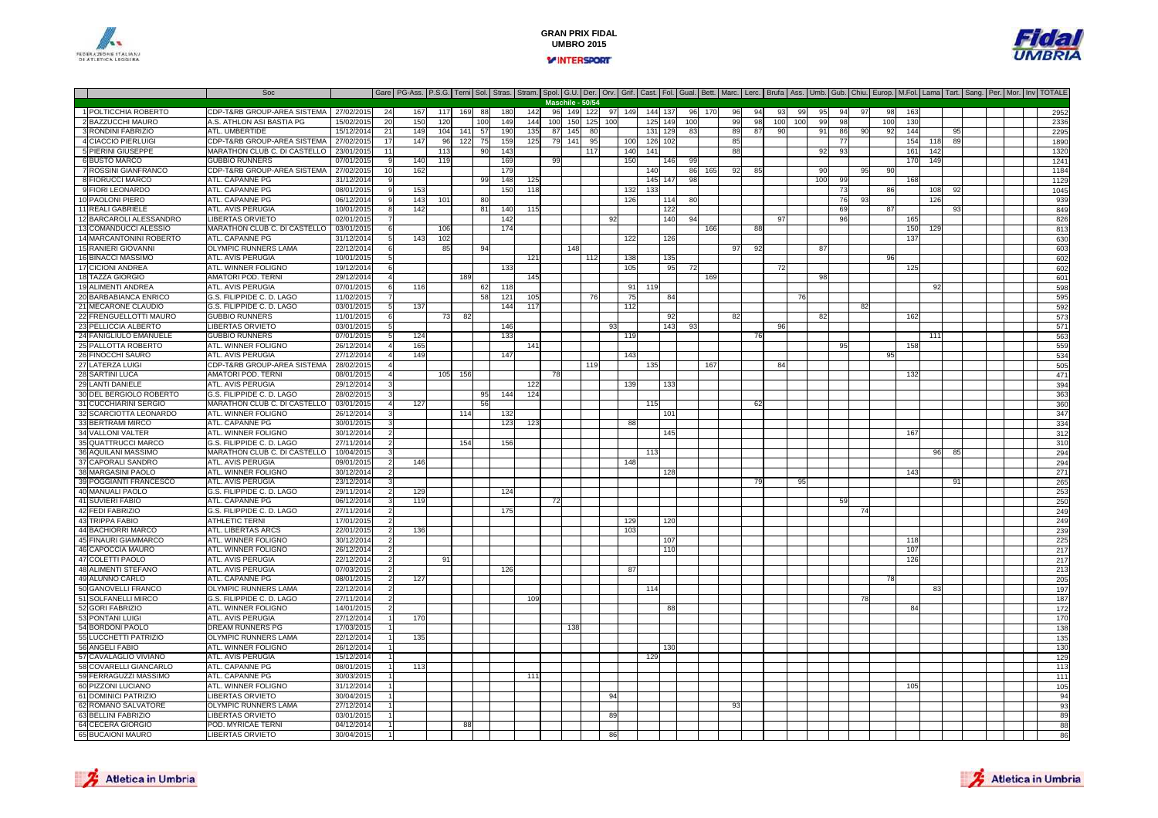



|                                              | Soc                                             |                        | Gare   PG-Ass.   P.S.G.   Terni   Sol.   Stras.   Stran.   Spol.   G.U.   Der.   Orv.   Grif.   Cast.   Fol.   Gual.   Bett.   Marc.   Lerc.   Burfa   Ass.   Umb.   Gub.   Chiu.   Europ.   M.Fol.   Lama   Tart.   Sang.   P |            |     |     |     |            |     |     |                  |     |        |     |         |            |     |     |     |    |     |     |     |          |    |     |     |     |    |  |  |            |
|----------------------------------------------|-------------------------------------------------|------------------------|--------------------------------------------------------------------------------------------------------------------------------------------------------------------------------------------------------------------------------|------------|-----|-----|-----|------------|-----|-----|------------------|-----|--------|-----|---------|------------|-----|-----|-----|----|-----|-----|-----|----------|----|-----|-----|-----|----|--|--|------------|
|                                              |                                                 |                        |                                                                                                                                                                                                                                |            |     |     |     |            |     |     | Maschile - 50/54 |     |        |     |         |            |     |     |     |    |     |     |     |          |    |     |     |     |    |  |  |            |
| 1 POLTICCHIA ROBERTO                         | CDP-T&RB GROUP-AREA SISTEMA                     | 27/02/2015             | 24                                                                                                                                                                                                                             | 167        | 117 | 169 | 88  | 180        | 142 |     | 96 149 122       |     | 97 149 |     | 144 137 |            | 96  | 170 | 96  | 94 | 93  | 99  | 95  | 94       |    | 98  | 163 |     |    |  |  | 2952       |
| 2 BAZZUCCHI MAURO                            | A.S. ATHLON ASI BASTIA PG                       | 15/02/201              | 20                                                                                                                                                                                                                             | 150        | 120 |     | 100 | 149        | 144 | 100 | 150              | 125 | 100    |     | 125     | 14C        | 100 |     | 99  | 98 | 100 | 100 | 99  | 98       |    | 100 | 130 |     |    |  |  | 2336       |
| 3 RONDINI FABRIZIO                           | ATL. UMBERTIDE                                  | 15/12/201              | 21                                                                                                                                                                                                                             | 149        | 104 | 141 | 57  | 190        | 135 | 87  | 145              | 80  |        |     | 131     | 129        | 83  |     | 89  | 87 | 90  |     | 91  | 86       | 90 | 92  | 144 |     | 95 |  |  | 2295       |
| 4 CIACCIO PIERLUIGI                          | CDP-T&RB GROUP-AREA SISTEMA                     | 27/02/201              | $\overline{17}$                                                                                                                                                                                                                | 147        | 96  | 122 | 75  | 159        | 125 | 79  | $-141$           | 95  |        | 100 | 126     | 102        |     |     | 85  |    |     |     |     | 77       |    |     | 154 | 118 | 89 |  |  | 1890       |
| 5 PIERINI GIUSEPPE                           | MARATHON CLUB C. DI CASTELLO                    | 23/01/201              | 11                                                                                                                                                                                                                             |            | 113 |     | 90  | 143        |     |     |                  | 117 |        | 140 | 141     |            |     |     | 88  |    |     |     | 92  | 9        |    |     | 161 | 142 |    |  |  | 1320       |
| 6 BUSTO MARCO                                | <b>GUBBIO RUNNERS</b>                           | 07/01/201              |                                                                                                                                                                                                                                | 140        | 119 |     |     | 169        |     | - q |                  |     |        | 150 |         | 146        | 99  |     |     |    |     |     |     |          |    |     | 170 | 149 |    |  |  | 1241       |
| 7 ROSSINI GIANFRANCO                         | CDP-T&RB GROUP-AREA SISTEMA                     | 27/02/2015             | 10                                                                                                                                                                                                                             | 162        |     |     |     | 179        |     |     |                  |     |        |     | 140     |            | 86  | 165 | 92  | 85 |     |     | 90  |          | 95 | 90  |     |     |    |  |  | 1184       |
| 8 FIORUCCI MARCO                             | ATL. CAPANNE PG                                 | 31/12/201              |                                                                                                                                                                                                                                |            |     |     | 99  | 148        | 125 |     |                  |     |        |     | 145     | 147        | 98  |     |     |    |     |     | 100 | 99       |    |     | 16  |     |    |  |  | 1129       |
| 9 FIORI LEONARDO<br>10 PAOLONI PIERO         | ATL. CAPANNE PG<br>ATL. CAPANNE PG              | 08/01/2015             |                                                                                                                                                                                                                                | 153        |     |     | 80  | 150        | 118 |     |                  |     |        | 132 | 133     | 114        |     |     |     |    |     |     |     | 73<br>76 |    | 86  |     | 108 | 92 |  |  | 1045       |
| 11 REALI GABRIELE                            | ATL. AVIS PERUGIA                               | 06/12/201<br>10/01/201 |                                                                                                                                                                                                                                | 143<br>142 | 101 |     |     |            |     |     |                  |     |        | 126 |         |            | 80  |     |     |    |     |     |     | 69       |    | 87  |     | 126 |    |  |  | 939        |
| 12 BARCAROLI ALESSANDRO                      | <b>LIBERTAS ORVIETO</b>                         | 02/01/201              |                                                                                                                                                                                                                                |            |     |     | -81 | 140<br>142 | 115 |     |                  |     | 92     |     |         | 122<br>140 | 94  |     |     |    | 97  |     |     | 96       |    |     | 165 |     | 93 |  |  | 849<br>826 |
| 13 COMANDUCCI ALESSIO                        | MARATHON CLUB C. DI CASTELLO                    | 03/01/201              |                                                                                                                                                                                                                                |            | 106 |     |     | 174        |     |     |                  |     |        |     |         |            |     | 166 |     | 88 |     |     |     |          |    |     | 150 | 129 |    |  |  | 813        |
| 14 MARCANTONINI ROBERTO                      | ATL. CAPANNE PG                                 | 31/12/201              |                                                                                                                                                                                                                                | 143        | 102 |     |     |            |     |     |                  |     |        | 122 |         | 126        |     |     |     |    |     |     |     |          |    |     | 137 |     |    |  |  | 630        |
| <b>15 RANIERI GIOVANNI</b>                   | OLYMPIC RUNNERS LAMA                            | 22/12/2014             |                                                                                                                                                                                                                                |            | 85  |     | 94  |            |     |     | 148              |     |        |     |         |            |     |     | 971 | 92 |     |     | 87  |          |    |     |     |     |    |  |  | 603        |
| <b>16 BINACCI MASSIMO</b>                    | ATL. AVIS PERUGIA                               | 10/01/2015             |                                                                                                                                                                                                                                |            |     |     |     |            | 121 |     |                  | 112 |        | 138 |         | 135        |     |     |     |    |     |     |     |          |    | 96  |     |     |    |  |  | 602        |
| 17 CICIONI ANDREA                            | ATL. WINNER FOLIGNO                             | 19/12/2014             |                                                                                                                                                                                                                                |            |     |     |     | 133        |     |     |                  |     |        | 105 |         | 95         | 72  |     |     |    | 72  |     |     |          |    |     | 125 |     |    |  |  | 602        |
| 18 TAZZA GIORGIO                             | AMATORI POD. TERNI                              | 29/12/2014             |                                                                                                                                                                                                                                |            |     | 189 |     |            | 145 |     |                  |     |        |     |         |            |     | 169 |     |    |     |     | 98  |          |    |     |     |     |    |  |  | 601        |
| 19 ALIMENTI ANDREA                           | ATL. AVIS PERUGIA                               | 07/01/2015             |                                                                                                                                                                                                                                | 116        |     |     | 62  | 118        |     |     |                  |     |        | 91  | 119     |            |     |     |     |    |     |     |     |          |    |     |     |     |    |  |  | 598        |
| 20 BARBABIANCA ENRICO                        | G.S. FILIPPIDE C. D. LAGO                       | 11/02/201              |                                                                                                                                                                                                                                |            |     |     | 58  | 121        | 105 |     |                  |     |        | 75  |         | -84        |     |     |     |    |     |     |     |          |    |     |     |     |    |  |  | 595        |
| 21 MECARONE CLAUDIO                          | G.S. FILIPPIDE C. D. LAGO                       | 03/01/201              |                                                                                                                                                                                                                                | 137        |     |     |     | 144        | 117 |     |                  |     |        | 112 |         |            |     |     |     |    |     |     |     |          | 82 |     |     |     |    |  |  | 592        |
| 22 FRENGUELLOTTI MAURO                       | <b>GUBBIO RUNNERS</b>                           | 11/01/201              |                                                                                                                                                                                                                                |            | 73  | 82  |     |            |     |     |                  |     |        |     |         | -92        |     |     | -82 |    |     |     | 82  |          |    |     | 162 |     |    |  |  | 573        |
| 23 PELLICCIA ALBERTO                         | <b>LIBERTAS ORVIETO</b>                         | 03/01/201              |                                                                                                                                                                                                                                |            |     |     |     | 146        |     |     |                  |     | Q.     |     |         | 143        | 93  |     |     |    |     |     |     |          |    |     |     |     |    |  |  | 571        |
| <b>24 FANIGLIULO EMANUELE</b>                | <b>GUBBIO RUNNERS</b>                           | 07/01/201              |                                                                                                                                                                                                                                | 124        |     |     |     | 133        |     |     |                  |     |        | 119 |         |            |     |     |     | 76 |     |     |     |          |    |     |     | 111 |    |  |  | 563        |
| 25 PALLOTTA ROBERTO                          | ATL. WINNER FOLIGNO                             | 26/12/201              |                                                                                                                                                                                                                                | 165        |     |     |     |            | 141 |     |                  |     |        |     |         |            |     |     |     |    |     |     |     | 95       |    |     | 158 |     |    |  |  | 559        |
| 26 FINOCCHI SAURO                            | ATL. AVIS PERUGIA                               | 27/12/2014             |                                                                                                                                                                                                                                | 149        |     |     |     | 147        |     |     |                  |     |        | 143 |         |            |     |     |     |    |     |     |     |          |    | 95  |     |     |    |  |  | 534        |
| 27 LATERZA LUIGI                             | CDP-T&RB GROUP-AREA SISTEMA                     | 28/02/2015             |                                                                                                                                                                                                                                |            |     |     |     |            |     |     |                  | 119 |        |     | 135     |            |     | 167 |     |    | 84  |     |     |          |    |     |     |     |    |  |  | 505        |
| 28 SARTINI LUCA                              | AMATORI POD. TERNI                              | 08/01/201              |                                                                                                                                                                                                                                |            | 105 | 156 |     |            |     | 78  |                  |     |        |     |         |            |     |     |     |    |     |     |     |          |    |     | 132 |     |    |  |  | 471        |
| 29 LANTI DANIELE                             | ATL. AVIS PERUGIA                               | 29/12/201              |                                                                                                                                                                                                                                |            |     |     |     |            | 122 |     |                  |     |        | 139 |         | 13.        |     |     |     |    |     |     |     |          |    |     |     |     |    |  |  | 394        |
| 30 DEL BERGIOLO ROBERTO                      | G.S. FILIPPIDE C. D. LAGO                       | 28/02/201              |                                                                                                                                                                                                                                |            |     |     | 95  | 144        | 124 |     |                  |     |        |     |         |            |     |     |     |    |     |     |     |          |    |     |     |     |    |  |  | 363        |
| 31 CUCCHIARINI SERGIO                        | MARATHON CLUB C. DI CASTELLO                    | 03/01/201              |                                                                                                                                                                                                                                | 127        |     |     | 56  |            |     |     |                  |     |        |     | 115     |            |     |     |     | 62 |     |     |     |          |    |     |     |     |    |  |  | 360        |
| 32 SCARCIOTTA LEONARDO                       | ATL. WINNER FOLIGNO                             | 26/12/201              |                                                                                                                                                                                                                                |            |     | 114 |     | 132        |     |     |                  |     |        |     |         | 101        |     |     |     |    |     |     |     |          |    |     |     |     |    |  |  | 347        |
| 33 BERTRAMI MIRCO                            | ATL. CAPANNE PG                                 | 30/01/2015             |                                                                                                                                                                                                                                |            |     |     |     | 123        | 123 |     |                  |     |        | 88  |         |            |     |     |     |    |     |     |     |          |    |     |     |     |    |  |  | 334        |
| 34 VALLONI VALTER                            | ATL. WINNER FOLIGNO                             | 30/12/201              |                                                                                                                                                                                                                                |            |     |     |     |            |     |     |                  |     |        |     |         | 14F        |     |     |     |    |     |     |     |          |    |     | 167 |     |    |  |  | 312        |
| 35 QUATTRUCCI MARCO                          | G.S. FILIPPIDE C. D. LAGO                       | 27/11/201              |                                                                                                                                                                                                                                |            |     | 154 |     | 156        |     |     |                  |     |        |     |         |            |     |     |     |    |     |     |     |          |    |     |     |     |    |  |  | 310        |
| 36 AQUILANI MASSIMO                          | MARATHON CLUB C. DI CASTELLO                    | 10/04/2015             |                                                                                                                                                                                                                                |            |     |     |     |            |     |     |                  |     |        |     | 113     |            |     |     |     |    |     |     |     |          |    |     |     | 96  | 85 |  |  | 294        |
| 37 CAPORALI SANDRO                           | ATL. AVIS PERUGIA                               | 09/01/201              |                                                                                                                                                                                                                                | 146        |     |     |     |            |     |     |                  |     |        | 148 |         |            |     |     |     |    |     |     |     |          |    |     |     |     |    |  |  | 294        |
| 38 MARGASINI PAOLO<br>39 POGGIANTI FRANCESCO | ATL. WINNER FOLIGNO<br>ATL. AVIS PERUGIA        | 30/12/201<br>23/12/201 |                                                                                                                                                                                                                                |            |     |     |     |            |     |     |                  |     |        |     |         | 128        |     |     |     | 79 |     | 95  |     |          |    |     | 143 |     | 91 |  |  | 271        |
| 40 MANUALI PAOLO                             | G.S. FILIPPIDE C. D. LAGO                       | 29/11/201              |                                                                                                                                                                                                                                | 129        |     |     |     | 124        |     |     |                  |     |        |     |         |            |     |     |     |    |     |     |     |          |    |     |     |     |    |  |  | 265<br>253 |
| 41 SUVIERI FABIO                             | ATL. CAPANNE PG                                 | 06/12/2014             |                                                                                                                                                                                                                                | 119        |     |     |     |            |     | 72  |                  |     |        |     |         |            |     |     |     |    |     |     |     |          |    |     |     |     |    |  |  | 25C        |
| 42 FEDI FABRIZIO                             | G.S. FILIPPIDE C. D. LAGO                       | 27/11/2014             |                                                                                                                                                                                                                                |            |     |     |     | 175        |     |     |                  |     |        |     |         |            |     |     |     |    |     |     |     |          | 74 |     |     |     |    |  |  | 249        |
| <b>43 TRIPPA FABIO</b>                       | <b>ATHLETIC TERNI</b>                           | 17/01/201              |                                                                                                                                                                                                                                |            |     |     |     |            |     |     |                  |     |        | 129 |         | 120        |     |     |     |    |     |     |     |          |    |     |     |     |    |  |  | 249        |
| 44 BACHIORRI MARCO                           | ATL. LIBERTAS ARCS                              | 22/01/201              |                                                                                                                                                                                                                                | 136        |     |     |     |            |     |     |                  |     |        | 103 |         |            |     |     |     |    |     |     |     |          |    |     |     |     |    |  |  | 239        |
| 45 FINAURI GIAMMARCO                         | ATL. WINNER FOLIGNO                             | 30/12/2014             |                                                                                                                                                                                                                                |            |     |     |     |            |     |     |                  |     |        |     |         | 107        |     |     |     |    |     |     |     |          |    |     | 118 |     |    |  |  | 225        |
| 46 CAPOCCIA MAURO                            | ATL. WINNER FOLIGNO                             | 26/12/2014             |                                                                                                                                                                                                                                |            |     |     |     |            |     |     |                  |     |        |     |         | 11(        |     |     |     |    |     |     |     |          |    |     | 10  |     |    |  |  | 217        |
| 47 COLETTI PAOLO                             | ATL. AVIS PERUGIA                               | 22/12/201              |                                                                                                                                                                                                                                |            | 91  |     |     |            |     |     |                  |     |        |     |         |            |     |     |     |    |     |     |     |          |    |     | 126 |     |    |  |  | 217        |
| <b>48 ALIMENTI STEFANO</b>                   | ATL. AVIS PERUGIA                               | 07/03/201              |                                                                                                                                                                                                                                |            |     |     |     | 126        |     |     |                  |     |        | 87  |         |            |     |     |     |    |     |     |     |          |    |     |     |     |    |  |  | 213        |
| 49 ALUNNO CARLO                              | ATL. CAPANNE PG                                 | 08/01/2015             |                                                                                                                                                                                                                                | 127        |     |     |     |            |     |     |                  |     |        |     |         |            |     |     |     |    |     |     |     |          |    | 78  |     |     |    |  |  | 205        |
| 50 GANOVELLI FRANCO                          | OLYMPIC RUNNERS LAMA                            | 22/12/201              |                                                                                                                                                                                                                                |            |     |     |     |            |     |     |                  |     |        |     | 114     |            |     |     |     |    |     |     |     |          |    |     |     | 83  |    |  |  | 197        |
| 51 SOLFANELLI MIRCO                          | G.S. FILIPPIDE C. D. LAGO                       | 27/11/2014             |                                                                                                                                                                                                                                |            |     |     |     |            | 109 |     |                  |     |        |     |         |            |     |     |     |    |     |     |     |          | 78 |     |     |     |    |  |  | 187        |
| 52 GORI FABRIZIO                             | ATL. WINNER FOLIGNO                             | 14/01/201              |                                                                                                                                                                                                                                |            |     |     |     |            |     |     |                  |     |        |     |         | 88         |     |     |     |    |     |     |     |          |    |     | 84  |     |    |  |  | 172        |
| 53 PONTANI LUIGI                             | ATL. AVIS PERUGIA                               | 27/12/201              |                                                                                                                                                                                                                                | 170        |     |     |     |            |     |     |                  |     |        |     |         |            |     |     |     |    |     |     |     |          |    |     |     |     |    |  |  | 170        |
| 54 BORDONI PAOLO                             | DREAM RUNNERS PG                                | 17/03/2015             |                                                                                                                                                                                                                                |            |     |     |     |            |     |     | 138              |     |        |     |         |            |     |     |     |    |     |     |     |          |    |     |     |     |    |  |  | 138        |
| 55 LUCCHETTI PATRIZIO                        | OLYMPIC RUNNERS LAMA                            | 22/12/201              |                                                                                                                                                                                                                                | 135        |     |     |     |            |     |     |                  |     |        |     |         |            |     |     |     |    |     |     |     |          |    |     |     |     |    |  |  | 135        |
| 56 ANGELI FABIO                              | ATL. WINNER FOLIGNO                             | 26/12/201              |                                                                                                                                                                                                                                |            |     |     |     |            |     |     |                  |     |        |     |         | 130        |     |     |     |    |     |     |     |          |    |     |     |     |    |  |  | 130        |
| 57 CAVALAGLIO VIVIANO                        | ATL. AVIS PERUGIA                               | 15/12/201              |                                                                                                                                                                                                                                |            |     |     |     |            |     |     |                  |     |        |     | 12S     |            |     |     |     |    |     |     |     |          |    |     |     |     |    |  |  | 129        |
| 58 COVARELLI GIANCARLO                       | ATL. CAPANNE PG                                 | 08/01/2015             |                                                                                                                                                                                                                                | 113        |     |     |     |            |     |     |                  |     |        |     |         |            |     |     |     |    |     |     |     |          |    |     |     |     |    |  |  | 113        |
| 59 FERRAGUZZI MASSIMO<br>60 PIZZONI LUCIANO  | ATL. CAPANNE PG                                 | 30/03/2015             |                                                                                                                                                                                                                                |            |     |     |     |            | 111 |     |                  |     |        |     |         |            |     |     |     |    |     |     |     |          |    |     |     |     |    |  |  | 111        |
|                                              | ATL. WINNER FOLIGNO                             | 31/12/2014             |                                                                                                                                                                                                                                |            |     |     |     |            |     |     |                  |     |        |     |         |            |     |     |     |    |     |     |     |          |    |     | 105 |     |    |  |  | 105        |
| 61 DOMINICI PATRIZIO<br>62 ROMANO SALVATORE  | <b>LIBERTAS ORVIETO</b><br>OLYMPIC RUNNERS LAMA | 30/04/201<br>27/12/201 |                                                                                                                                                                                                                                |            |     |     |     |            |     |     |                  |     |        |     |         |            |     |     | 93  |    |     |     |     |          |    |     |     |     |    |  |  | 94<br>93   |
| 63 BELLINI FABRIZIO                          | LIBERTAS ORVIETO                                | 03/01/2015             |                                                                                                                                                                                                                                |            |     |     |     |            |     |     |                  |     | 89     |     |         |            |     |     |     |    |     |     |     |          |    |     |     |     |    |  |  | 89         |
| 64 CECERA GIORGIO                            | POD. MYRICAE TERNI                              | 04/12/201              |                                                                                                                                                                                                                                |            |     | 88  |     |            |     |     |                  |     |        |     |         |            |     |     |     |    |     |     |     |          |    |     |     |     |    |  |  | 88         |
| 65 BUCAIONI MAURO                            | <b>LIBERTAS ORVIETO</b>                         | 30/04/2015             |                                                                                                                                                                                                                                |            |     |     |     |            |     |     |                  |     |        |     |         |            |     |     |     |    |     |     |     |          |    |     |     |     |    |  |  | 86         |
|                                              |                                                 |                        |                                                                                                                                                                                                                                |            |     |     |     |            |     |     |                  |     |        |     |         |            |     |     |     |    |     |     |     |          |    |     |     |     |    |  |  |            |



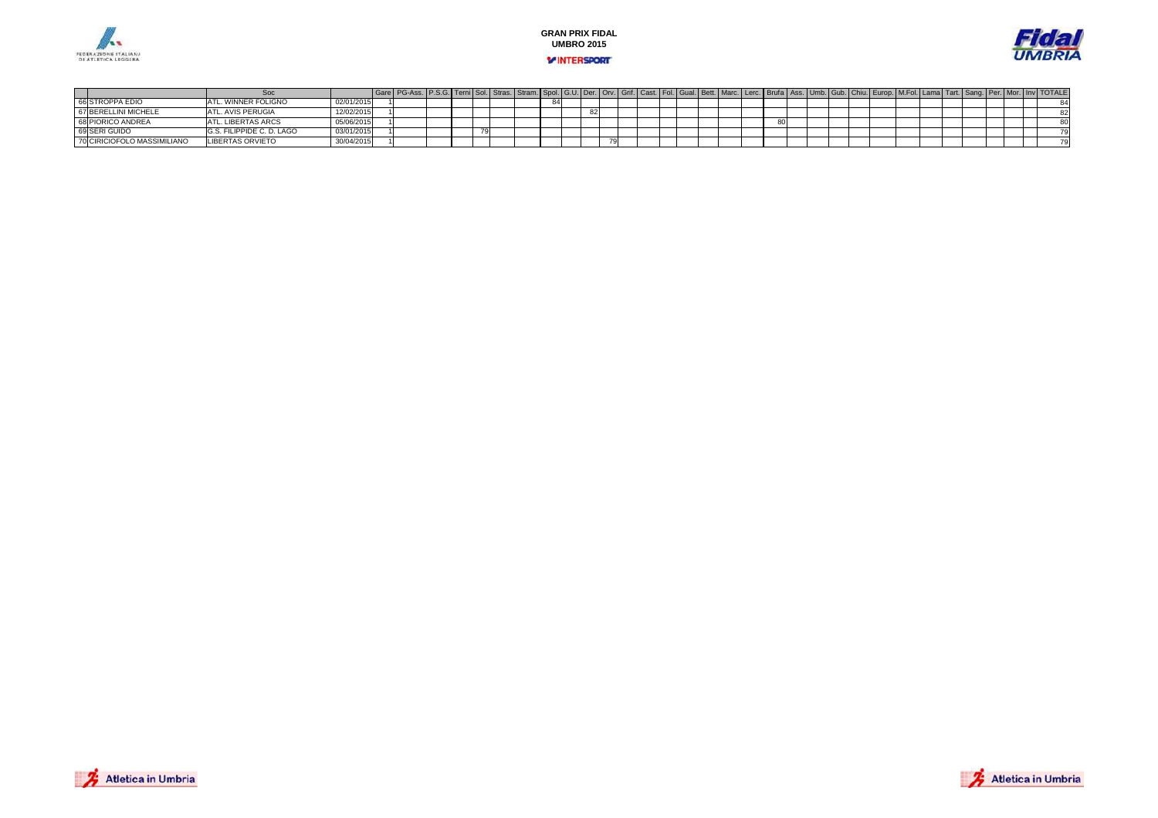





#### Soc Gare PG-Ass. P.S.G. Terni Sol. Stras. Stram. Spol. G.U. Der. Orv. Grif. Cast. Fol. Gual. Bett. Marc. Lerc. Brufa Ass. Umb. Gub. Chiu. Europ. M.Fol. Lama Tart. Sang. Per. Mor. Inv TOTALE<br>ATL. WINNER FOLIGNO (2001/2015)  $\overline{84}$ 66 STROPPA EDIO<br>67 BERELLINI MICHELE ATL. WINNER FOLIGNO 02/01/2015 <sup>1</sup> <sup>84</sup> <sup>84</sup> ATL. AVIS PERUGIA 12/02/2015 <sup>1</sup> <sup>82</sup> <sup>82</sup> 68 PIORICO ANDREA ATL. LIBERTAS ARCS 05/06/2015 <sup>1</sup> <sup>80</sup> <sup>80</sup> 69 SERI GUIDO G.S. FILIPPIDE C. D. LAGO 03/01/2015 <sup>1</sup> <sup>79</sup> <sup>79</sup> 70 CIRICIOFOLO MASSIMILIANOLIBERTAS ORVIETO 30/04/2015 <sup>1</sup> <sup>79</sup> <sup>79</sup>

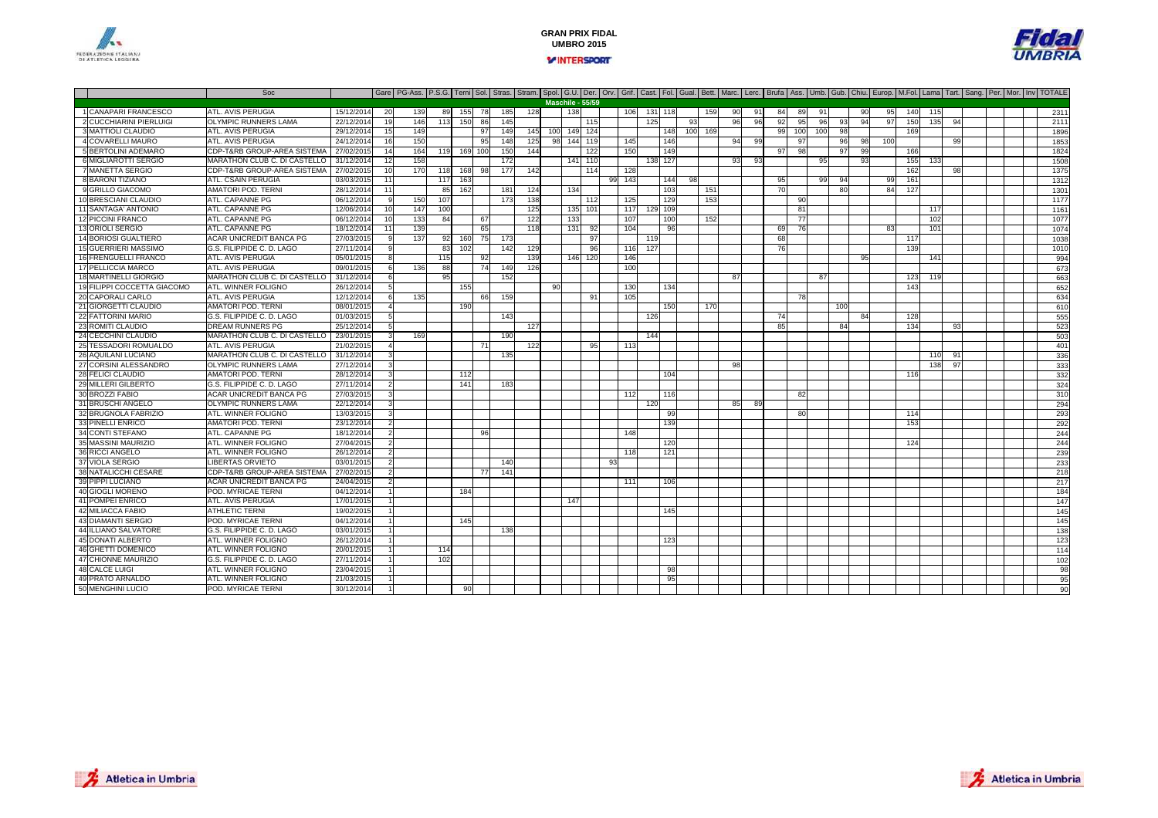



#### Soc Gare PG-Ass. P.S.G. Terni Sol. Stras. Stram. Spol. G.U. Der. Orv. Grif. Cast. Fol. Gual. Bett. Marc. Lerc. Brufa Ass. Umb. Gub. Chiu. Europ. M.Fol. Lama Tart. Sang. Per. Mor. Inv TOTALE 1 CANAPARI FRANCESCOATL. AVIS PERUGIA 15/12/2014 20 139 89 155 78 185 128 138 166 131 118 159 90 91 84 89 91 92 95 140 155 140 159<br>Atlantic Prince Control 15/12/2014 20 139 89 156 89 165 166 178 189 160 179 179 90 91 84 89 91 92 92 93 140 15 2 CUCCHIARINI PIERLUIGI OLYMPIC RUNNERS LAMA<br>ATL. AVIS PERUGIA A 22/12/2014 19 146 113 150 86 145 | 115 | 125 | 93 | 96 96 92 95 96 93 94 97 150 135 94 | | | 2111 3 MATTIOLI CLAUDIO ATL. AVIS PERUGIA 29/12/2014 <sup>15</sup> <sup>149</sup> <sup>97</sup> <sup>149</sup> <sup>145</sup> <sup>100</sup> <sup>149</sup> <sup>124</sup> <sup>148</sup> <sup>100</sup> <sup>169</sup> <sup>99</sup> <sup>100</sup> <sup>100</sup> <sup>98</sup> <sup>169</sup> <sup>1896</sup> 4 COVARELLI MAURO ATL. AVIS PERUGIA 24/12/2014 <sup>16</sup> <sup>150</sup> <sup>95</sup> <sup>148</sup> <sup>125</sup> <sup>98</sup> <sup>144</sup> <sup>119</sup> <sup>145</sup> <sup>146</sup> <sup>94</sup> <sup>99</sup> <sup>97</sup> <sup>96</sup> <sup>98</sup> <sup>100</sup> <sup>99</sup> <sup>1853</sup> 5 BERTOLINI ADEMARO CDP-T&RB GROUP-AREA SISTEMA 27/02/2015 <sup>14</sup> <sup>164</sup> <sup>119</sup> <sup>169</sup> <sup>100</sup> <sup>150</sup> <sup>144</sup> <sup>122</sup> <sup>150</sup> <sup>149</sup> <sup>97</sup> <sup>98</sup> <sup>97</sup> <sup>99</sup> <sup>166</sup> <sup>1824</sup> 6 MIGLIAROTTI SERGIOMARATHON CLUB C. DI CASTELLO 31/12/2014 12 158 172 172 1441 110 138 127 138 127 138 93 93 156 93 155 133 1508<br>CDP-T&RB GROUP-AREA SISTEMA I 27/02/2015 10 170 118 168 98 177 142 144 128 114 128 1 7 MANETTA SERGIOO CDP-T&RB GROUP-AREA SISTEMA | 27/02/2015 10 170 118 168 98 177 142 114 128 115 128 115 115 1162 162 162 98 1 8 BARONI TIZIANO ATL. CSAIN PERUGIA 03/03/2015 <sup>11</sup> <sup>117</sup> <sup>163</sup> <sup>99</sup> <sup>143</sup> <sup>144</sup> <sup>98</sup> <sup>95</sup> <sup>99</sup> <sup>94</sup> <sup>99</sup> <sup>161</sup> <sup>1312</sup> 9 GRILLO GIACOMO0 AMATORI POD. TERNI 28/12/2014 11 85 162 181 124 134 14 134 135 163 164 164 165 168 169 169 169 169 169 169 1 10 BRESCIANI CLAUDIO ATL. CAPANNE PG 06/12/2014 <sup>9</sup> <sup>150</sup> <sup>107</sup> <sup>173</sup> <sup>138</sup> <sup>112</sup> <sup>125</sup> <sup>129</sup> <sup>153</sup> <sup>90</sup> <sup>1177</sup> 11 SANTAGA' ANTONIO0 ATL. CAPANNE PG 12/06/2014 10 147 100 1 125 135 101 117 129 109 1 125 100 1 100 1 100 1 1 1 1 1 1 1 1 1 1 1 12 PICCINI FRANCO ATL. CAPANNE PG 06/12/2014 <sup>10</sup> <sup>133</sup> <sup>84</sup> <sup>67</sup> <sup>122</sup> <sup>133</sup> <sup>107</sup> <sup>100</sup> <sup>152</sup> <sup>77</sup> <sup>102</sup> <sup>1077</sup> 13 ORIOLI SERGIO ATL. CAPANNE PG 18/12/2014 <sup>11</sup> <sup>139</sup> <sup>65</sup> <sup>118</sup> <sup>131</sup> <sup>92</sup> <sup>104</sup> <sup>96</sup> <sup>69</sup> <sup>76</sup> <sup>83</sup> <sup>101</sup> <sup>1074</sup> 14 BORIOSI GUALTIERO ACAR UNICREDIT BANCA PG 27/03/2015 <sup>9</sup> <sup>137</sup> <sup>92</sup> <sup>160</sup> <sup>75</sup> <sup>173</sup> <sup>97</sup> <sup>119</sup> <sup>68</sup> <sup>117</sup> <sup>1038</sup> 15 GUERRIERI MASSIMO G.S. FILIPPIDE C. D. LAGO 27/11/2014 <sup>9</sup> <sup>83</sup> <sup>102</sup> <sup>142</sup> <sup>129</sup> <sup>96</sup> <sup>116</sup> <sup>127</sup> <sup>76</sup> <sup>139</sup> <sup>1010</sup> 16 FRENGUELLI FRANCO0 ATL. AVIS PERUGIA | 05/01/2015 8 15 115 92 139 146 120 146 | | | | | | | | | | | 95 | | 141 | | | 994 17 PELLICCIA MARCO ATL. AVIS PERUGIA 09/01/2015 <sup>6</sup> <sup>136</sup> <sup>88</sup> <sup>74</sup> <sup>149</sup> <sup>126</sup> <sup>100</sup> <sup>673</sup> 18 MARTINELLI GIORGIOMARATHON CLUB C. DI CASTELLO 31/12/2014 6 95 152 162 162 162 163 164 162 163 163 164 163 164 163 164 164 164 1<br>| ATL. WINNER FOLIGNO 26/12/2014 5 155 162 163 163 163 164 163 164 164 164 164 164 164 1652 1652 1652 1652 16 19 FILIPPI COCCETTA GIACOMO ATL. WINNER FOLIGNO 26/12/2014 <sup>5</sup> <sup>155</sup> <sup>90</sup> <sup>130</sup> <sup>134</sup> <sup>143</sup> <sup>652</sup> 20 CAPORALI CARLO0 ATL.AVIS PERUGIA 12/12/2014 6 135 0 66 159 1 91 105 1 91 105 1 78 1 78 1 91 9 21 GIORGETTI CLAUDIO AMATORI POD. TERNI 08/01/2015 <sup>4</sup> <sup>190</sup> <sup>150</sup> <sup>170</sup> <sup>100</sup> <sup>610</sup> 22 FATTORINI MARIO G.S. FILIPPIDE C. D. LAGO 01/03/2015 <sup>5</sup> <sup>143</sup> <sup>126</sup> <sup>74</sup> <sup>84</sup> <sup>128</sup> <sup>555</sup> 23 ROMITI CLAUDIO0 DREAM RUNNERS PG 25/12/2014 5 | | | | 127 | | | | | | | | | 85 | | 84 | | 134 | 93 | | | | 523 24 CECCHINI CLAUDIO MARATHON CLUB C. DI CASTELLO 23/01/2015 <sup>3</sup> <sup>169</sup> <sup>190</sup> <sup>144</sup> <sup>503</sup> 25 TESSADORI ROMUALDO ATL. AVIS PERUGIA 21/02/2015 <sup>4</sup> <sup>71</sup> <sup>122</sup> <sup>95</sup> <sup>113</sup> <sup>401</sup> 26 AQUILANI LUCIANO MARATHON CLUB C. DI CASTELLO 31/12/2014 <sup>3</sup> <sup>135</sup> <sup>110</sup> <sup>91</sup> <sup>336</sup> 27 CORSINI ALESSANDRO OLYMPIC RUNNERS LAMA 27/12/2014 <sup>3</sup> <sup>98</sup> <sup>138</sup> <sup>97</sup> <sup>333</sup> **Maschile - 55/59**28 FELICI CLAUDIO AMATORI POD. TERNI 28/12/2014 <sup>3</sup> <sup>112</sup> <sup>104</sup> <sup>116</sup> <sup>332</sup> 29 MILLERI GILBERTO G.S. FILIPPIDE C. D. LAGO 27/11/2014 <sup>2</sup> <sup>141</sup> <sup>183</sup> <sup>324</sup> 30 BROZZI FABIO ACAR UNICREDIT BANCA PG 27/03/2015 <sup>3</sup> <sup>112</sup> <sup>116</sup> <sup>82</sup> <sup>310</sup> 31 BRUSCHI ANGELO OLYMPIC RUNNERS LAMA 22/12/2014 <sup>3</sup> <sup>120</sup> <sup>85</sup> <sup>89</sup> <sup>294</sup> 32 BRUGNOLA FABRIZIO ATL. WINNER FOLIGNO 13/03/2015 <sup>3</sup> <sup>99</sup> <sup>80</sup> <sup>114</sup> <sup>293</sup> 33 PINELLI ENRICO AMATORI POD. TERNI 23/12/2014 <sup>2</sup> <sup>139</sup> <sup>153</sup> <sup>292</sup> 34 CONTI STEFANO ATL. CAPANNE PG 18/12/2014 <sup>2</sup> <sup>96</sup> <sup>148</sup> <sup>244</sup> 35 MASSINI MAURIZIOO ATL WINNER FOLIGNO 27/04/2015 2 | | | | | | | | | | | 120 | | | | | | | | | | | 124 | | | | | | 244 36 RICCI ANGELOO ATL. WINNER FOLIGNO 26/12/2014 2 239 POLICING 2001 2001 21:00 121 239 239 239 24:00 24:00 24:00 239 239 239 2 37 VIOLA SERGIO LIBERTAS ORVIETO 03/01/2015 <sup>2</sup> <sup>140</sup> <sup>93</sup> <sup>233</sup> 38 NATALICCHI CESARE CDP-T&RB GROUP-AREA SISTEMA 27/02/2015 <sup>2</sup> <sup>77</sup> <sup>141</sup> <sup>218</sup> 39 PIPPI LUCIANO ACAR UNICREDIT BANCA PG 24/04/2015 <sup>2</sup> <sup>111</sup> <sup>106</sup> <sup>217</sup> 40 GIOGLI MORENO POD. MYRICAE TERNI 04/12/2014 <sup>1</sup> <sup>184</sup> <sup>184</sup> 41 POMPEI ENRICO ATL. AVIS PERUGIA 17/01/2015 <sup>1</sup> <sup>147</sup> <sup>147</sup> 42 MILIACCA FABIO ATHLETIC TERNI 19/02/2015 <sup>1</sup> <sup>145</sup> <sup>145</sup> 43 DIAMANTI SERGIO POD. MYRICAE TERNI 04/12/2014 <sup>1</sup> <sup>145</sup> <sup>145</sup> 44 ILLIANO SALVATOREG.S. FILIPPIDE C. D. LAGO<br>ATL. WINNER FOLIGNO 03/01/2015 <sup>1</sup> <sup>138</sup> <sup>138</sup> 45 DONATI ALBERTO ATL. WINNER FOLIGNO 26/12/2014 <sup>1</sup> <sup>123</sup> <sup>123</sup> 46 GHETTI DOMENICO ATL. WINNER FOLIGNO 20/01/2015 <sup>1</sup> <sup>114</sup> <sup>114</sup> 47 CHIONNE MAURIZIO G.S. FILIPPIDE C. D. LAGO 27/11/2014 <sup>1</sup> <sup>102</sup> <sup>102</sup> **48 CALCE LUIGI** ATL. WINNER FOLIGNO<br>ATL. WINNER FOLIGNO 23/04/2015 <sup>1</sup> <sup>98</sup> <sup>98</sup> 49 PRATO ARNALDO ATL. WINNER FOLIGNO 21/03/2015 <sup>1</sup> <sup>95</sup> <sup>95</sup> MENGHINI LUCIOPOD. MYRICAE TERNI 30/12/2014 <sup>1</sup> <sup>90</sup> <sup>90</sup>



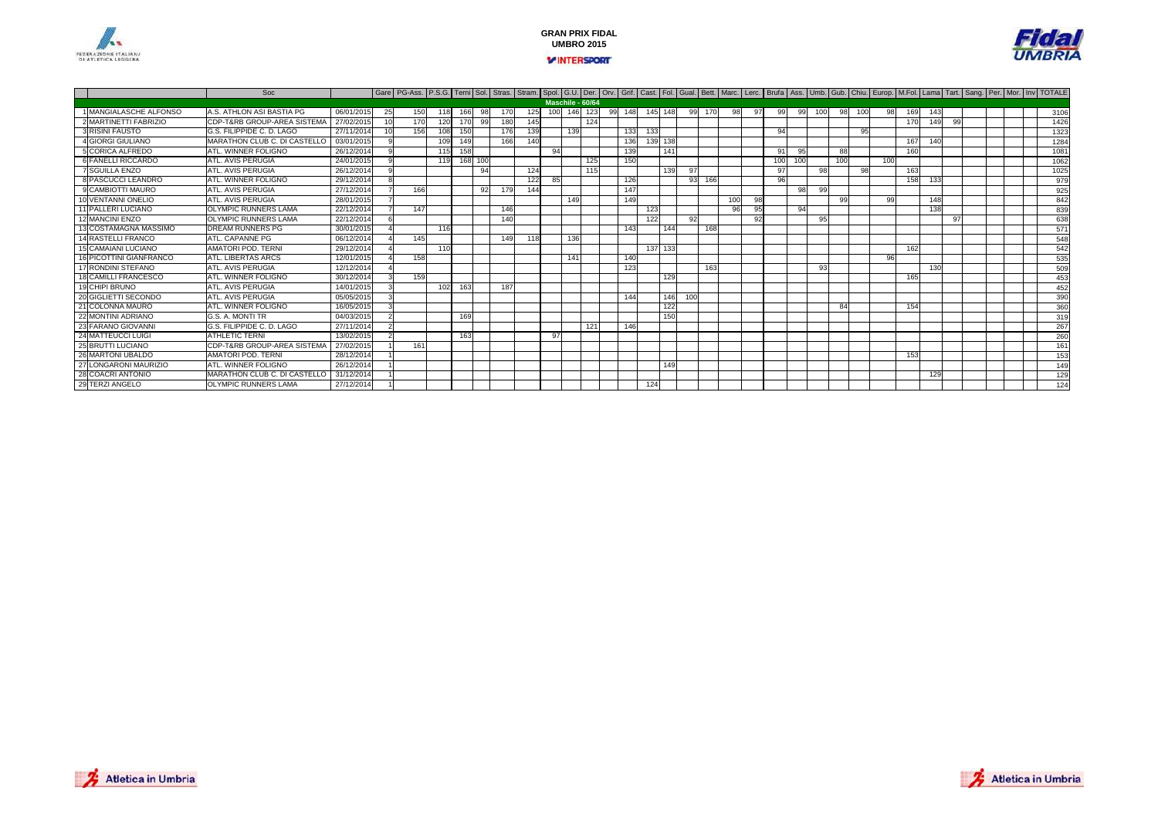



|                            | Soc                                    |            |          | Gare   PG-Ass.   P.S.G.   Terni   Sol.   Stras.   Stram.   Spol.   G.U.   Der.   Orv.   Grif.   Cast.   Fol.   Gual.   Bett.   Marc.   Lerc.   Brufa   Ass.   Umb.   Gub.   Chiu.   Europ.   M.Fol.   Lama   Tart.   Sang.   P |     |         |    |     |     |     |                  |     |    |     |     |         |     |     |                 |    |     |     |     |     |     |     |     |                 |    |  |  |      |
|----------------------------|----------------------------------------|------------|----------|--------------------------------------------------------------------------------------------------------------------------------------------------------------------------------------------------------------------------------|-----|---------|----|-----|-----|-----|------------------|-----|----|-----|-----|---------|-----|-----|-----------------|----|-----|-----|-----|-----|-----|-----|-----|-----------------|----|--|--|------|
|                            |                                        |            |          |                                                                                                                                                                                                                                |     |         |    |     |     |     | Maschile - 60/64 |     |    |     |     |         |     |     |                 |    |     |     |     |     |     |     |     |                 |    |  |  |      |
| 1 MANGIALASCHE ALFONSO     | A.S. ATHLON ASI BASTIA PG              | 06/01/2015 | 25       | 150                                                                                                                                                                                                                            | 118 | 166     | 98 | 170 | 125 | 100 | 146              | 123 | 99 | 148 |     | 145 148 | 991 | 170 | 98              | 97 | 99  | 99  | 100 | 98  | 100 | 98  | 169 | 143             |    |  |  | 3106 |
| 2 MARTINETTI FABRIZIO      | <b>CDP-T&amp;RB GROUP-AREA SISTEMA</b> | 27/02/2015 | 10       | 170                                                                                                                                                                                                                            | 120 | 170     | 99 | 180 | 145 |     |                  | 124 |    |     |     |         |     |     |                 |    |     |     |     |     |     |     | 170 | 14 <sup>c</sup> | 99 |  |  | 1426 |
| <b>3 RISINI FAUSTO</b>     | G.S. FILIPPIDE C. D. LAGO              | 27/11/201  |          | 156                                                                                                                                                                                                                            | 108 | 150     |    | 176 | 139 |     | 139              |     |    | 133 | 133 |         |     |     |                 |    | 94  |     |     |     | 95  |     |     |                 |    |  |  | 1323 |
| 4 GIORGI GIULIANO          | MARATHON CLUB C. DI CASTELLO           | 03/01/2015 |          |                                                                                                                                                                                                                                | 109 | 149     |    | 166 | 140 |     |                  |     |    | 136 |     | 139 138 |     |     |                 |    |     |     |     |     |     |     | 167 | 140             |    |  |  | 1284 |
| 5 CORICA ALFREDO           | <b>ATL, WINNER FOLIGNO</b>             | 26/12/201  |          |                                                                                                                                                                                                                                | 115 | 158     |    |     |     | 94  |                  |     |    | 139 |     | 141     |     |     |                 |    | 91  | 95  |     | 88  |     |     | 160 |                 |    |  |  | 1081 |
| 6 FANELLI RICCARDO         | ATL. AVIS PERUGIA                      | 24/01/2015 | $\Omega$ |                                                                                                                                                                                                                                | 119 | 168 100 |    |     |     |     |                  | 125 |    | 150 |     |         |     |     |                 |    | 100 | 100 |     | 100 |     | 100 |     |                 |    |  |  | 1062 |
| 7 SGUILLA ENZO             | <b>ATL, AVIS PERUGIA</b>               | 26/12/201  |          |                                                                                                                                                                                                                                |     |         | 94 |     | 124 |     |                  | 115 |    |     |     | 139     | 97  |     |                 |    | 97  |     | 98  |     | 98  |     | 163 |                 |    |  |  | 1025 |
| 8 PASCUCCI LEANDRO         | <b>ATL, WINNER FOLIGNO</b>             | 29/12/201  |          |                                                                                                                                                                                                                                |     |         |    |     | 122 | 85  |                  |     |    | 126 |     |         | 93  | 166 |                 |    | 96  |     |     |     |     |     | 158 | 133             |    |  |  | 979  |
| 9 CAMBIOTTI MAURO          | ATL, AVIS PERUGIA                      | 27/12/201  |          | 166                                                                                                                                                                                                                            |     |         | 92 | 179 | 144 |     |                  |     |    | 147 |     |         |     |     |                 |    |     | 98  | 99  |     |     |     |     |                 |    |  |  | 925  |
| <b>VENTANNI ONELIO</b>     | ATL, AVIS PERUGIA                      | 28/01/201  |          |                                                                                                                                                                                                                                |     |         |    |     |     |     | 149              |     |    | 149 |     |         |     |     | 10 <sup>c</sup> | 98 |     |     |     | -99 |     | 99  |     | 148             |    |  |  | 842  |
| <b>11 PALLERI LUCIANO</b>  | <b>OLYMPIC RUNNERS LAMA</b>            | 22/12/201  |          | 147                                                                                                                                                                                                                            |     |         |    | 146 |     |     |                  |     |    |     | 123 |         |     |     | 96              | 95 |     | 94  |     |     |     |     |     | 138             |    |  |  | 839  |
| 12 MANCINI ENZO            | <b>OLYMPIC RUNNERS LAMA</b>            | 22/12/201  |          |                                                                                                                                                                                                                                |     |         |    | 140 |     |     |                  |     |    |     | 122 |         | 92  |     |                 | 92 |     |     | 95  |     |     |     |     |                 | 97 |  |  | 638  |
| 13 COSTAMAGNA MASSIMO      | <b>DREAM RUNNERS PG</b>                | 30/01/2015 |          |                                                                                                                                                                                                                                | 116 |         |    |     |     |     |                  |     |    | 143 |     | 144     |     | 168 |                 |    |     |     |     |     |     |     |     |                 |    |  |  | 571  |
| 14 RASTELLI FRANCO         | ATL. CAPANNE PG                        | 06/12/201  |          | 145                                                                                                                                                                                                                            |     |         |    | 149 | 118 |     | 136              |     |    |     |     |         |     |     |                 |    |     |     |     |     |     |     |     |                 |    |  |  | 548  |
| <b>15 CAMAIANI LUCIANO</b> | <b>AMATORI POD, TERNI</b>              | 29/12/2014 |          |                                                                                                                                                                                                                                | 110 |         |    |     |     |     |                  |     |    |     |     | 137 133 |     |     |                 |    |     |     |     |     |     |     | 162 |                 |    |  |  | 542  |
| 16 PICOTTINI GIANFRANCO    | ATL. LIBERTAS ARCS                     | 12/01/201  |          | 158                                                                                                                                                                                                                            |     |         |    |     |     |     | 141              |     |    | 140 |     |         |     |     |                 |    |     |     |     |     |     | 96  |     |                 |    |  |  | 535  |
| 17 RONDINI STEFANO         | ATL. AVIS PERUGIA                      | 12/12/201  |          |                                                                                                                                                                                                                                |     |         |    |     |     |     |                  |     |    | 123 |     |         |     | 163 |                 |    |     |     | 93  |     |     |     |     | 130             |    |  |  | 509  |
| 18 CAMILLI FRANCESCO       | <b>ATL, WINNER FOLIGNO</b>             | 30/12/2014 |          | 159                                                                                                                                                                                                                            |     |         |    |     |     |     |                  |     |    |     |     | 129     |     |     |                 |    |     |     |     |     |     |     | 165 |                 |    |  |  | 453  |
| 19 CHIPI BRUNO             | ATL, AVIS PERUGIA                      | 14/01/2015 |          |                                                                                                                                                                                                                                | 102 | 163     |    | 187 |     |     |                  |     |    |     |     |         |     |     |                 |    |     |     |     |     |     |     |     |                 |    |  |  | 452  |
| 20 GIGLIETTI SECONDO       | ATL. AVIS PERUGIA                      | 05/05/201  |          |                                                                                                                                                                                                                                |     |         |    |     |     |     |                  |     |    | 144 |     | 146     | 100 |     |                 |    |     |     |     |     |     |     |     |                 |    |  |  | 390  |
| COLONNA MAURO              | <b>ATL, WINNER FOLIGNO</b>             | 16/05/2015 |          |                                                                                                                                                                                                                                |     |         |    |     |     |     |                  |     |    |     |     | 122     |     |     |                 |    |     |     |     | 84  |     |     | 154 |                 |    |  |  | 360  |
| 22 MONTINI ADRIANO         | G.S. A. MONTI TR                       | 04/03/201  |          |                                                                                                                                                                                                                                |     | 169     |    |     |     |     |                  |     |    |     |     | 150     |     |     |                 |    |     |     |     |     |     |     |     |                 |    |  |  | 319  |
| 23 FARANO GIOVANNI         | G.S. FILIPPIDE C. D. LAGO              | 27/11/2014 |          |                                                                                                                                                                                                                                |     |         |    |     |     |     |                  | 121 |    | 146 |     |         |     |     |                 |    |     |     |     |     |     |     |     |                 |    |  |  | 267  |
| <b>24 MATTEUCCI LUIGI</b>  | <b>ATHLETIC TERNI</b>                  | 13/02/201  |          |                                                                                                                                                                                                                                |     | 163     |    |     |     | 97  |                  |     |    |     |     |         |     |     |                 |    |     |     |     |     |     |     |     |                 |    |  |  | 260  |
| 25 BRUTTI LUCIANO          | CDP-T&RB GROUP-AREA SISTEMA            | 27/02/201  |          | 161                                                                                                                                                                                                                            |     |         |    |     |     |     |                  |     |    |     |     |         |     |     |                 |    |     |     |     |     |     |     |     |                 |    |  |  | 161  |
| 26 MARTONI UBALDO          | <b>AMATORI POD, TERNI</b>              | 28/12/201  |          |                                                                                                                                                                                                                                |     |         |    |     |     |     |                  |     |    |     |     |         |     |     |                 |    |     |     |     |     |     |     | 153 |                 |    |  |  | 153  |
| 27<br>ONGARONI MAURIZIO    | <b>ATL, WINNER FOLIGNO</b>             | 26/12/201  |          |                                                                                                                                                                                                                                |     |         |    |     |     |     |                  |     |    |     |     | 149     |     |     |                 |    |     |     |     |     |     |     |     |                 |    |  |  | 149  |
| 28 COACRI ANTONIO          | MARATHON CLUB C. DI CASTELLO           | 31/12/201  |          |                                                                                                                                                                                                                                |     |         |    |     |     |     |                  |     |    |     |     |         |     |     |                 |    |     |     |     |     |     |     |     | 129             |    |  |  | 129  |
| 29 TERZI ANGELO            | <b>OLYMPIC RUNNERS LAMA</b>            | 27/12/2014 |          |                                                                                                                                                                                                                                |     |         |    |     |     |     |                  |     |    |     | 124 |         |     |     |                 |    |     |     |     |     |     |     |     |                 |    |  |  | 124  |

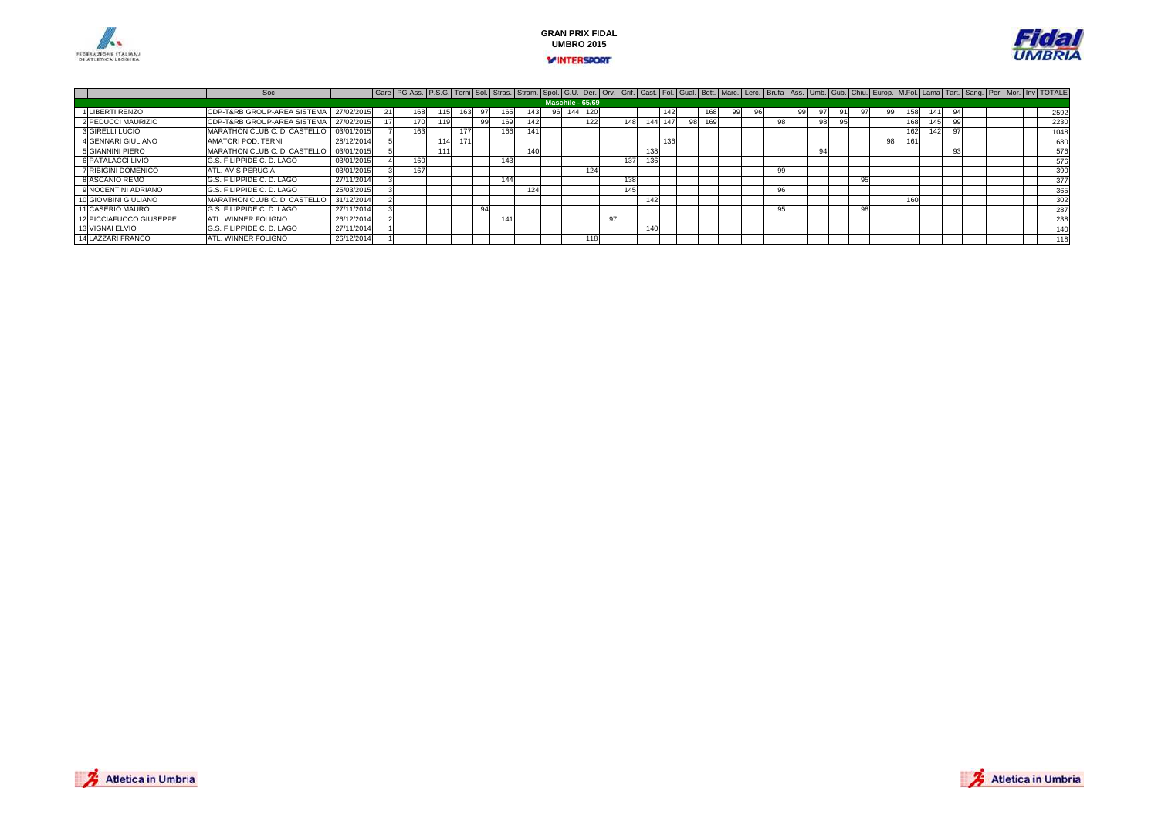





|                            | Soc                                    |            | Gare   PG-Ass.   P.S.G.   Terni Sol.   Stras.   Stram.   Spol.   G.U.   Der.   Orv.   Grif.   Cast.   Fol.   Gual.   Bett.   Marc.   Lerc.   Brufa   Ass.   Umb.   Gub.   Chiu.   Europ.   M.Fol.   Lama   Tart.   Sang.   Per |    |   |      |     |                  |     |     |          |     |  |  |    |  |    |     |  |  |                  |
|----------------------------|----------------------------------------|------------|--------------------------------------------------------------------------------------------------------------------------------------------------------------------------------------------------------------------------------|----|---|------|-----|------------------|-----|-----|----------|-----|--|--|----|--|----|-----|--|--|------------------|
|                            |                                        |            |                                                                                                                                                                                                                                |    |   |      |     | Maschile - 65/69 |     |     |          |     |  |  |    |  |    |     |  |  |                  |
| 1 LIBERTI RENZO            | <b>CDP-T&amp;RB GROUP-AREA SISTEMA</b> | 27/02/2015 |                                                                                                                                                                                                                                |    |   |      | 143 |                  |     |     |          | 142 |  |  | 99 |  | 99 | 141 |  |  | 2592             |
| 2 PEDUCCI MAURIZIO         | CDP-T&RB GROUP-AREA SISTEMA            | 27/02/201  |                                                                                                                                                                                                                                |    |   | 169  | 142 |                  | 122 | 148 | 1441 147 |     |  |  |    |  |    |     |  |  | 2230             |
| 3 GIRELLI LUCIO            | MARATHON CLUB C. DI CASTELLO           | 03/01/2015 |                                                                                                                                                                                                                                |    |   | 166  | 141 |                  |     |     |          |     |  |  |    |  |    | 142 |  |  | 1048             |
| 4 GENNARI GIULIANO         | AMATORI POD, TERNI                     | 28/12/201  |                                                                                                                                                                                                                                | 11 |   |      |     |                  |     |     |          | 136 |  |  |    |  | 98 |     |  |  | 680              |
| 5 GIANNINI PIERO           | MARATHON CLUB C. DI CASTELLO           | 03/01/201  |                                                                                                                                                                                                                                | AA |   |      | 140 |                  |     |     | 138      |     |  |  |    |  |    |     |  |  | 576              |
| 6 PATALACCI LIVIO          | G.S. FILIPPIDE C. D. LAGO              | 03/01/2015 |                                                                                                                                                                                                                                |    |   | 143  |     |                  |     | 137 | 136      |     |  |  |    |  |    |     |  |  | 576              |
| <b>7 RIBIGINI DOMENICO</b> | ATL. AVIS PERUGIA                      | 03/01/2015 | 167                                                                                                                                                                                                                            |    |   |      |     |                  | 124 |     |          |     |  |  |    |  |    |     |  |  | 390              |
| 8 ASCANIO REMO             | G.S. FILIPPIDE C. D. LAGO              | 27/11/2014 |                                                                                                                                                                                                                                |    |   | 144  |     |                  |     | 138 |          |     |  |  |    |  |    |     |  |  | 377              |
| 9 NOCENTINI ADRIANO        | G.S. FILIPPIDE C. D. LAGO              | 25/03/2015 |                                                                                                                                                                                                                                |    |   |      | 124 |                  |     | 145 |          |     |  |  |    |  |    |     |  |  | 365              |
| 10 GIOMBINI GIULIANO       | MARATHON CLUB C. DI CASTELLO           | 31/12/201  |                                                                                                                                                                                                                                |    |   |      |     |                  |     |     | 142      |     |  |  |    |  |    |     |  |  | 302              |
| 11 CASERIO MAURO           | G.S. FILIPPIDE C. D. LAGO              | 27/11/2014 |                                                                                                                                                                                                                                |    | 9 |      |     |                  |     |     |          |     |  |  |    |  |    |     |  |  | 287              |
| 12 PICCIAFUOCO GIUSEPPE    | ATL, WINNER FOLIGNO                    | 26/12/201  |                                                                                                                                                                                                                                |    |   | 1411 |     |                  |     |     |          |     |  |  |    |  |    |     |  |  | 238              |
| 13 VIGNAI ELVIO            | G.S. FILIPPIDE C. D. LAGO              | 27/11/201  |                                                                                                                                                                                                                                |    |   |      |     |                  |     |     | 140      |     |  |  |    |  |    |     |  |  | 140 <sub>1</sub> |
| 14 LAZZARI FRANCO          | <b>ATL, WINNER FOLIGNO</b>             | 26/12/2014 |                                                                                                                                                                                                                                |    |   |      |     |                  | 111 |     |          |     |  |  |    |  |    |     |  |  | 118              |

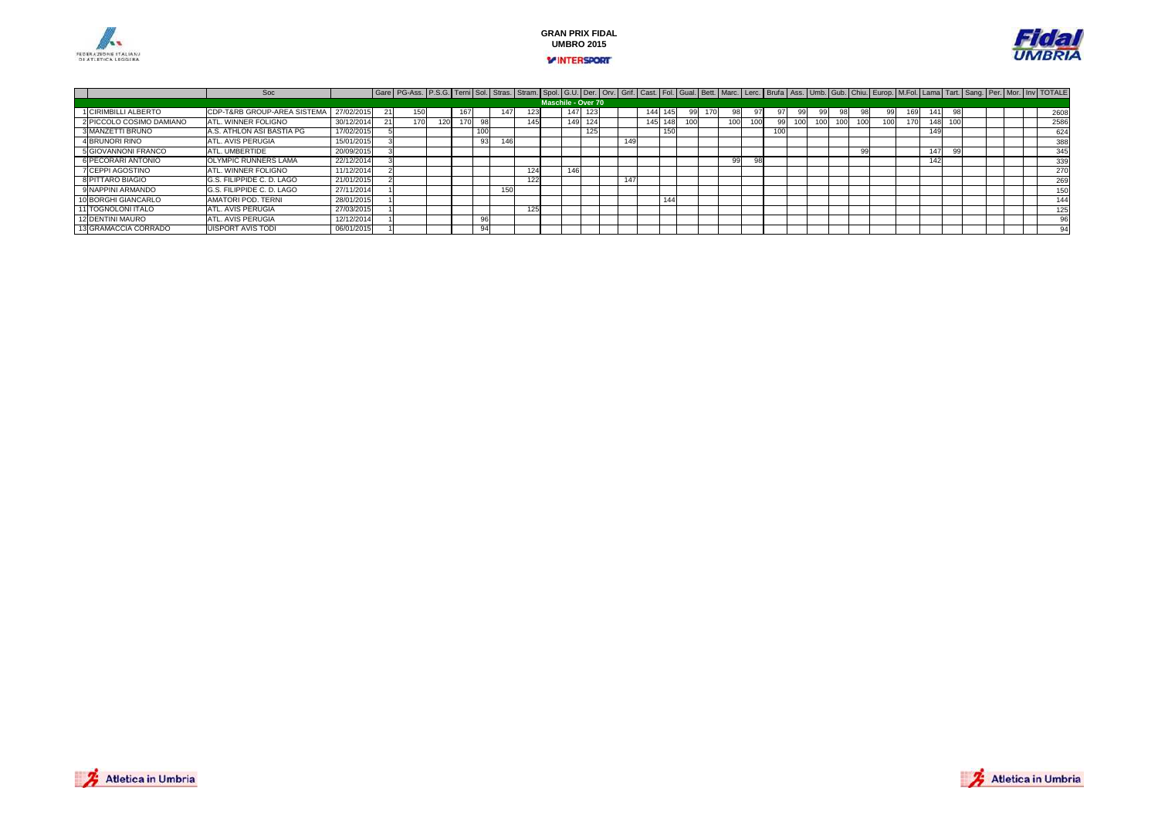



|                            | Soc                         |            | Gare   PG-Ass.   P.S.G. Terni Sol.   Stras.   Stram.   Spol.   G.U.   Der.   Orv.   Grif.   Cast.   Fol.   Gual.   Bett.   Marc.   Lerc.   Burfa   Ass.   Umb.   Gub.   Chiu.   Europ.   M.Fol.   Lama   Tart.   Sang.   Per |  |                 |     |                    |     |     |      |     |  |     |  |  |      |  |           |     |  |  |      |
|----------------------------|-----------------------------|------------|------------------------------------------------------------------------------------------------------------------------------------------------------------------------------------------------------------------------------|--|-----------------|-----|--------------------|-----|-----|------|-----|--|-----|--|--|------|--|-----------|-----|--|--|------|
|                            |                             |            |                                                                                                                                                                                                                              |  |                 |     | Maschile - Over 70 |     |     |      |     |  |     |  |  |      |  |           |     |  |  |      |
| 1 CIRIMBILLI ALBERTO       | CDP-T&RB GROUP-AREA SISTEMA | 27/02/2015 |                                                                                                                                                                                                                              |  | 147             |     | 147                |     |     |      |     |  |     |  |  | 98   |  | 141       |     |  |  | 2608 |
| 2 PICCOLO COSIMO DAMIANO   | ATL. WINNER FOLIGNO         | 30/12/2014 |                                                                                                                                                                                                                              |  |                 | 145 | 149                | 124 |     | 145. |     |  | 100 |  |  | 1001 |  | 1481      | 100 |  |  | 2586 |
| 3 MANZETTI BRUNO           | A.S. ATHLON ASI BASTIA PG   | 17/02/201  |                                                                                                                                                                                                                              |  |                 |     |                    | 125 |     |      | 150 |  |     |  |  |      |  | AA<br>149 |     |  |  | 624  |
| 4 BRUNORI RINO             | ATL. AVIS PERUGIA           | 15/01/2015 |                                                                                                                                                                                                                              |  | 146             |     |                    |     | 149 |      |     |  |     |  |  |      |  |           |     |  |  | 388  |
| <b>5 GIOVANNONI FRANCO</b> | ATL. UMBERTIDE              | 20/09/2015 |                                                                                                                                                                                                                              |  |                 |     |                    |     |     |      |     |  |     |  |  | 99   |  | 147       |     |  |  | 345  |
| 6 PECORARI ANTONIO         | <b>OLYMPIC RUNNERS LAMA</b> | 22/12/2014 |                                                                                                                                                                                                                              |  |                 |     |                    |     |     |      |     |  | 99  |  |  |      |  | 142       |     |  |  | 339  |
| 7 CEPPI AGOSTINO           | ATL. WINNER FOLIGNO         | 11/12/2014 |                                                                                                                                                                                                                              |  |                 | 124 | 146                |     |     |      |     |  |     |  |  |      |  |           |     |  |  | 270  |
| 8 PITTARO BIAGIO           | G.S. FILIPPIDE C. D. LAGO   | 21/01/2015 |                                                                                                                                                                                                                              |  |                 | 122 |                    |     | 147 |      |     |  |     |  |  |      |  |           |     |  |  | 269  |
| 9 NAPPINI ARMANDO          | G.S. FILIPPIDE C. D. LAGO   | 27/11/2014 |                                                                                                                                                                                                                              |  | 15 <sub>C</sub> |     |                    |     |     |      |     |  |     |  |  |      |  |           |     |  |  | 150  |
| 10 BORGHI GIANCARLO        | AMATORI POD, TERNI          | 28/01/2015 |                                                                                                                                                                                                                              |  |                 |     |                    |     |     |      | 144 |  |     |  |  |      |  |           |     |  |  | 144  |
| 11 TOGNOLONI ITALO         | ATL. AVIS PERUGIA           | 27/03/2015 |                                                                                                                                                                                                                              |  |                 | 125 |                    |     |     |      |     |  |     |  |  |      |  |           |     |  |  | 125  |
| 12 DENTINI MAURO           | ATL. AVIS PERUGIA           | 12/12/2014 |                                                                                                                                                                                                                              |  |                 |     |                    |     |     |      |     |  |     |  |  |      |  |           |     |  |  |      |
| 13 GRAMACCIA CORRADO       | <b>UISPORT AVIS TODI</b>    | 06/01/2015 |                                                                                                                                                                                                                              |  |                 |     |                    |     |     |      |     |  |     |  |  |      |  |           |     |  |  | 94   |

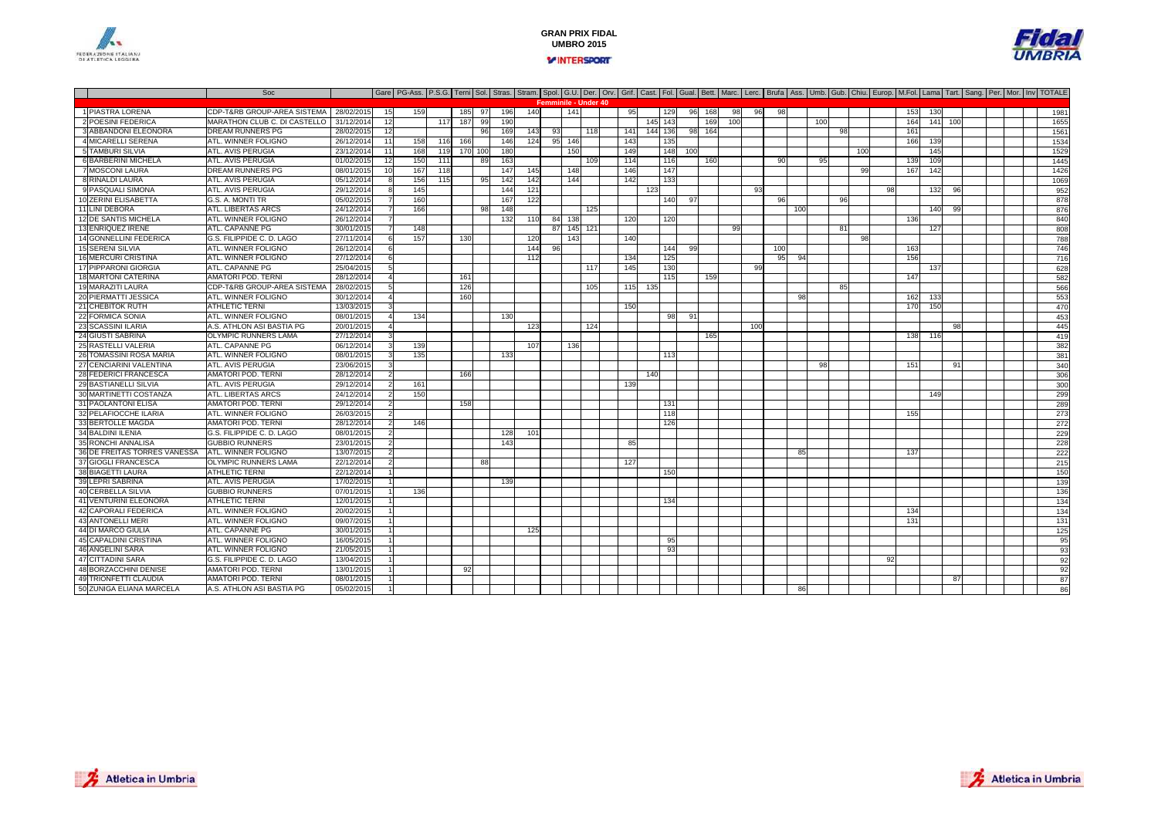



Soc Gare PG-Ass. P.S.G. Terni Sol. Stras. Stram. Spol. G.U. Der. Orv. Grif. Cast. Fol. Gual. Bett. Marc. Lerc. Brufa Ass. Umb. Gub. Chiu. Europ. M.Fol. Lama Tart. Sang. Per. Mor. Inv TOTALE 1 PIASTRA LORENACDP-T&RB GROUP-AREA SISTEMA | 28/02/2015 | 159 | 165 97 196 140 | 141 | 1 95 | 129 96 168 98 96 98 | | | | | 153 130 | | | | | 1981<br>MARATHON CLUB C. DI CASTELLO | 31/12/2014 12 | 117 187 99 190 | | | | | | | | | | | | 145 2 POESINI FEDERICAMARATHON CLUB C. DI CASTELLO 31/12/2014 31/12/2014 <sup>12</sup> <sup>117</sup> <sup>187</sup> <sup>99</sup> <sup>190</sup> <sup>145</sup> <sup>143</sup> <sup>169</sup> <sup>100</sup> <sup>100</sup> <sup>164</sup> <sup>141</sup> <sup>100</sup> <sup>1655</sup> 3 ABBANDONI ELEONORA DREAM RUNNERS PG 28/02/2015 <sup>12</sup> <sup>96</sup> <sup>169</sup> <sup>143</sup> <sup>93</sup> <sup>118</sup> <sup>141</sup> <sup>144</sup> <sup>136</sup> <sup>98</sup> <sup>164</sup> <sup>98</sup> <sup>161</sup> <sup>1561</sup> 4 MICARELLI SERENAATL. WINNER FOLIGNO 0 26/12/2014 11 158 116 166 146 124 95 146 143 135 15 15 16 16 17 166 139 168 139 169 17 5 TAMBURI SILVIA ATL. AVIS PERUGIA 23/12/2014 <sup>11</sup> <sup>168</sup> <sup>119</sup> <sup>170</sup> <sup>100</sup> <sup>180</sup> <sup>150</sup> <sup>149</sup> <sup>148</sup> <sup>100</sup> <sup>100</sup> <sup>145</sup> <sup>1529</sup> 6 BARBERINI MICHELAA ATL.AVIS PERUGIA | 01/02/2015 12 150 111 89 163 | 109 114 116 160 | 90 96 1. 139 109 | | | 139 7 MOSCONI LAURADREAM RUNNERS PG<br>ATL. AVIS PERUGIA 08/01/2015 <sup>10</sup> <sup>167</sup> <sup>118</sup> <sup>147</sup> <sup>145</sup> <sup>148</sup> <sup>146</sup> <sup>147</sup> <sup>99</sup> <sup>167</sup> <sup>142</sup> <sup>1426</sup> 8 RINALDI LAURA ATL. AVIS PERUGIA 05/12/2014 <sup>8</sup> <sup>156</sup> <sup>115</sup> <sup>95</sup> <sup>142</sup> <sup>142</sup> <sup>144</sup> <sup>142</sup> <sup>133</sup> <sup>1069</sup> 9 PASQUALI SIMONA ATL. AVIS PERUGIA 29/12/2014 <sup>8</sup> <sup>145</sup> <sup>144</sup> <sup>121</sup> <sup>123</sup> <sup>93</sup> <sup>98</sup> <sup>132</sup> <sup>96</sup> <sup>952</sup> 10 ZERINI ELISABETTAG.S. A. MONTI TR<br>ATL. LIBERTAS ARCS Research 05/02/2015 7 160 1 167 122 1 167 122 1 168 97 1 169 97 1 169 96 1 169 1 160 161 161 161 161 161 161 11 LINI DEBORA ATL. LIBERTAS ARCS 24/12/2014 <sup>7</sup> <sup>166</sup> <sup>98</sup> <sup>148</sup> <sup>125</sup> <sup>100</sup> <sup>140</sup> <sup>99</sup> <sup>876</sup> 12 DE SANTIS MICHELA ATL. WINNER FOLIGNO 26/12/2014 <sup>7</sup> <sup>132</sup> <sup>110</sup> <sup>84</sup> <sup>138</sup> <sup>120</sup> <sup>120</sup> <sup>136</sup> <sup>840</sup> 13 ENRIQUEZ IRENE ATL. CAPANNE PG<u>Geography 30/01/2015 7 148 and 148 and 145 121 and 145 121 and 145 121 and 146 and 147 and 147 and 147 and 14</u> 14 GONNELLINI FEDERICA G.S. FILIPPIDE C. D. LAGO0 27/11/2014 6 157 130 120 143 140 140 150 160 160 170 180 170 171 1788 15 SERENI SILVIA ATL. WINNER FOLIGNO0 26/12/2014 6 | | | | 144 96 | | | | 144 99 | | 100 | | | 163 | | | | | | 146 16 MERCURI CRISTINA ATL. WINNER FOLIGNO0 27/12/2014 6 | | | | 12] | 134 135 | | 134 156 94 | | | 156 | | | | | | | 176 17 PIPPARONI GIORGIAATL. CAPANNE PG<br>AMATORI POD. TERN 25/04/2015 <sup>5</sup> <sup>117</sup> <sup>145</sup> <sup>130</sup> <sup>99</sup> <sup>137</sup> <sup>628</sup> 18 MARTONI CATERINA AMATORI POD. TERNI 28/12/2014 <sup>4</sup> <sup>161</sup> <sup>115</sup> <sup>159</sup> <sup>147</sup> <sup>582</sup> 19 MARAZITI LAURA CDP-T&RB GROUP-AREA SISTEMA 28/02/2015 <sup>5</sup> <sup>126</sup> <sup>105</sup> <sup>115</sup> <sup>135</sup> <sup>85</sup> <sup>566</sup> 20 PIERMATTI JESSICAATL. WINNER FOLIGNO 30/12/2014 <sup>4</sup> <sup>160</sup> <sup>98</sup> <sup>162</sup> <sup>133</sup> <sup>553</sup> 21 CHEBITOK RUTH ATHLETIC TERNI 13/03/2015 <sup>3</sup> <sup>150</sup> <sup>170</sup> <sup>150</sup> <sup>470</sup> 22 FORMICA SONIA ATL. WINNER FOLIGNO 08/01/2015 <sup>4</sup> <sup>134</sup> <sup>130</sup> <sup>98</sup> <sup>91</sup> <sup>453</sup> 23 SCASSINI ILARIA A.S. ATHLON ASI BASTIA PG 20/01/2015 <sup>4</sup> <sup>123</sup> <sup>124</sup> <sup>100</sup> <sup>98</sup> <sup>445</sup> 24 GIUSTI SABRINA OLYMPIC RUNNERS LAMA 27/12/2014 <sup>3</sup> <sup>165</sup> <sup>138</sup> <sup>116</sup> <sup>419</sup> 25 RASTELLI VALERIA ATL. CAPANNE PG 06/12/2014 <sup>3</sup> <sup>139</sup> <sup>107</sup> <sup>136</sup> <sup>382</sup> 26 TOMASSINI ROSA MARIAATL. WINNER FOLIGNO<br>ATL. AVIS PERUGIA 08/01/2015 <sup>3</sup> <sup>135</sup> <sup>133</sup> <sup>113</sup> <sup>381</sup> 27 CENCIARINI VALENTINA ATL. AVIS PERUGIA 23/06/2015 <sup>3</sup> <sup>98</sup> <sup>151</sup> <sup>91</sup> <sup>340</sup> **Femminile - Under 40**28 FEDERICI FRANCESCA AMATORI POD. TERNI 28/12/2014 <sup>2</sup> <sup>166</sup> <sup>140</sup> <sup>306</sup> 29 BASTIANELLI SILVIA ATL. AVIS PERUGIA 29/12/2014 <sup>2</sup> <sup>161</sup> <sup>139</sup> <sup>300</sup> 30 MARTINETTI COSTANZA ATL. LIBERTAS ARCS 24/12/2014 <sup>2</sup> <sup>150</sup> <sup>149</sup> <sup>299</sup> 31 PAOLANTONI ELISA AMATORI POD. TERNI 29/12/2014 <sup>2</sup> <sup>158</sup> <sup>131</sup> <sup>289</sup> 32 PELAFIOCCHE ILARIAATL. WINNER FOLIGNO<br>AMATORI POD. TERNI 26/03/2015 <sup>2</sup> <sup>118</sup> <sup>155</sup> <sup>273</sup> 33 BERTOLLE MAGDA AMATORI POD. TERNI 28/12/2014 <sup>2</sup> <sup>146</sup> <sup>126</sup> <sup>272</sup> 34 BALDINI ILENIA G.S. FILIPPIDE C. D. LAGO 08/01/2015 <sup>2</sup> <sup>128</sup> <sup>101</sup> <sup>229</sup> 35 RONCHI ANNALISA GUBBIO RUNNERS 23/01/2015 <sup>2</sup> <sup>143</sup> <sup>85</sup> <sup>228</sup> 36 DE FREITAS TORRES VANESSAATL. WINNER FOLIGNO<br>OLYMPIC RUNNERS LAMA 13/07/2015 <sup>2</sup> <sup>85</sup> <sup>137</sup> <sup>222</sup> 37 GIOGLI FRANCESCA OLYMPIC RUNNERS LAMA 22/12/2014 <sup>2</sup> <sup>88</sup> <sup>127</sup> <sup>215</sup> 38 BIAGETTI LAURA ATHLETIC TERNI 22/12/2014 <sup>1</sup> <sup>150</sup> <sup>150</sup> 39 LEPRI SABRINA ATL. AVIS PERUGIA 17/02/2015 <sup>1</sup> <sup>139</sup> <sup>139</sup> 40 CERBELLA SILVIA GUBBIO RUNNERS 07/01/2015 <sup>1</sup> <sup>136</sup> <sup>136</sup> 41 VENTURINI ELEONORA ATHLETIC TERNI 12/01/2015 <sup>1</sup> <sup>134</sup> <sup>134</sup> 42 CAPORALI FEDERICA**ATL. WINNER FOLIGNO**  20/02/2015 <sup>1</sup> <sup>134</sup> <sup>134</sup> 43 ANTONELLI MERI ATL. WINNER FOLIGNO 09/07/2015 <sup>1</sup> <sup>131</sup> <sup>131</sup> 44 DI MARCO GIULIA ATL. CAPANNE PG 30/01/2015 <sup>1</sup> <sup>125</sup> <sup>125</sup> 45 CAPALDINI CRISTINA ATL. WINNER FOLIGNO 16/05/2015 <sup>1</sup> <sup>95</sup> <sup>95</sup> 46 ANGELINI SARA**ATL. WINNER FOLIGNO**  21/05/2015 <sup>1</sup> <sup>93</sup> <sup>93</sup> 47 CITTADINI SARAG.S. FILIPPIDE C. D. LAGO 13/04/2015 <sup>1</sup> <sup>92</sup> <sup>92</sup> 48 BORZACCHINI DENISE AMATORI POD. TERNI 13/01/2015 <sup>1</sup> <sup>92</sup> <sup>92</sup> 49 TRIONFETTI CLAUDIA AMATORI POD. TERNI 08/01/2015 <sup>1</sup> <sup>87</sup> <sup>87</sup> ZUNIGA ELIANA MARCELA A.S. ATHLON ASI BASTIA PG05/02/2015 <sup>1</sup> <sup>86</sup> <sup>86</sup>

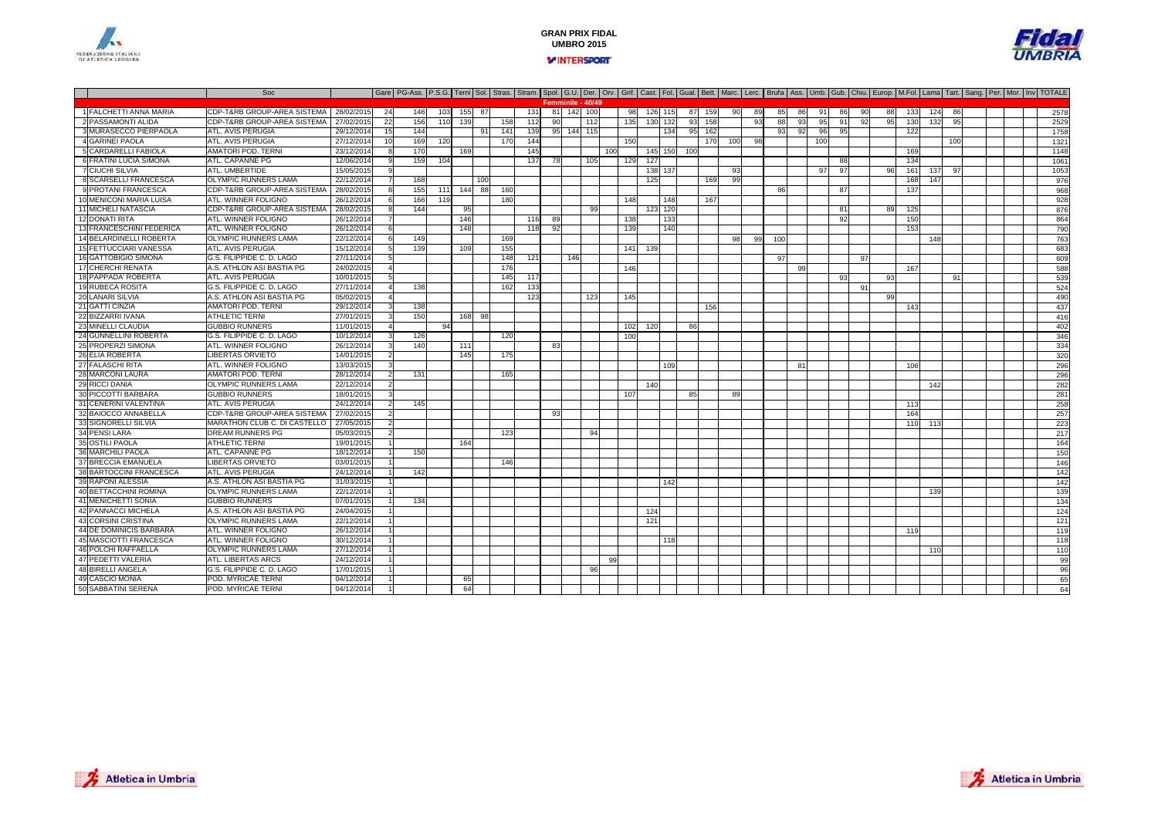



#### Soc Gare PG-Ass. P.S.G. Terni Sol. Stras. Stram. Spol. G.U. Der. Orv. Grif. Cast. Fol. Gual. Bett. Marc. Lerc. Brufa Ass. Umb. Gub. Chiu. Europ. M.Fol. Lama Tart. Sang. Per. Mor. Inv TOTALE 1 FALCHETTI ANNA MARIACDP-T&RB GROUP-AREA SISTEMA | 28/02/2015 24 146 103 155 87 131 81 142 100 98 126 115 87 159 90 89 85 86 91 86 90 88 133 124 86 | | 2578<br>CDP-T&RB GROUP-AREA SISTEMA | 27/02/2015 22 156 110 139 158 112 90 112 135 130 132 93 2 PASSAMONTI ALIDACDP-T&RB GROUP-AREA SISTEMA | 27/02/2015 22 156 110 139 158 112 90 112 135 130 132 93 158 93 88 93 95 91 92 95 130 132 95 | | 2529<br>ATL AVIS PERUGIA 29/12/2014 15 144 | 91 141 139 95 144 115 | 134 95 162 | 93 92 96 95 | 122 3 MURASECCO PIERPAOLAA |ATL. AVIS PERUGIA | 29/12/2014 15 144 | 91 141 139 95 144 115 | 134 95 162 | 93 92 96 95 | 122 | | | | 1758 4 GARINEI PAOLA ATL. AVIS PERUGIA 27/12/2014 <sup>10</sup> <sup>169</sup> <sup>120</sup> <sup>170</sup> <sup>144</sup> <sup>150</sup> <sup>170</sup> <sup>100</sup> <sup>98</sup> <sup>100</sup> <sup>100</sup> <sup>1321</sup> 5 CARDARELLI FABIOLA AMATORI POD. TERNI 23/12/2014 <sup>8</sup> <sup>170</sup> <sup>169</sup> <sup>145</sup> <sup>100</sup> <sup>145</sup> <sup>150</sup> <sup>100</sup> <sup>169</sup> <sup>1148</sup> 6 FRATINI LUCIA SIMONAATL. CAPANNE PG 12/06/2014 <sup>9</sup> <sup>159</sup> <sup>104</sup> <sup>137</sup> <sup>78</sup> <sup>105</sup> <sup>129</sup> <sup>127</sup> <sup>88</sup> <sup>134</sup> <sup>1061</sup> 7 CIUCHI SILVIA ATL. UMBERTIDE 15/05/2015 <sup>9</sup> <sup>138</sup> <sup>137</sup> <sup>93</sup> <sup>97</sup> <sup>97</sup> <sup>96</sup> <sup>161</sup> <sup>137</sup> <sup>97</sup> <sup>1053</sup> 8 SCARSELLI FRANCESCAA OLYMPIC RUNNERS LAMA 22/12/2014 7 168 1 100 1 1 1 1 1 125 1 169 99 1 1 1 1 1 1 1 168 147 1 168 147 9 PROTANI FRANCESCA CDP-T&RB GROUP-AREA SISTEMA 28/02/2015 <sup>8</sup> <sup>155</sup> <sup>111</sup> <sup>144</sup> <sup>88</sup> <sup>160</sup> <sup>86</sup> <sup>87</sup> <sup>137</sup> <sup>968</sup> 10 MENICONI MARIA LUISA ATL. WINNER FOLIGNO 26/12/2014 <sup>6</sup> <sup>166</sup> <sup>119</sup> <sup>180</sup> <sup>148</sup> <sup>148</sup> <sup>167</sup> <sup>928</sup> 11 MICHELI NATASCIACDP-T&RB GROUP-AREA SISTEMA 28/02/2015 8 144 95 113 99 123 120 123 120 125 126 125 125 125 126 126 126 126 126<br>ATL WINNER FOLIGNO 26/12/2014 7 146 169 116 89 133 133 133 134 92 150 150 160 12 DONATI RITA ATL. WINNER FOLIGNO0 26/12/2014 7 1 146 1 16 89 1 138 133 1 1 1 19 2 1 1 50 1 1 1 1 1 864 13 FRANCESCHINI FEDERICAATL. WINNER FOLIGNO<br>OLYMPIC RUNNERS LAMA 26/12/2014 <sup>6</sup> <sup>148</sup> <sup>118</sup> <sup>92</sup> <sup>139</sup> <sup>140</sup> <sup>153</sup> <sup>790</sup> 14 BELARDINELLI ROBERTA OLYMPIC RUNNERS LAMA 22/12/2014 <sup>6</sup> <sup>149</sup> <sup>169</sup> <sup>98</sup> <sup>99</sup> <sup>100</sup> <sup>148</sup> <sup>763</sup> 15 FETTUCCIARI VANESSA ATL. AVIS PERUGIA 15/12/2014 <sup>5</sup> <sup>139</sup> <sup>109</sup> <sup>155</sup> <sup>141</sup> <sup>139</sup> <sup>683</sup> 16 GATTOBIGIO SIMONA G.S. FILIPPIDE C. D. LAGO 27/11/2014 <sup>5</sup> <sup>148</sup> <sup>121</sup> <sup>146</sup> <sup>97</sup> <sup>97</sup> <sup>609</sup> 17 CHERCHI RENATAA.S. ATHLON ASI BASTIA PG<br>ATL. AVIS PERUGIA 24/02/2015 <sup>4</sup> <sup>176</sup> <sup>146</sup> <sup>99</sup> <sup>167</sup> <sup>588</sup> 18 PAPPADA' ROBERTA ATL. AVIS PERUGIA 10/01/2015 <sup>5</sup> <sup>145</sup> <sup>117</sup> <sup>93</sup> <sup>93</sup> <sup>91</sup> <sup>539</sup> 19 RUBECA ROSITA G.S. FILIPPIDE C. D. LAGO0 20 22/11/2014 4 138 1 162 133 1 163 164 1 164 165 166 167 168 169 169 160 161 162 163 164 164 165 165 166 16<br>December 188 169 160 161 162 163 164 164 165 166 167 168 169 160 161 162 164 164 165 166 167 168 169 160 161 1 20 LANARI SILVIAA.S. ATHLON ASI BASTIA PG 6 05/02/2015 4 | | | | | 123 | | 125 | | | | | | | | | | | | | | | | | 99 | | | | | | | | | 490 21 GATTI CINZIA AMATORI POD. TERNI 29/12/2014 <sup>3</sup> <sup>138</sup> <sup>156</sup> <sup>143</sup> <sup>437</sup> 22 BIZZARRI IVANA ATHLETIC TERNI 27/01/2015 <sup>3</sup> <sup>150</sup> <sup>168</sup> <sup>98</sup> <sup>416</sup> 23 MINELLI CLAUDIA GUBBIO RUNNERS 11/01/2015 <sup>4</sup> <sup>94</sup> <sup>102</sup> <sup>120</sup> <sup>86</sup> <sup>402</sup> 24 GUNNELLINI ROBERTA G.S. FILIPPIDE C. D. LAGO 10/12/2014 <sup>3</sup> <sup>126</sup> <sup>120</sup> <sup>100</sup> <sup>346</sup> 25 PROPERZI SIMONA ATL. WINNER FOLIGNO0 26/12/2014 3 140 1111 9 334 26 ELIA ROBERTA LIBERTAS ORVIETO 14/01/2015 <sup>2</sup> <sup>145</sup> <sup>175</sup> <sup>320</sup> 27 FALASCHI RITAATL. WINNER FOLIGNO 13/03/2015 <sup>3</sup> <sup>109</sup> <sup>81</sup> <sup>106</sup> <sup>296</sup> **Femminile - 40/49**28 MARCONI LAURA AMATORI POD. TERNI 28/12/2014 <sup>2</sup> <sup>131</sup> <sup>165</sup> <sup>296</sup> 29 RICCI DANIA OLYMPIC RUNNERS LAMA 22/12/2014 <sup>2</sup> <sup>140</sup> <sup>142</sup> <sup>282</sup> 30 PICCOTTI BARBARA GUBBIO RUNNERS 18/01/2015 <sup>3</sup> <sup>107</sup> <sup>85</sup> <sup>89</sup> <sup>281</sup> 31 CENERINI VALENTINA ATL. AVIS PERUGIA 24/12/2014 <sup>2</sup> <sup>145</sup> <sup>113</sup> <sup>258</sup> 32 BAIOCCO ANNABELLA CDP-T&RB GROUP-AREA SISTEMA 27/02/2015 <sup>2</sup> <sup>93</sup> <sup>164</sup> <sup>257</sup> 33 SIGNORELLI SILVIA MARATHON CLUB C. DI CASTELLO 27/05/2015 <sup>2</sup> <sup>110</sup> <sup>113</sup> <sup>223</sup> 34 PENSI LARADREAM RUNNERS PG<br>ATHLETIC TERNI 05/03/2015 <sup>2</sup> <sup>123</sup> <sup>94</sup> <sup>217</sup> 35 OSTILI PAOLA ATHLETIC TERNI 19/01/2015 <sup>1</sup> <sup>164</sup> <sup>164</sup> 36 MARCHILI PAOLA ATL. CAPANNE PG 18/12/2014 <sup>1</sup> <sup>150</sup> <sup>150</sup> 37 BRECCIA EMANUELALIBERTAS ORVIETO 03/01/2015 <sup>1</sup> <sup>146</sup> <sup>146</sup> 38 BARTOCCINI FRANCESCA ATL. AVIS PERUGIA 24/12/2014 <sup>1</sup> <sup>142</sup> <sup>142</sup> 39 RAPONI ALESSIAA.S. ATHLON ASI BASTIA PG<br>OLYMPIC RUNNERS LAMA 31/03/2015 <sup>1</sup> <sup>142</sup> <sup>142</sup> 40 BETTACCHINI ROMINA OLYMPIC RUNNERS LAMA 22/12/2014 <sup>1</sup> <sup>139</sup> <sup>139</sup> 41 MENICHETTI SONIA GUBBIO RUNNERS 07/01/2015 <sup>1</sup> <sup>134</sup> <sup>134</sup> 42 PANNACCI MICHELA A.S. ATHLON ASI BASTIA PG 24/04/2015 <sup>1</sup> <sup>124</sup> <sup>124</sup> 43 CORSINI CRISTINA OLYMPIC RUNNERS LAMA 22/12/2014 <sup>1</sup> <sup>121</sup> <sup>121</sup> 44 DE DOMINICIS BARBARA**ATL. WINNER FOLIGNO**  26/12/2014 <sup>1</sup> <sup>119</sup> <sup>119</sup> 45 MASCIOTTI FRANCESCAATL. WINNER FOLIGNO<br>OLYMPIC RUNNERS LAMA 30/12/2014 <sup>1</sup> <sup>118</sup> <sup>118</sup> 46 POLCHI RAFFAELLA OLYMPIC RUNNERS LAMA 27/12/2014 <sup>1</sup> <sup>110</sup> <sup>110</sup> 47 PEDETTI VALERIA ATL. LIBERTAS ARCS 24/12/2014 <sup>1</sup> <sup>99</sup> <sup>99</sup> 48 BIRELLI ANGELAG.S. FILIPPIDE C. D. LAGO<br>POD. MYRICAE TERNI 17/01/2015 <sup>1</sup> <sup>96</sup> <sup>96</sup> 49 CASCIO MONIA POD. MYRICAE TERNI 04/12/2014 <sup>1</sup> <sup>65</sup> <sup>65</sup> SABBATINI SERENAPOD. MYRICAE TERNI 04/12/2014 <sup>1</sup> <sup>64</sup> <sup>64</sup>



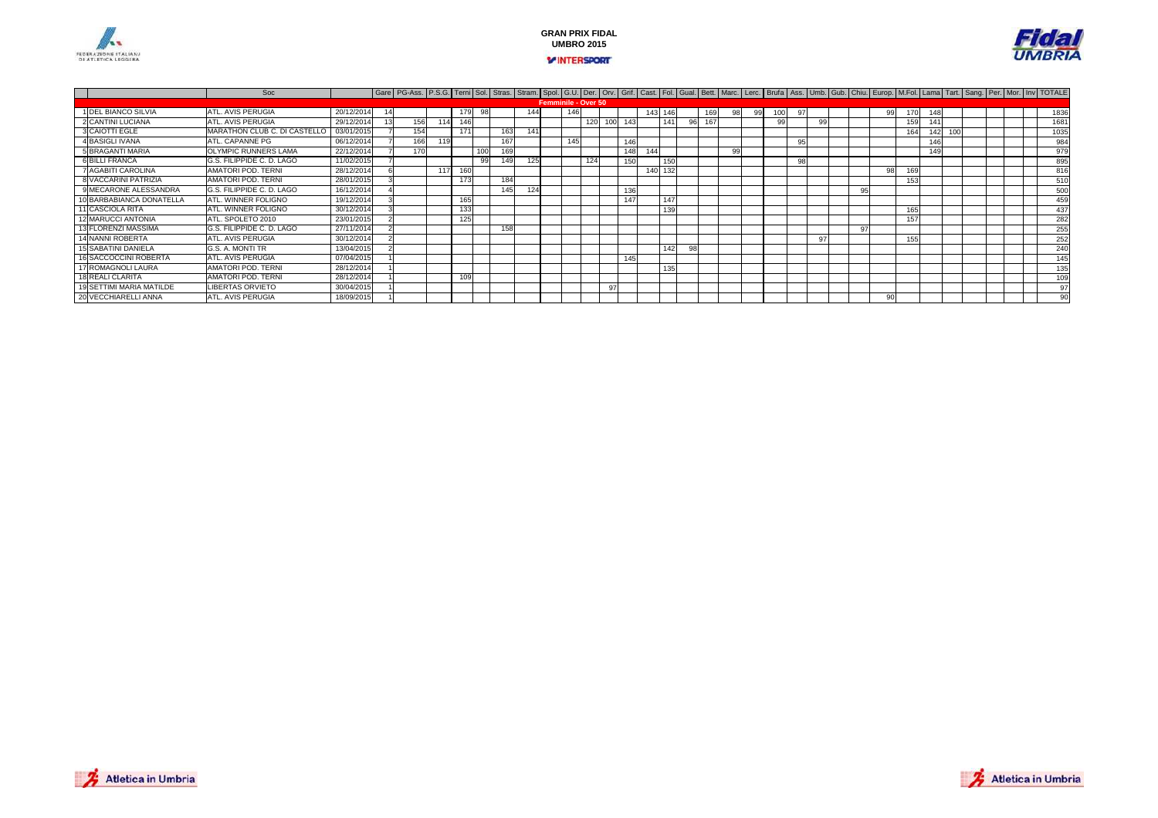



|                             | Soc                          |            |     |     |     |     |     |     |                            |     |     |     |     |         |     |    |     |    |    |    |    |    |     |     | Gare   PG-Ass.   P.S.G.   Terni   Sol.   Stras.   Stram.   Spol.   G.U.   Der.   Orv.   Grif.   Cast.   Fol.   Gual.   Bett.   Marc.   Lerc.   Burfa   Ass.   Umb.   Gub.   Chiu.   Europ.   M.Fol.   Lama   Tart.   Sang.   P |  |  |      |
|-----------------------------|------------------------------|------------|-----|-----|-----|-----|-----|-----|----------------------------|-----|-----|-----|-----|---------|-----|----|-----|----|----|----|----|----|-----|-----|--------------------------------------------------------------------------------------------------------------------------------------------------------------------------------------------------------------------------------|--|--|------|
|                             |                              |            |     |     |     |     |     |     | <b>Femminile - Over 50</b> |     |     |     |     |         |     |    |     |    |    |    |    |    |     |     |                                                                                                                                                                                                                                |  |  |      |
| 1 DEL BIANCO SILVIA         | ATL. AVIS PERUGIA            | 20/12/201  |     |     |     | 98  |     | 144 |                            | 146 |     |     |     | 143 146 |     |    | 169 | 99 |    |    |    | 99 |     | 170 | 148                                                                                                                                                                                                                            |  |  | 1836 |
| 2 CANTINI LUCIANA           | ATL. AVIS PERUGIA            | 29/12/201  | 156 | 114 | 146 |     |     |     |                            |     | 120 | 100 | 143 |         | 141 | 96 | 167 |    |    | 99 |    |    | 159 |     |                                                                                                                                                                                                                                |  |  | 1681 |
| 3 CAIOTTI EGLE              | MARATHON CLUB C. DI CASTELLO | 03/01/2015 | 154 |     | 171 |     |     | 141 |                            |     |     |     |     |         |     |    |     |    |    |    |    |    | 164 |     | 100<br>142                                                                                                                                                                                                                     |  |  | 1035 |
| 4 BASIGLI IVANA             | ATL. CAPANNE PG              | 06/12/2014 | 166 | 119 |     |     | 167 |     |                            | 145 |     |     | 146 |         |     |    |     |    | 95 |    |    |    |     |     | 146                                                                                                                                                                                                                            |  |  | 984  |
| 5 BRAGANTI MARIA            | OLYMPIC RUNNERS LAMA         | 22/12/201  | 170 |     |     | 100 |     |     |                            |     |     |     | 148 | 144     |     |    |     |    |    |    |    |    |     |     | 149                                                                                                                                                                                                                            |  |  | 979  |
| <b>6 BILLI FRANCA</b>       | G.S. FILIPPIDE C. D. LAGO    | 11/02/2015 |     |     |     | 99  |     | 125 |                            |     | 124 |     | 150 |         | 150 |    |     |    | 98 |    |    |    |     |     |                                                                                                                                                                                                                                |  |  | 895  |
| 7 AGABITI CAROLINA          | AMATORI POD, TERNI           | 28/12/2014 |     | 117 |     |     |     |     |                            |     |     |     |     | 140 132 |     |    |     |    |    |    |    | 98 | 169 |     |                                                                                                                                                                                                                                |  |  | 816  |
| <b>8 VACCARINI PATRIZIA</b> | AMATORI POD, TERNI           | 28/01/2015 |     |     |     |     | 184 |     |                            |     |     |     |     |         |     |    |     |    |    |    |    |    | 153 |     |                                                                                                                                                                                                                                |  |  | 510  |
| 9 MECARONE ALESSANDRA       | G.S. FILIPPIDE C. D. LAGO    | 16/12/2014 |     |     |     |     |     | 124 |                            |     |     |     | 136 |         |     |    |     |    |    |    | 95 |    |     |     |                                                                                                                                                                                                                                |  |  | 500  |
| 10 BARBABIANCA DONATELLA    | ATL. WINNER FOLIGNO          | 19/12/2014 |     |     |     |     |     |     |                            |     |     |     | 147 |         | 147 |    |     |    |    |    |    |    |     |     |                                                                                                                                                                                                                                |  |  | 459  |
| 11 CASCIOLA RITA            | ATL. WINNER FOLIGNO          | 30/12/2014 |     |     |     |     |     |     |                            |     |     |     |     |         | 139 |    |     |    |    |    |    |    | 165 |     |                                                                                                                                                                                                                                |  |  | 437  |
| 12 MARUCCI ANTONIA          | ATL. SPOLETO 2010            | 23/01/2015 |     |     |     |     |     |     |                            |     |     |     |     |         |     |    |     |    |    |    |    |    | 157 |     |                                                                                                                                                                                                                                |  |  | 282  |
| 13 FLORENZI MASSIMA         | G.S. FILIPPIDE C. D. LAGO    | 27/11/2014 |     |     |     |     | 158 |     |                            |     |     |     |     |         |     |    |     |    |    |    | 97 |    |     |     |                                                                                                                                                                                                                                |  |  | 255  |
| 14 NANNI ROBERTA            | ATL. AVIS PERUGIA            | 30/12/2014 |     |     |     |     |     |     |                            |     |     |     |     |         |     |    |     |    |    | 97 |    |    | 155 |     |                                                                                                                                                                                                                                |  |  | 252  |
| 15 SABATINI DANIELA         | G.S. A. MONTI TR             | 13/04/2015 |     |     |     |     |     |     |                            |     |     |     |     |         | 142 | 98 |     |    |    |    |    |    |     |     |                                                                                                                                                                                                                                |  |  | 240  |
| 16 SACCOCCINI ROBERTA       | ATL. AVIS PERUGIA            | 07/04/2015 |     |     |     |     |     |     |                            |     |     |     | 145 |         |     |    |     |    |    |    |    |    |     |     |                                                                                                                                                                                                                                |  |  | 145  |
| 17 ROMAGNOLI LAURA          | <b>AMATORI POD. TERNI</b>    | 28/12/2014 |     |     |     |     |     |     |                            |     |     |     |     |         | 135 |    |     |    |    |    |    |    |     |     |                                                                                                                                                                                                                                |  |  | 135  |
| 18 REALI CLARITA            | <b>AMATORI POD. TERNI</b>    | 28/12/2014 |     |     |     |     |     |     |                            |     |     |     |     |         |     |    |     |    |    |    |    |    |     |     |                                                                                                                                                                                                                                |  |  | 109  |
| 19 SETTIMI MARIA MATILDE    | <b>LIBERTAS ORVIETO</b>      | 30/04/2015 |     |     |     |     |     |     |                            |     |     | 9   |     |         |     |    |     |    |    |    |    |    |     |     |                                                                                                                                                                                                                                |  |  | 97   |
| 20 VECCHIARELLI ANNA        | ATL. AVIS PERUGIA            | 18/09/2015 |     |     |     |     |     |     |                            |     |     |     |     |         |     |    |     |    |    |    |    |    |     |     |                                                                                                                                                                                                                                |  |  | 90   |